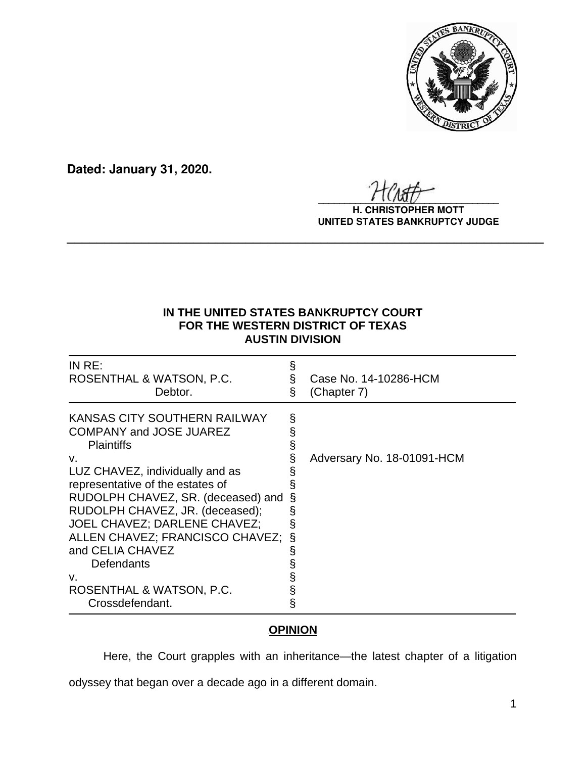

**Dated: January 31, 2020.**

 $\frac{1}{2}$ 

**H. CHRISTOPHER MOTT UNITED STATES BANKRUPTCY JUDGE**

## **IN THE UNITED STATES BANKRUPTCY COURT FOR THE WESTERN DISTRICT OF TEXAS AUSTIN DIVISION**

**\_\_\_\_\_\_\_\_\_\_\_\_\_\_\_\_\_\_\_\_\_\_\_\_\_\_\_\_\_\_\_\_\_\_\_\_\_\_\_\_\_\_\_\_\_\_\_\_\_\_\_\_\_\_\_\_\_\_\_\_\_\_\_\_**

| INRE:<br>ROSENTHAL & WATSON, P.C.<br>Debtor.                                                                                                                                                                                                                                                                                                                                                        | Ş                | Case No. 14-10286-HCM<br>(Chapter 7) |
|-----------------------------------------------------------------------------------------------------------------------------------------------------------------------------------------------------------------------------------------------------------------------------------------------------------------------------------------------------------------------------------------------------|------------------|--------------------------------------|
| KANSAS CITY SOUTHERN RAILWAY<br><b>COMPANY and JOSE JUAREZ</b><br><b>Plaintiffs</b><br>v.<br>LUZ CHAVEZ, individually and as<br>representative of the estates of<br>RUDOLPH CHAVEZ, SR. (deceased) and<br>RUDOLPH CHAVEZ, JR. (deceased);<br>JOEL CHAVEZ; DARLENE CHAVEZ;<br>ALLEN CHAVEZ; FRANCISCO CHAVEZ;<br>and CELIA CHAVEZ<br>Defendants<br>v.<br>ROSENTHAL & WATSON, P.C.<br>Crossdefendant. | §<br>ş<br>§<br>§ | Adversary No. 18-01091-HCM           |

## **OPINION**

Here, the Court grapples with an inheritance—the latest chapter of a litigation

odyssey that began over a decade ago in a different domain.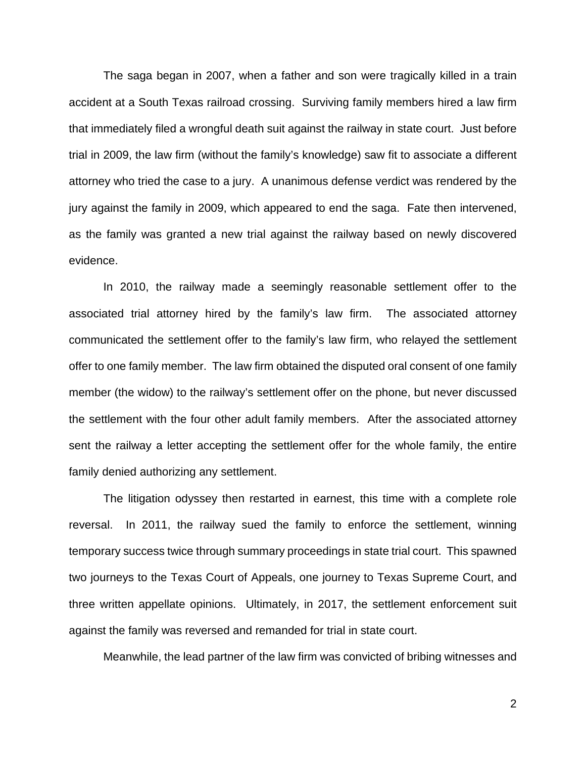The saga began in 2007, when a father and son were tragically killed in a train accident at a South Texas railroad crossing. Surviving family members hired a law firm that immediately filed a wrongful death suit against the railway in state court. Just before trial in 2009, the law firm (without the family's knowledge) saw fit to associate a different attorney who tried the case to a jury. A unanimous defense verdict was rendered by the jury against the family in 2009, which appeared to end the saga. Fate then intervened, as the family was granted a new trial against the railway based on newly discovered evidence.

In 2010, the railway made a seemingly reasonable settlement offer to the associated trial attorney hired by the family's law firm. The associated attorney communicated the settlement offer to the family's law firm, who relayed the settlement offer to one family member. The law firm obtained the disputed oral consent of one family member (the widow) to the railway's settlement offer on the phone, but never discussed the settlement with the four other adult family members. After the associated attorney sent the railway a letter accepting the settlement offer for the whole family, the entire family denied authorizing any settlement.

The litigation odyssey then restarted in earnest, this time with a complete role reversal. In 2011, the railway sued the family to enforce the settlement, winning temporary success twice through summary proceedings in state trial court. This spawned two journeys to the Texas Court of Appeals, one journey to Texas Supreme Court, and three written appellate opinions. Ultimately, in 2017, the settlement enforcement suit against the family was reversed and remanded for trial in state court.

Meanwhile, the lead partner of the law firm was convicted of bribing witnesses and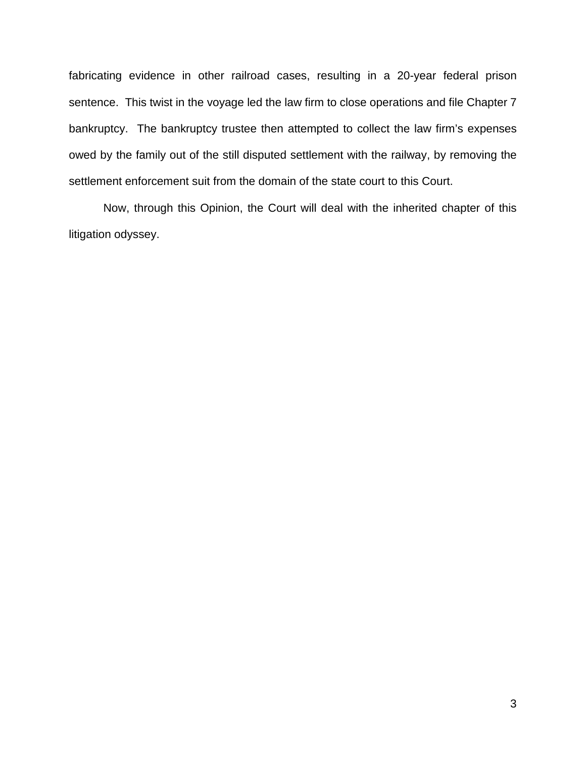fabricating evidence in other railroad cases, resulting in a 20-year federal prison sentence. This twist in the voyage led the law firm to close operations and file Chapter 7 bankruptcy. The bankruptcy trustee then attempted to collect the law firm's expenses owed by the family out of the still disputed settlement with the railway, by removing the settlement enforcement suit from the domain of the state court to this Court.

Now, through this Opinion, the Court will deal with the inherited chapter of this litigation odyssey.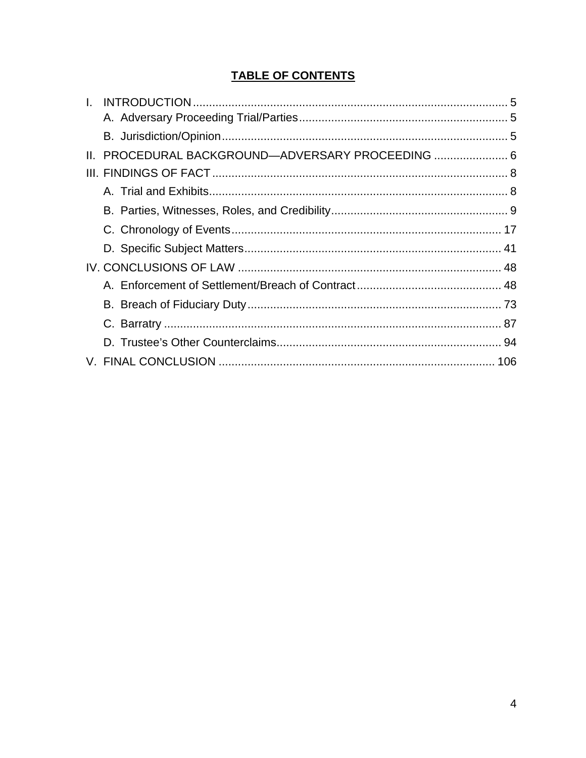# **TABLE OF CONTENTS**

| $\mathbf{L}$ |                                                   |  |
|--------------|---------------------------------------------------|--|
|              |                                                   |  |
|              |                                                   |  |
|              | II. PROCEDURAL BACKGROUND-ADVERSARY PROCEEDING  6 |  |
|              |                                                   |  |
|              |                                                   |  |
|              |                                                   |  |
|              |                                                   |  |
|              |                                                   |  |
|              |                                                   |  |
|              |                                                   |  |
|              |                                                   |  |
|              |                                                   |  |
|              |                                                   |  |
|              |                                                   |  |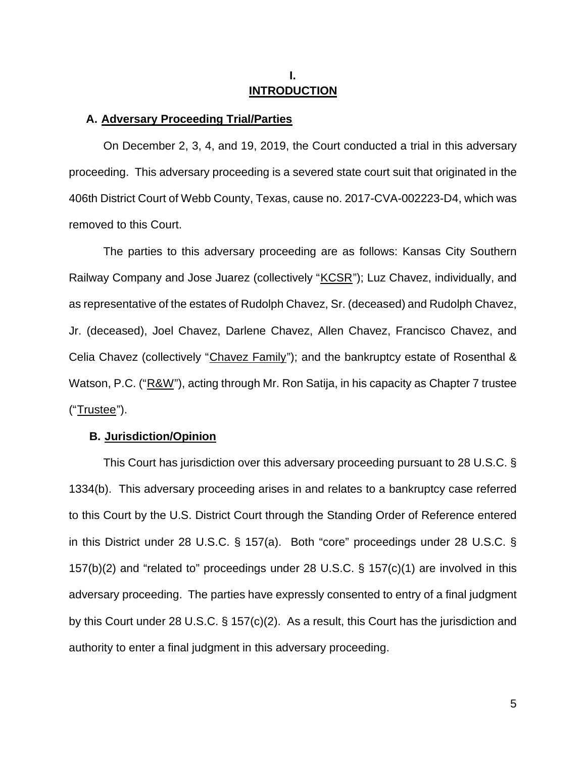## **I. INTRODUCTION**

#### **A. Adversary Proceeding Trial/Parties**

On December 2, 3, 4, and 19, 2019, the Court conducted a trial in this adversary proceeding. This adversary proceeding is a severed state court suit that originated in the 406th District Court of Webb County, Texas, cause no. 2017-CVA-002223-D4, which was removed to this Court.

The parties to this adversary proceeding are as follows: Kansas City Southern Railway Company and Jose Juarez (collectively "KCSR"); Luz Chavez, individually, and as representative of the estates of Rudolph Chavez, Sr. (deceased) and Rudolph Chavez, Jr. (deceased), Joel Chavez, Darlene Chavez, Allen Chavez, Francisco Chavez, and Celia Chavez (collectively "Chavez Family"); and the bankruptcy estate of Rosenthal & Watson, P.C. ("R&W"), acting through Mr. Ron Satija, in his capacity as Chapter 7 trustee ("Trustee").

### **B.** U**Jurisdiction/Opinion**

This Court has jurisdiction over this adversary proceeding pursuant to 28 U.S.C. § 1334(b). This adversary proceeding arises in and relates to a bankruptcy case referred to this Court by the U.S. District Court through the Standing Order of Reference entered in this District under 28 U.S.C. § 157(a). Both "core" proceedings under 28 U.S.C. § 157(b)(2) and "related to" proceedings under 28 U.S.C. § 157(c)(1) are involved in this adversary proceeding. The parties have expressly consented to entry of a final judgment by this Court under 28 U.S.C. § 157(c)(2). As a result, this Court has the jurisdiction and authority to enter a final judgment in this adversary proceeding.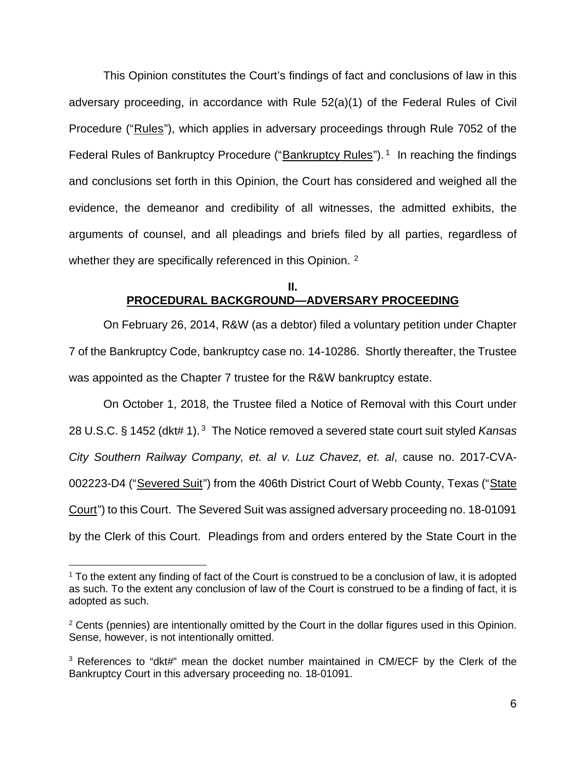This Opinion constitutes the Court's findings of fact and conclusions of law in this adversary proceeding, in accordance with Rule 52(a)(1) of the Federal Rules of Civil Procedure ("Rules"), which applies in adversary proceedings through Rule 7052 of the Federal Rules of Bankruptcy Procedure ("Bankruptcy Rules").<sup>1</sup> In reaching the findings and conclusions set forth in this Opinion, the Court has considered and weighed all the evidence, the demeanor and credibility of all witnesses, the admitted exhibits, the arguments of counsel, and all pleadings and briefs filed by all parties, regardless of whether they are specifically referenced in this Opinion.  $2$ 

## **II. PROCEDURAL BACKGROUND—ADVERSARY PROCEEDING**

On February 26, 2014, R&W (as a debtor) filed a voluntary petition under Chapter 7 of the Bankruptcy Code, bankruptcy case no. 14-10286. Shortly thereafter, the Trustee was appointed as the Chapter 7 trustee for the R&W bankruptcy estate.

On October 1, 2018, the Trustee filed a Notice of Removal with this Court under 28 U.S.C. § 1452 (dkt# 1).<sup>3</sup> The Notice removed a severed state court suit styled *Kansas City Southern Railway Company, et. al v. Luz Chavez, et. al*, cause no. 2017-CVA-002223-D4 ("Severed Suit") from the 406th District Court of Webb County, Texas ("State Court") to this Court. The Severed Suit was assigned adversary proceeding no. 18-01091 by the Clerk of this Court. Pleadings from and orders entered by the State Court in the

<sup>&</sup>lt;sup>1</sup> To the extent any finding of fact of the Court is construed to be a conclusion of law, it is adopted as such. To the extent any conclusion of law of the Court is construed to be a finding of fact, it is adopted as such.

<sup>&</sup>lt;sup>2</sup> Cents (pennies) are intentionally omitted by the Court in the dollar figures used in this Opinion. Sense, however, is not intentionally omitted.

<sup>&</sup>lt;sup>3</sup> References to "dkt#" mean the docket number maintained in CM/ECF by the Clerk of the Bankruptcy Court in this adversary proceeding no. 18-01091.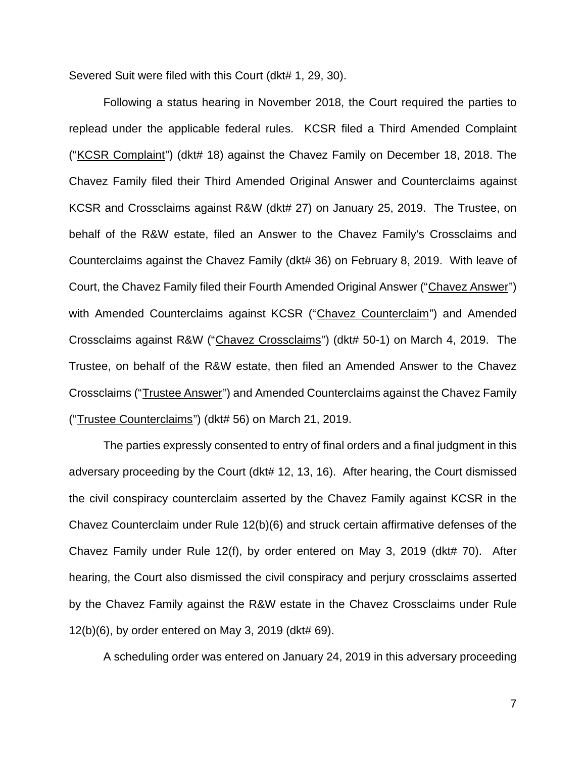Severed Suit were filed with this Court (dkt# 1, 29, 30).

Following a status hearing in November 2018, the Court required the parties to replead under the applicable federal rules. KCSR filed a Third Amended Complaint ("KCSR Complaint") (dkt# 18) against the Chavez Family on December 18, 2018. The Chavez Family filed their Third Amended Original Answer and Counterclaims against KCSR and Crossclaims against R&W (dkt# 27) on January 25, 2019. The Trustee, on behalf of the R&W estate, filed an Answer to the Chavez Family's Crossclaims and Counterclaims against the Chavez Family (dkt# 36) on February 8, 2019. With leave of Court, the Chavez Family filed their Fourth Amended Original Answer ("Chavez Answer") with Amended Counterclaims against KCSR ("Chavez Counterclaim") and Amended Crossclaims against R&W ("Chavez Crossclaims") (dkt# 50-1) on March 4, 2019. The Trustee, on behalf of the R&W estate, then filed an Amended Answer to the Chavez Crossclaims ("Trustee Answer") and Amended Counterclaims against the Chavez Family ("Trustee Counterclaims") (dkt# 56) on March 21, 2019.

The parties expressly consented to entry of final orders and a final judgment in this adversary proceeding by the Court (dkt# 12, 13, 16). After hearing, the Court dismissed the civil conspiracy counterclaim asserted by the Chavez Family against KCSR in the Chavez Counterclaim under Rule 12(b)(6) and struck certain affirmative defenses of the Chavez Family under Rule 12(f), by order entered on May 3, 2019 (dkt# 70). After hearing, the Court also dismissed the civil conspiracy and perjury crossclaims asserted by the Chavez Family against the R&W estate in the Chavez Crossclaims under Rule 12(b)(6), by order entered on May 3, 2019 (dkt# 69).

A scheduling order was entered on January 24, 2019 in this adversary proceeding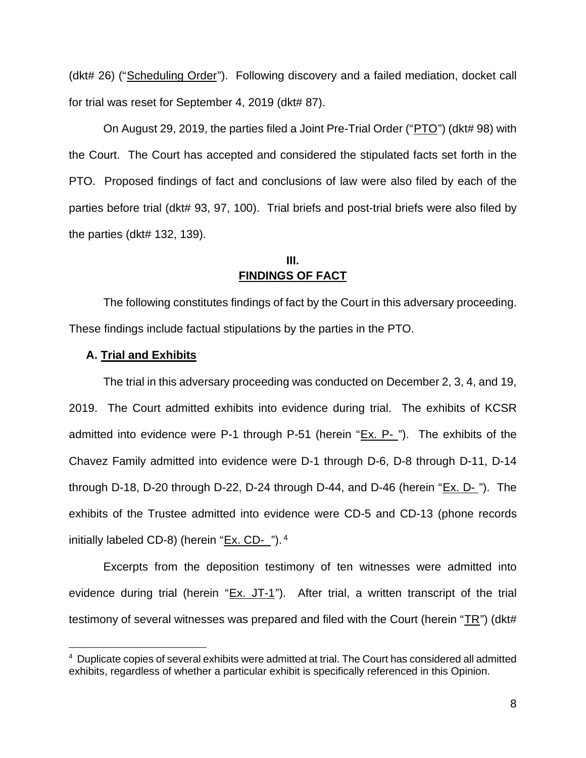(dkt# 26) ("Scheduling Order"). Following discovery and a failed mediation, docket call for trial was reset for September 4, 2019 (dkt# 87).

On August 29, 2019, the parties filed a Joint Pre-Trial Order ("PTO") (dkt# 98) with the Court. The Court has accepted and considered the stipulated facts set forth in the PTO. Proposed findings of fact and conclusions of law were also filed by each of the parties before trial (dkt# 93, 97, 100). Trial briefs and post-trial briefs were also filed by the parties (dkt# 132, 139).

## **III. FINDINGS OF FACT**

The following constitutes findings of fact by the Court in this adversary proceeding. These findings include factual stipulations by the parties in the PTO.

## **A. Trial and Exhibits**

The trial in this adversary proceeding was conducted on December 2, 3, 4, and 19, 2019. The Court admitted exhibits into evidence during trial. The exhibits of KCSR admitted into evidence were P-1 through P-51 (herein " $Ex. P_{\cdot}$ "). The exhibits of the Chavez Family admitted into evidence were D-1 through D-6, D-8 through D-11, D-14 through D-18, D-20 through D-22, D-24 through D-44, and D-46 (herein "Ex. D-"). The exhibits of the Trustee admitted into evidence were CD-5 and CD-13 (phone records initially labeled CD-8) (herein "<u>Ex. CD-\_</u>").<sup>4</sup>

Excerpts from the deposition testimony of ten witnesses were admitted into evidence during trial (herein " $Ex.$  JT-1"). After trial, a written transcript of the trial testimony of several witnesses was prepared and filed with the Court (herein "TR") (dkt#

<sup>4</sup> Duplicate copies of several exhibits were admitted at trial. The Court has considered all admitted exhibits, regardless of whether a particular exhibit is specifically referenced in this Opinion.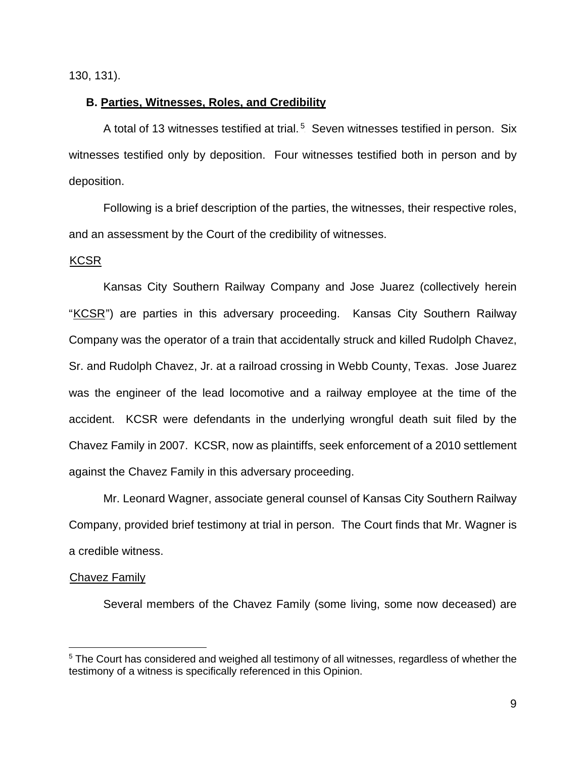130, 131).

## **B. Parties, Witnesses, Roles, and Credibility**

A total of 13 witnesses testified at trial.<sup>5</sup> Seven witnesses testified in person. Six witnesses testified only by deposition. Four witnesses testified both in person and by deposition.

Following is a brief description of the parties, the witnesses, their respective roles, and an assessment by the Court of the credibility of witnesses.

### KCSR

Kansas City Southern Railway Company and Jose Juarez (collectively herein "KCSR") are parties in this adversary proceeding. Kansas City Southern Railway Company was the operator of a train that accidentally struck and killed Rudolph Chavez, Sr. and Rudolph Chavez, Jr. at a railroad crossing in Webb County, Texas. Jose Juarez was the engineer of the lead locomotive and a railway employee at the time of the accident. KCSR were defendants in the underlying wrongful death suit filed by the Chavez Family in 2007. KCSR, now as plaintiffs, seek enforcement of a 2010 settlement against the Chavez Family in this adversary proceeding.

Mr. Leonard Wagner, associate general counsel of Kansas City Southern Railway Company, provided brief testimony at trial in person. The Court finds that Mr. Wagner is a credible witness.

#### Chavez Family

Several members of the Chavez Family (some living, some now deceased) are

<sup>&</sup>lt;sup>5</sup> The Court has considered and weighed all testimony of all witnesses, regardless of whether the testimony of a witness is specifically referenced in this Opinion.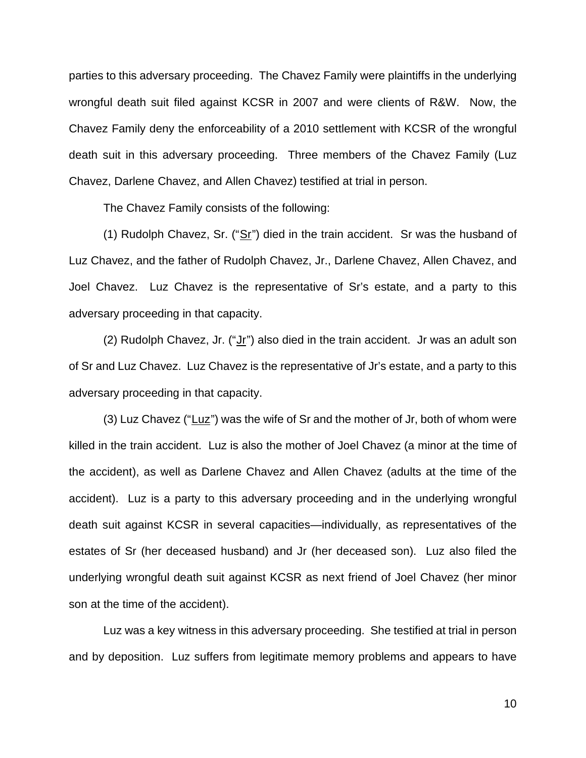parties to this adversary proceeding. The Chavez Family were plaintiffs in the underlying wrongful death suit filed against KCSR in 2007 and were clients of R&W. Now, the Chavez Family deny the enforceability of a 2010 settlement with KCSR of the wrongful death suit in this adversary proceeding. Three members of the Chavez Family (Luz Chavez, Darlene Chavez, and Allen Chavez) testified at trial in person.

The Chavez Family consists of the following:

 $(1)$  Rudolph Chavez, Sr.  $("Sr")$  died in the train accident. Sr was the husband of Luz Chavez, and the father of Rudolph Chavez, Jr., Darlene Chavez, Allen Chavez, and Joel Chavez. Luz Chavez is the representative of Sr's estate, and a party to this adversary proceeding in that capacity.

(2) Rudolph Chavez, Jr. (" $Jr$ ") also died in the train accident. Jr was an adult son of Sr and Luz Chavez. Luz Chavez is the representative of Jr's estate, and a party to this adversary proceeding in that capacity.

 $(3)$  Luz Chavez ("Luz") was the wife of Sr and the mother of Jr, both of whom were killed in the train accident. Luz is also the mother of Joel Chavez (a minor at the time of the accident), as well as Darlene Chavez and Allen Chavez (adults at the time of the accident). Luz is a party to this adversary proceeding and in the underlying wrongful death suit against KCSR in several capacities—individually, as representatives of the estates of Sr (her deceased husband) and Jr (her deceased son). Luz also filed the underlying wrongful death suit against KCSR as next friend of Joel Chavez (her minor son at the time of the accident).

Luz was a key witness in this adversary proceeding. She testified at trial in person and by deposition. Luz suffers from legitimate memory problems and appears to have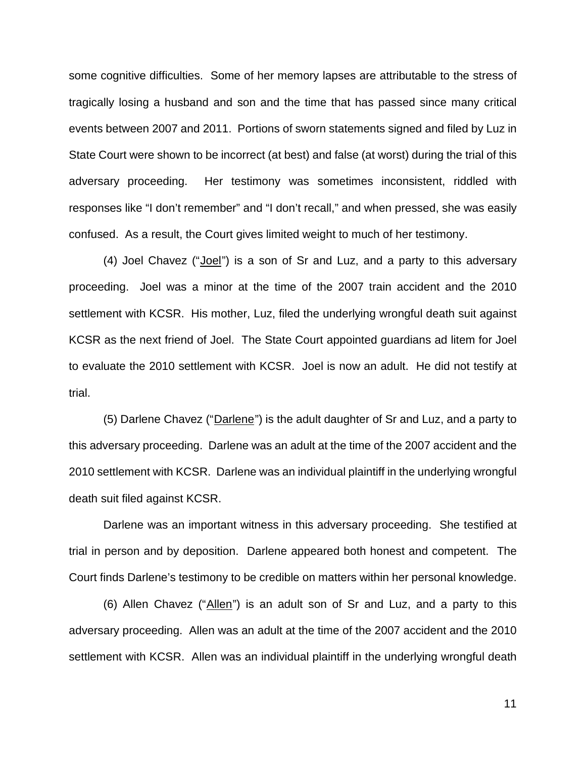some cognitive difficulties. Some of her memory lapses are attributable to the stress of tragically losing a husband and son and the time that has passed since many critical events between 2007 and 2011. Portions of sworn statements signed and filed by Luz in State Court were shown to be incorrect (at best) and false (at worst) during the trial of this adversary proceeding. Her testimony was sometimes inconsistent, riddled with responses like "I don't remember" and "I don't recall," and when pressed, she was easily confused. As a result, the Court gives limited weight to much of her testimony.

 $(4)$  Joel Chavez ("Joel") is a son of Sr and Luz, and a party to this adversary proceeding. Joel was a minor at the time of the 2007 train accident and the 2010 settlement with KCSR. His mother, Luz, filed the underlying wrongful death suit against KCSR as the next friend of Joel. The State Court appointed guardians ad litem for Joel to evaluate the 2010 settlement with KCSR. Joel is now an adult. He did not testify at trial.

(5) Darlene Chavez ("Darlene") is the adult daughter of Sr and Luz, and a party to this adversary proceeding. Darlene was an adult at the time of the 2007 accident and the 2010 settlement with KCSR. Darlene was an individual plaintiff in the underlying wrongful death suit filed against KCSR.

Darlene was an important witness in this adversary proceeding. She testified at trial in person and by deposition. Darlene appeared both honest and competent. The Court finds Darlene's testimony to be credible on matters within her personal knowledge.

(6) Allen Chavez (" $\Delta$ llen") is an adult son of Sr and Luz, and a party to this adversary proceeding. Allen was an adult at the time of the 2007 accident and the 2010 settlement with KCSR. Allen was an individual plaintiff in the underlying wrongful death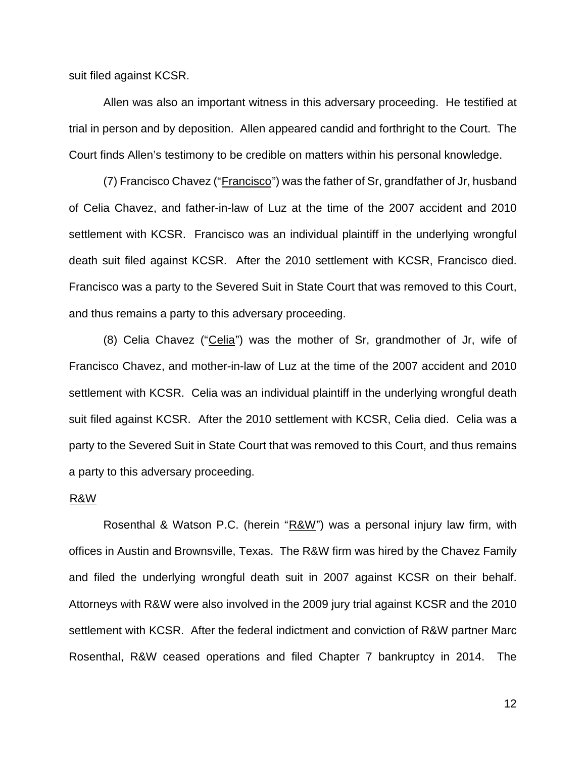suit filed against KCSR.

Allen was also an important witness in this adversary proceeding. He testified at trial in person and by deposition. Allen appeared candid and forthright to the Court. The Court finds Allen's testimony to be credible on matters within his personal knowledge.

 $(7)$  Francisco Chavez ("Francisco") was the father of Sr, grandfather of Jr, husband of Celia Chavez, and father-in-law of Luz at the time of the 2007 accident and 2010 settlement with KCSR. Francisco was an individual plaintiff in the underlying wrongful death suit filed against KCSR. After the 2010 settlement with KCSR, Francisco died. Francisco was a party to the Severed Suit in State Court that was removed to this Court, and thus remains a party to this adversary proceeding.

(8) Celia Chavez ("Celia") was the mother of Sr, grandmother of Jr, wife of Francisco Chavez, and mother-in-law of Luz at the time of the 2007 accident and 2010 settlement with KCSR. Celia was an individual plaintiff in the underlying wrongful death suit filed against KCSR. After the 2010 settlement with KCSR, Celia died. Celia was a party to the Severed Suit in State Court that was removed to this Court, and thus remains a party to this adversary proceeding.

### <sup>U</sup>R&W

Rosenthal & Watson P.C. (herein " $R&W$ ") was a personal injury law firm, with offices in Austin and Brownsville, Texas. The R&W firm was hired by the Chavez Family and filed the underlying wrongful death suit in 2007 against KCSR on their behalf. Attorneys with R&W were also involved in the 2009 jury trial against KCSR and the 2010 settlement with KCSR. After the federal indictment and conviction of R&W partner Marc Rosenthal, R&W ceased operations and filed Chapter 7 bankruptcy in 2014. The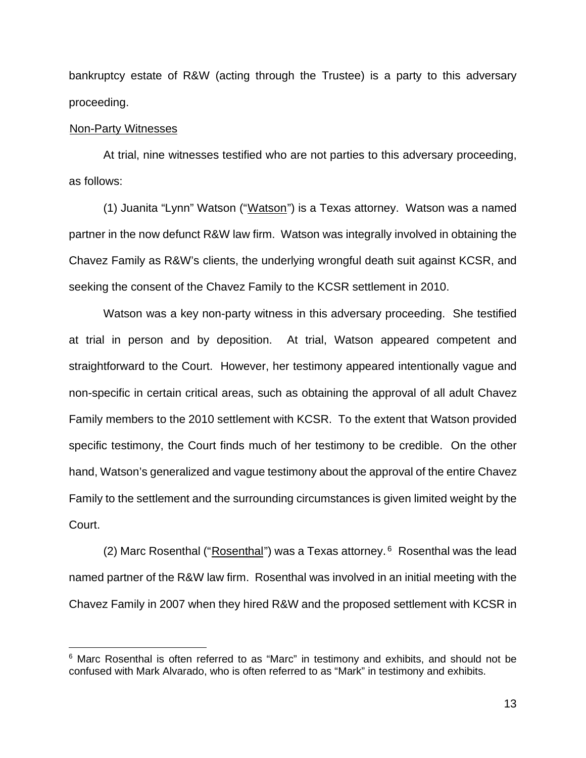bankruptcy estate of R&W (acting through the Trustee) is a party to this adversary proceeding.

### Non-Party Witnesses

At trial, nine witnesses testified who are not parties to this adversary proceeding, as follows:

(1) Juanita "Lynn" Watson ("Watson") is a Texas attorney. Watson was a named partner in the now defunct R&W law firm. Watson was integrally involved in obtaining the Chavez Family as R&W's clients, the underlying wrongful death suit against KCSR, and seeking the consent of the Chavez Family to the KCSR settlement in 2010.

Watson was a key non-party witness in this adversary proceeding. She testified at trial in person and by deposition. At trial, Watson appeared competent and straightforward to the Court. However, her testimony appeared intentionally vague and non-specific in certain critical areas, such as obtaining the approval of all adult Chavez Family members to the 2010 settlement with KCSR. To the extent that Watson provided specific testimony, the Court finds much of her testimony to be credible. On the other hand, Watson's generalized and vague testimony about the approval of the entire Chavez Family to the settlement and the surrounding circumstances is given limited weight by the Court.

(2) Marc Rosenthal ("Rosenthal") was a Texas attorney.<sup>6</sup> Rosenthal was the lead named partner of the R&W law firm. Rosenthal was involved in an initial meeting with the Chavez Family in 2007 when they hired R&W and the proposed settlement with KCSR in

<sup>&</sup>lt;sup>6</sup> Marc Rosenthal is often referred to as "Marc" in testimony and exhibits, and should not be confused with Mark Alvarado, who is often referred to as "Mark" in testimony and exhibits.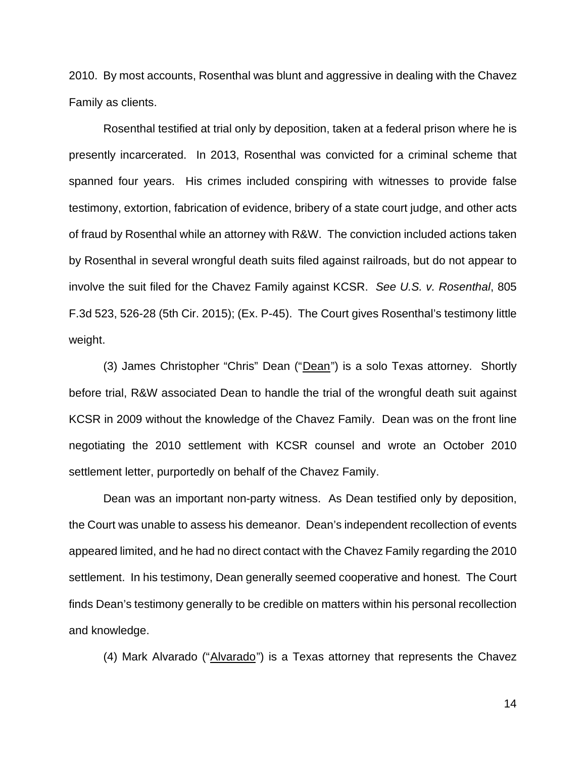2010. By most accounts, Rosenthal was blunt and aggressive in dealing with the Chavez Family as clients.

Rosenthal testified at trial only by deposition, taken at a federal prison where he is presently incarcerated. In 2013, Rosenthal was convicted for a criminal scheme that spanned four years. His crimes included conspiring with witnesses to provide false testimony, extortion, fabrication of evidence, bribery of a state court judge, and other acts of fraud by Rosenthal while an attorney with R&W. The conviction included actions taken by Rosenthal in several wrongful death suits filed against railroads, but do not appear to involve the suit filed for the Chavez Family against KCSR. *See U.S. v. Rosenthal*, 805 F.3d 523, 526-28 (5th Cir. 2015); (Ex. P-45). The Court gives Rosenthal's testimony little weight.

(3) James Christopher "Chris" Dean ("Dean") is a solo Texas attorney. Shortly before trial, R&W associated Dean to handle the trial of the wrongful death suit against KCSR in 2009 without the knowledge of the Chavez Family. Dean was on the front line negotiating the 2010 settlement with KCSR counsel and wrote an October 2010 settlement letter, purportedly on behalf of the Chavez Family.

Dean was an important non-party witness. As Dean testified only by deposition, the Court was unable to assess his demeanor. Dean's independent recollection of events appeared limited, and he had no direct contact with the Chavez Family regarding the 2010 settlement. In his testimony, Dean generally seemed cooperative and honest. The Court finds Dean's testimony generally to be credible on matters within his personal recollection and knowledge.

(4) Mark Alvarado (" $\Delta$ lvarado") is a Texas attorney that represents the Chavez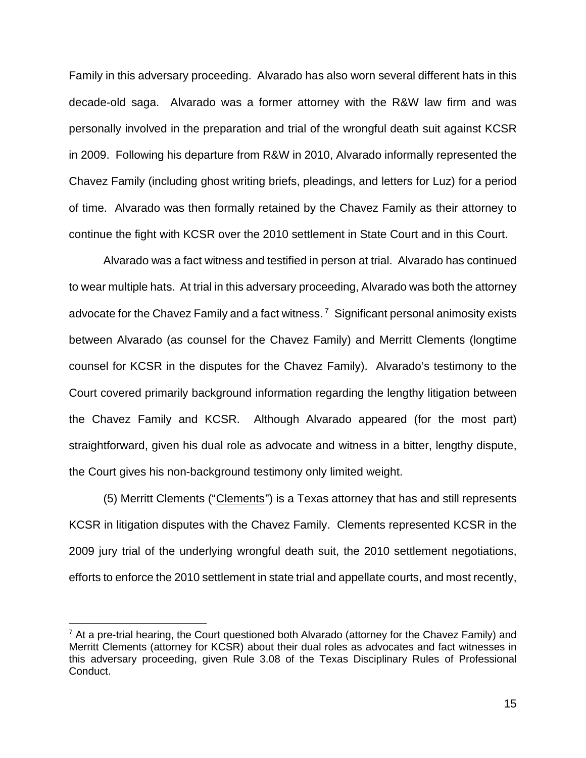Family in this adversary proceeding. Alvarado has also worn several different hats in this decade-old saga. Alvarado was a former attorney with the R&W law firm and was personally involved in the preparation and trial of the wrongful death suit against KCSR in 2009. Following his departure from R&W in 2010, Alvarado informally represented the Chavez Family (including ghost writing briefs, pleadings, and letters for Luz) for a period of time. Alvarado was then formally retained by the Chavez Family as their attorney to continue the fight with KCSR over the 2010 settlement in State Court and in this Court.

Alvarado was a fact witness and testified in person at trial. Alvarado has continued to wear multiple hats. At trial in this adversary proceeding, Alvarado was both the attorney advocate for the Chavez Family and a fact witness.<sup>7</sup> Significant personal animosity exists between Alvarado (as counsel for the Chavez Family) and Merritt Clements (longtime counsel for KCSR in the disputes for the Chavez Family). Alvarado's testimony to the Court covered primarily background information regarding the lengthy litigation between the Chavez Family and KCSR. Although Alvarado appeared (for the most part) straightforward, given his dual role as advocate and witness in a bitter, lengthy dispute, the Court gives his non-background testimony only limited weight.

(5) Merritt Clements ("Clements") is a Texas attorney that has and still represents KCSR in litigation disputes with the Chavez Family. Clements represented KCSR in the 2009 jury trial of the underlying wrongful death suit, the 2010 settlement negotiations, efforts to enforce the 2010 settlement in state trial and appellate courts, and most recently,

 $7$  At a pre-trial hearing, the Court questioned both Alvarado (attorney for the Chavez Family) and Merritt Clements (attorney for KCSR) about their dual roles as advocates and fact witnesses in this adversary proceeding, given Rule 3.08 of the Texas Disciplinary Rules of Professional Conduct.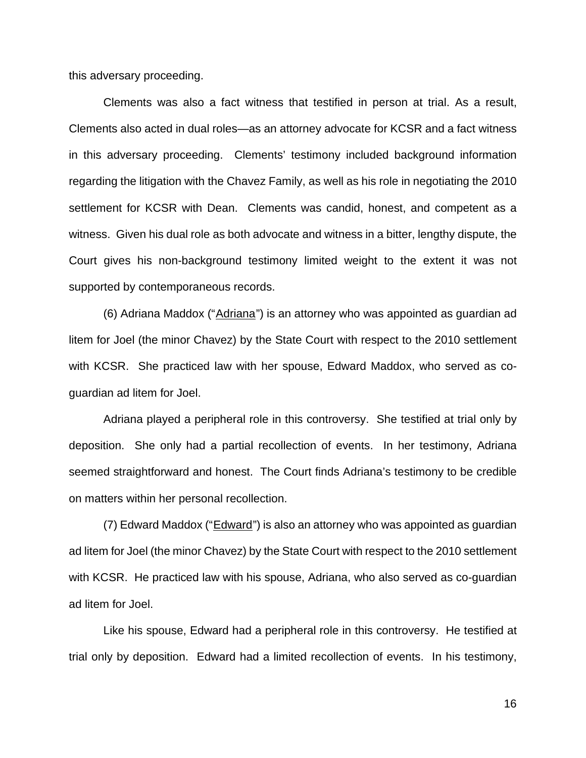this adversary proceeding.

Clements was also a fact witness that testified in person at trial. As a result, Clements also acted in dual roles—as an attorney advocate for KCSR and a fact witness in this adversary proceeding. Clements' testimony included background information regarding the litigation with the Chavez Family, as well as his role in negotiating the 2010 settlement for KCSR with Dean. Clements was candid, honest, and competent as a witness. Given his dual role as both advocate and witness in a bitter, lengthy dispute, the Court gives his non-background testimony limited weight to the extent it was not supported by contemporaneous records.

(6) Adriana Maddox ("Adriana") is an attorney who was appointed as guardian ad litem for Joel (the minor Chavez) by the State Court with respect to the 2010 settlement with KCSR. She practiced law with her spouse, Edward Maddox, who served as coguardian ad litem for Joel.

Adriana played a peripheral role in this controversy. She testified at trial only by deposition. She only had a partial recollection of events. In her testimony, Adriana seemed straightforward and honest. The Court finds Adriana's testimony to be credible on matters within her personal recollection.

 $(7)$  Edward Maddox ("Edward") is also an attorney who was appointed as guardian ad litem for Joel (the minor Chavez) by the State Court with respect to the 2010 settlement with KCSR. He practiced law with his spouse, Adriana, who also served as co-guardian ad litem for Joel.

Like his spouse, Edward had a peripheral role in this controversy. He testified at trial only by deposition. Edward had a limited recollection of events. In his testimony,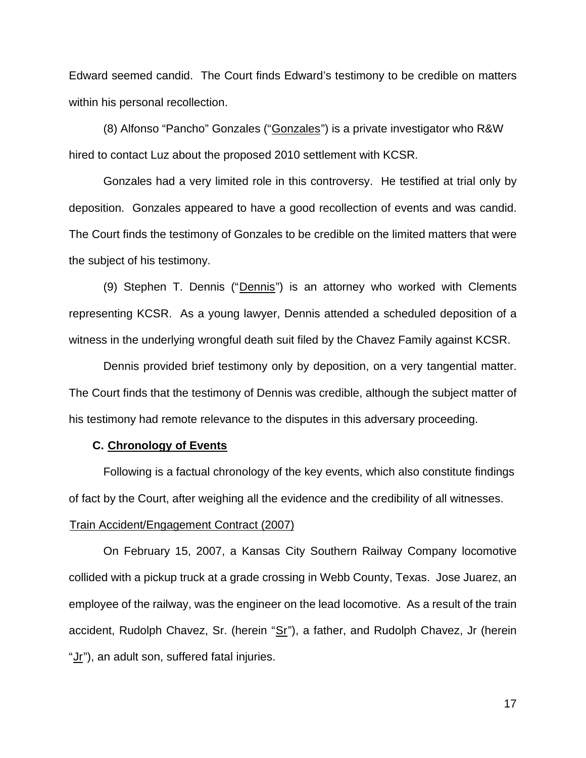Edward seemed candid. The Court finds Edward's testimony to be credible on matters within his personal recollection.

(8) Alfonso "Pancho" Gonzales ("Gonzales") is a private investigator who R&W hired to contact Luz about the proposed 2010 settlement with KCSR.

Gonzales had a very limited role in this controversy. He testified at trial only by deposition. Gonzales appeared to have a good recollection of events and was candid. The Court finds the testimony of Gonzales to be credible on the limited matters that were the subject of his testimony.

(9) Stephen T. Dennis ("Dennis") is an attorney who worked with Clements representing KCSR. As a young lawyer, Dennis attended a scheduled deposition of a witness in the underlying wrongful death suit filed by the Chavez Family against KCSR.

Dennis provided brief testimony only by deposition, on a very tangential matter. The Court finds that the testimony of Dennis was credible, although the subject matter of his testimony had remote relevance to the disputes in this adversary proceeding.

## **C. Chronology of Events**

Following is a factual chronology of the key events, which also constitute findings of fact by the Court, after weighing all the evidence and the credibility of all witnesses.

## <sup>U</sup>Train Accident/Engagement Contract (2007)

On February 15, 2007, a Kansas City Southern Railway Company locomotive collided with a pickup truck at a grade crossing in Webb County, Texas. Jose Juarez, an employee of the railway, was the engineer on the lead locomotive. As a result of the train accident, Rudolph Chavez, Sr. (herein " $Sr$ "), a father, and Rudolph Chavez, Jr (herein "Jr"), an adult son, suffered fatal injuries.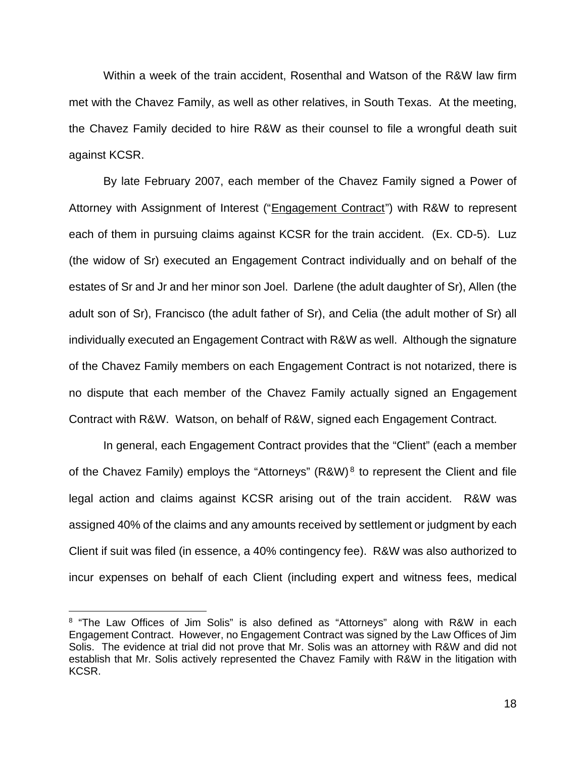Within a week of the train accident, Rosenthal and Watson of the R&W law firm met with the Chavez Family, as well as other relatives, in South Texas. At the meeting, the Chavez Family decided to hire R&W as their counsel to file a wrongful death suit against KCSR.

By late February 2007, each member of the Chavez Family signed a Power of Attorney with Assignment of Interest ("Engagement Contract") with R&W to represent each of them in pursuing claims against KCSR for the train accident. (Ex. CD-5). Luz (the widow of Sr) executed an Engagement Contract individually and on behalf of the estates of Sr and Jr and her minor son Joel. Darlene (the adult daughter of Sr), Allen (the adult son of Sr), Francisco (the adult father of Sr), and Celia (the adult mother of Sr) all individually executed an Engagement Contract with R&W as well. Although the signature of the Chavez Family members on each Engagement Contract is not notarized, there is no dispute that each member of the Chavez Family actually signed an Engagement Contract with R&W. Watson, on behalf of R&W, signed each Engagement Contract.

 In general, each Engagement Contract provides that the "Client" (each a member of the Chavez Family) employs the "Attorneys"  $(R\&W)^8$  to represent the Client and file legal action and claims against KCSR arising out of the train accident. R&W was assigned 40% of the claims and any amounts received by settlement or judgment by each Client if suit was filed (in essence, a 40% contingency fee). R&W was also authorized to incur expenses on behalf of each Client (including expert and witness fees, medical

<sup>&</sup>lt;sup>8</sup> "The Law Offices of Jim Solis" is also defined as "Attorneys" along with R&W in each Engagement Contract. However, no Engagement Contract was signed by the Law Offices of Jim Solis. The evidence at trial did not prove that Mr. Solis was an attorney with R&W and did not establish that Mr. Solis actively represented the Chavez Family with R&W in the litigation with KCSR.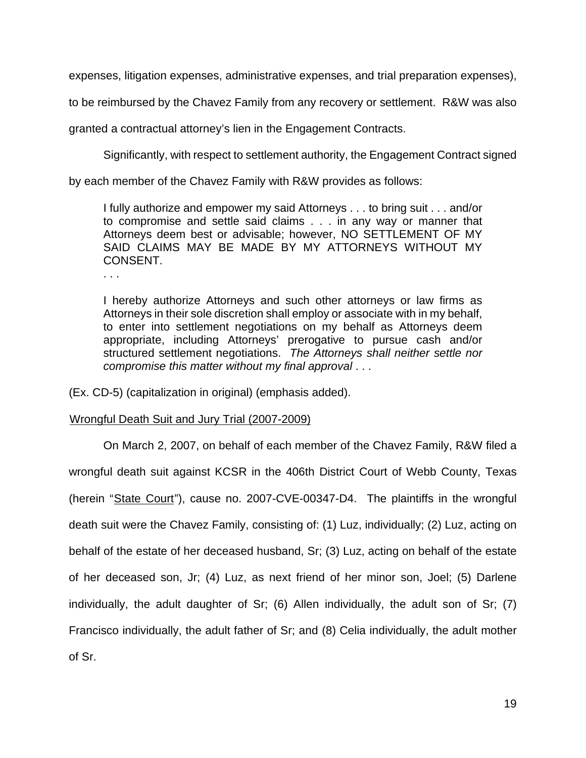expenses, litigation expenses, administrative expenses, and trial preparation expenses),

to be reimbursed by the Chavez Family from any recovery or settlement. R&W was also

granted a contractual attorney's lien in the Engagement Contracts.

Significantly, with respect to settlement authority, the Engagement Contract signed

by each member of the Chavez Family with R&W provides as follows:

I fully authorize and empower my said Attorneys . . . to bring suit . . . and/or to compromise and settle said claims . . . in any way or manner that Attorneys deem best or advisable; however, NO SETTLEMENT OF MY SAID CLAIMS MAY BE MADE BY MY ATTORNEYS WITHOUT MY CONSENT.

. . .

I hereby authorize Attorneys and such other attorneys or law firms as Attorneys in their sole discretion shall employ or associate with in my behalf, to enter into settlement negotiations on my behalf as Attorneys deem appropriate, including Attorneys' prerogative to pursue cash and/or structured settlement negotiations. *The Attorneys shall neither settle nor compromise this matter without my final approval* . . .

(Ex. CD-5) (capitalization in original) (emphasis added).

## <sup>U</sup>Wrongful Death Suit and Jury Trial (2007-2009)

On March 2, 2007, on behalf of each member of the Chavez Family, R&W filed a wrongful death suit against KCSR in the 406th District Court of Webb County, Texas (herein "State Court"), cause no. 2007-CVE-00347-D4. The plaintiffs in the wrongful death suit were the Chavez Family, consisting of: (1) Luz, individually; (2) Luz, acting on behalf of the estate of her deceased husband, Sr; (3) Luz, acting on behalf of the estate of her deceased son, Jr; (4) Luz, as next friend of her minor son, Joel; (5) Darlene individually, the adult daughter of Sr; (6) Allen individually, the adult son of Sr; (7) Francisco individually, the adult father of Sr; and (8) Celia individually, the adult mother of Sr.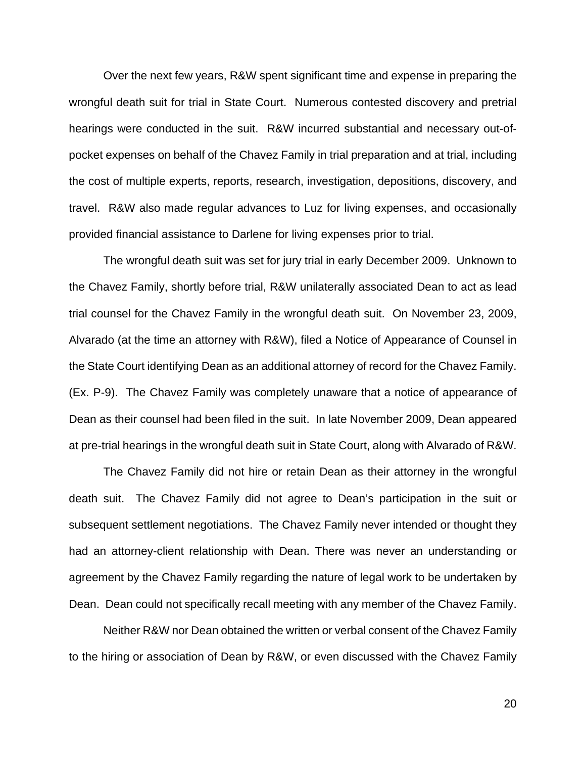Over the next few years, R&W spent significant time and expense in preparing the wrongful death suit for trial in State Court. Numerous contested discovery and pretrial hearings were conducted in the suit. R&W incurred substantial and necessary out-ofpocket expenses on behalf of the Chavez Family in trial preparation and at trial, including the cost of multiple experts, reports, research, investigation, depositions, discovery, and travel. R&W also made regular advances to Luz for living expenses, and occasionally provided financial assistance to Darlene for living expenses prior to trial.

The wrongful death suit was set for jury trial in early December 2009. Unknown to the Chavez Family, shortly before trial, R&W unilaterally associated Dean to act as lead trial counsel for the Chavez Family in the wrongful death suit. On November 23, 2009, Alvarado (at the time an attorney with R&W), filed a Notice of Appearance of Counsel in the State Court identifying Dean as an additional attorney of record for the Chavez Family. (Ex. P-9). The Chavez Family was completely unaware that a notice of appearance of Dean as their counsel had been filed in the suit. In late November 2009, Dean appeared at pre-trial hearings in the wrongful death suit in State Court, along with Alvarado of R&W.

The Chavez Family did not hire or retain Dean as their attorney in the wrongful death suit. The Chavez Family did not agree to Dean's participation in the suit or subsequent settlement negotiations. The Chavez Family never intended or thought they had an attorney-client relationship with Dean. There was never an understanding or agreement by the Chavez Family regarding the nature of legal work to be undertaken by Dean. Dean could not specifically recall meeting with any member of the Chavez Family.

Neither R&W nor Dean obtained the written or verbal consent of the Chavez Family to the hiring or association of Dean by R&W, or even discussed with the Chavez Family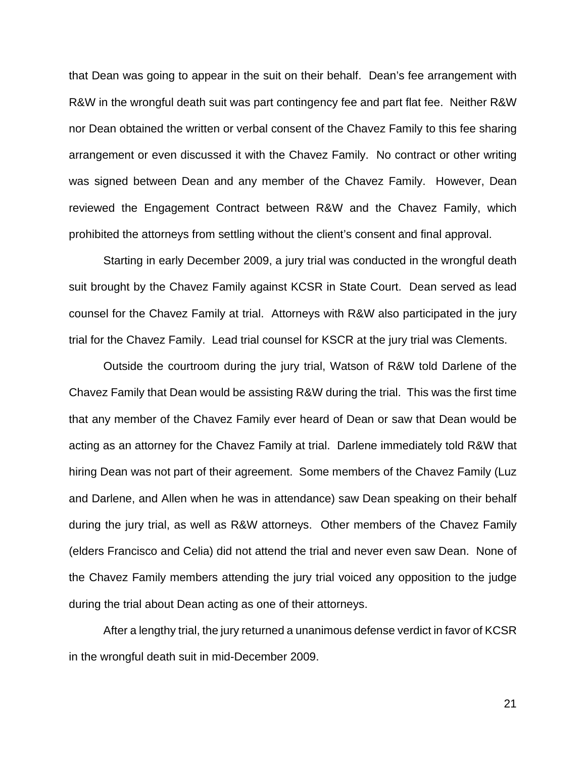that Dean was going to appear in the suit on their behalf. Dean's fee arrangement with R&W in the wrongful death suit was part contingency fee and part flat fee. Neither R&W nor Dean obtained the written or verbal consent of the Chavez Family to this fee sharing arrangement or even discussed it with the Chavez Family. No contract or other writing was signed between Dean and any member of the Chavez Family. However, Dean reviewed the Engagement Contract between R&W and the Chavez Family, which prohibited the attorneys from settling without the client's consent and final approval.

Starting in early December 2009, a jury trial was conducted in the wrongful death suit brought by the Chavez Family against KCSR in State Court. Dean served as lead counsel for the Chavez Family at trial. Attorneys with R&W also participated in the jury trial for the Chavez Family. Lead trial counsel for KSCR at the jury trial was Clements.

Outside the courtroom during the jury trial, Watson of R&W told Darlene of the Chavez Family that Dean would be assisting R&W during the trial. This was the first time that any member of the Chavez Family ever heard of Dean or saw that Dean would be acting as an attorney for the Chavez Family at trial. Darlene immediately told R&W that hiring Dean was not part of their agreement. Some members of the Chavez Family (Luz and Darlene, and Allen when he was in attendance) saw Dean speaking on their behalf during the jury trial, as well as R&W attorneys. Other members of the Chavez Family (elders Francisco and Celia) did not attend the trial and never even saw Dean. None of the Chavez Family members attending the jury trial voiced any opposition to the judge during the trial about Dean acting as one of their attorneys.

 After a lengthy trial, the jury returned a unanimous defense verdict in favor of KCSR in the wrongful death suit in mid-December 2009.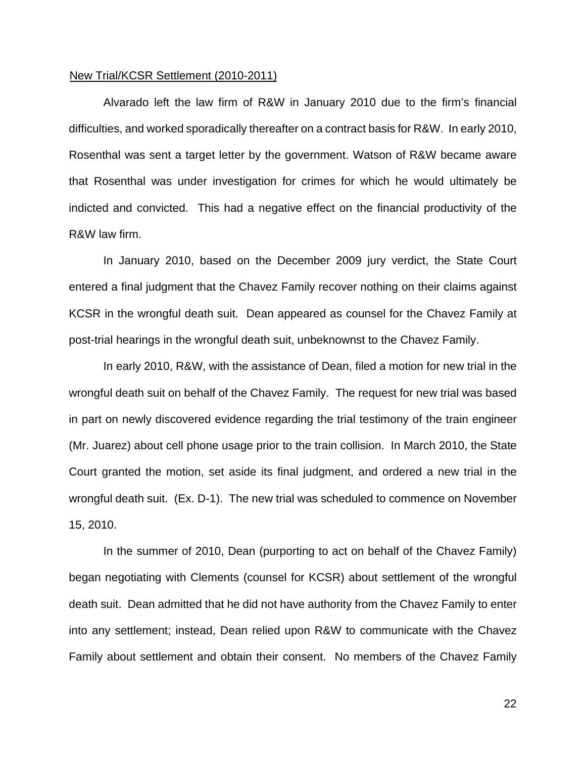#### New Trial/KCSR Settlement (2010-2011)

Alvarado left the law firm of R&W in January 2010 due to the firm's financial difficulties, and worked sporadically thereafter on a contract basis for R&W. In early 2010, Rosenthal was sent a target letter by the government. Watson of R&W became aware that Rosenthal was under investigation for crimes for which he would ultimately be indicted and convicted. This had a negative effect on the financial productivity of the R&W law firm.

In January 2010, based on the December 2009 jury verdict, the State Court entered a final judgment that the Chavez Family recover nothing on their claims against KCSR in the wrongful death suit. Dean appeared as counsel for the Chavez Family at post-trial hearings in the wrongful death suit, unbeknownst to the Chavez Family.

In early 2010, R&W, with the assistance of Dean, filed a motion for new trial in the wrongful death suit on behalf of the Chavez Family. The request for new trial was based in part on newly discovered evidence regarding the trial testimony of the train engineer (Mr. Juarez) about cell phone usage prior to the train collision. In March 2010, the State Court granted the motion, set aside its final judgment, and ordered a new trial in the wrongful death suit. (Ex. D-1). The new trial was scheduled to commence on November 15, 2010.

In the summer of 2010, Dean (purporting to act on behalf of the Chavez Family) began negotiating with Clements (counsel for KCSR) about settlement of the wrongful death suit. Dean admitted that he did not have authority from the Chavez Family to enter into any settlement; instead, Dean relied upon R&W to communicate with the Chavez Family about settlement and obtain their consent. No members of the Chavez Family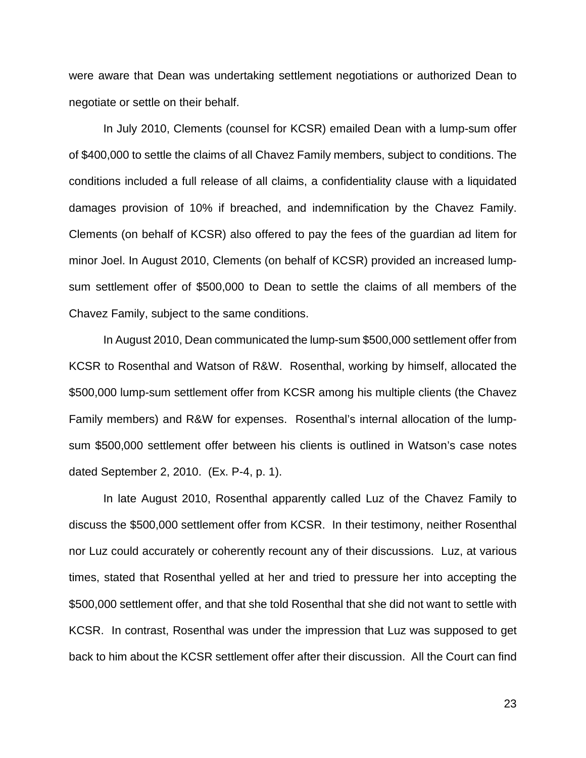were aware that Dean was undertaking settlement negotiations or authorized Dean to negotiate or settle on their behalf.

In July 2010, Clements (counsel for KCSR) emailed Dean with a lump-sum offer of \$400,000 to settle the claims of all Chavez Family members, subject to conditions. The conditions included a full release of all claims, a confidentiality clause with a liquidated damages provision of 10% if breached, and indemnification by the Chavez Family. Clements (on behalf of KCSR) also offered to pay the fees of the guardian ad litem for minor Joel. In August 2010, Clements (on behalf of KCSR) provided an increased lumpsum settlement offer of \$500,000 to Dean to settle the claims of all members of the Chavez Family, subject to the same conditions.

In August 2010, Dean communicated the lump-sum \$500,000 settlement offer from KCSR to Rosenthal and Watson of R&W. Rosenthal, working by himself, allocated the \$500,000 lump-sum settlement offer from KCSR among his multiple clients (the Chavez Family members) and R&W for expenses. Rosenthal's internal allocation of the lumpsum \$500,000 settlement offer between his clients is outlined in Watson's case notes dated September 2, 2010. (Ex. P-4, p. 1).

In late August 2010, Rosenthal apparently called Luz of the Chavez Family to discuss the \$500,000 settlement offer from KCSR. In their testimony, neither Rosenthal nor Luz could accurately or coherently recount any of their discussions. Luz, at various times, stated that Rosenthal yelled at her and tried to pressure her into accepting the \$500,000 settlement offer, and that she told Rosenthal that she did not want to settle with KCSR. In contrast, Rosenthal was under the impression that Luz was supposed to get back to him about the KCSR settlement offer after their discussion. All the Court can find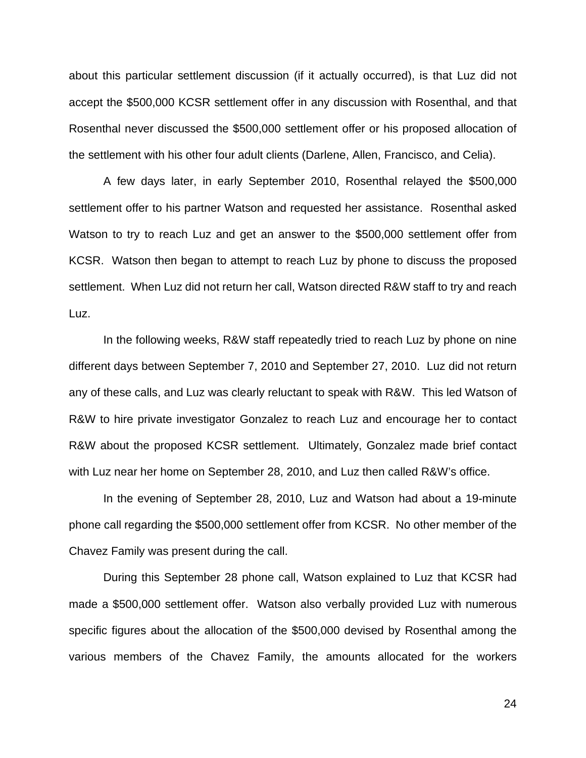about this particular settlement discussion (if it actually occurred), is that Luz did not accept the \$500,000 KCSR settlement offer in any discussion with Rosenthal, and that Rosenthal never discussed the \$500,000 settlement offer or his proposed allocation of the settlement with his other four adult clients (Darlene, Allen, Francisco, and Celia).

 A few days later, in early September 2010, Rosenthal relayed the \$500,000 settlement offer to his partner Watson and requested her assistance. Rosenthal asked Watson to try to reach Luz and get an answer to the \$500,000 settlement offer from KCSR. Watson then began to attempt to reach Luz by phone to discuss the proposed settlement. When Luz did not return her call, Watson directed R&W staff to try and reach Luz.

In the following weeks, R&W staff repeatedly tried to reach Luz by phone on nine different days between September 7, 2010 and September 27, 2010. Luz did not return any of these calls, and Luz was clearly reluctant to speak with R&W. This led Watson of R&W to hire private investigator Gonzalez to reach Luz and encourage her to contact R&W about the proposed KCSR settlement. Ultimately, Gonzalez made brief contact with Luz near her home on September 28, 2010, and Luz then called R&W's office.

In the evening of September 28, 2010, Luz and Watson had about a 19-minute phone call regarding the \$500,000 settlement offer from KCSR. No other member of the Chavez Family was present during the call.

During this September 28 phone call, Watson explained to Luz that KCSR had made a \$500,000 settlement offer. Watson also verbally provided Luz with numerous specific figures about the allocation of the \$500,000 devised by Rosenthal among the various members of the Chavez Family, the amounts allocated for the workers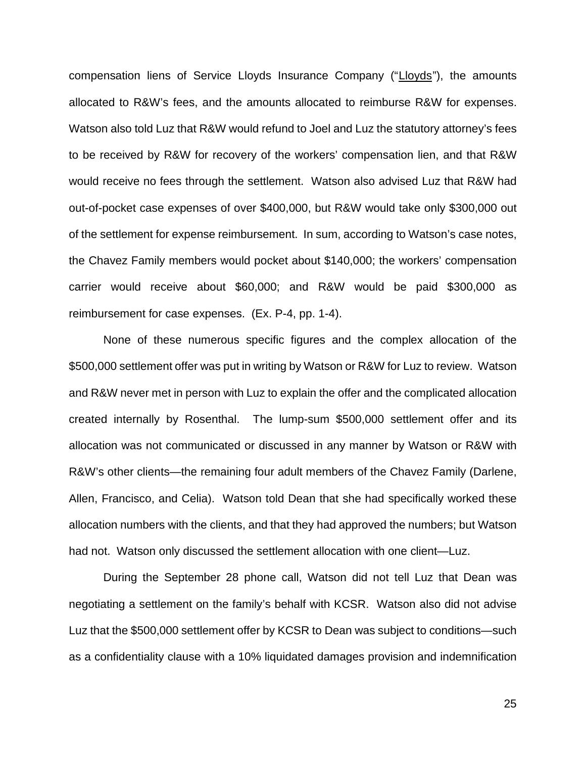compensation liens of Service Lloyds Insurance Company ("Lloyds"), the amounts allocated to R&W's fees, and the amounts allocated to reimburse R&W for expenses. Watson also told Luz that R&W would refund to Joel and Luz the statutory attorney's fees to be received by R&W for recovery of the workers' compensation lien, and that R&W would receive no fees through the settlement. Watson also advised Luz that R&W had out-of-pocket case expenses of over \$400,000, but R&W would take only \$300,000 out of the settlement for expense reimbursement. In sum, according to Watson's case notes, the Chavez Family members would pocket about \$140,000; the workers' compensation carrier would receive about \$60,000; and R&W would be paid \$300,000 as reimbursement for case expenses. (Ex. P-4, pp. 1-4).

None of these numerous specific figures and the complex allocation of the \$500,000 settlement offer was put in writing by Watson or R&W for Luz to review. Watson and R&W never met in person with Luz to explain the offer and the complicated allocation created internally by Rosenthal. The lump-sum \$500,000 settlement offer and its allocation was not communicated or discussed in any manner by Watson or R&W with R&W's other clients—the remaining four adult members of the Chavez Family (Darlene, Allen, Francisco, and Celia). Watson told Dean that she had specifically worked these allocation numbers with the clients, and that they had approved the numbers; but Watson had not. Watson only discussed the settlement allocation with one client—Luz.

During the September 28 phone call, Watson did not tell Luz that Dean was negotiating a settlement on the family's behalf with KCSR. Watson also did not advise Luz that the \$500,000 settlement offer by KCSR to Dean was subject to conditions—such as a confidentiality clause with a 10% liquidated damages provision and indemnification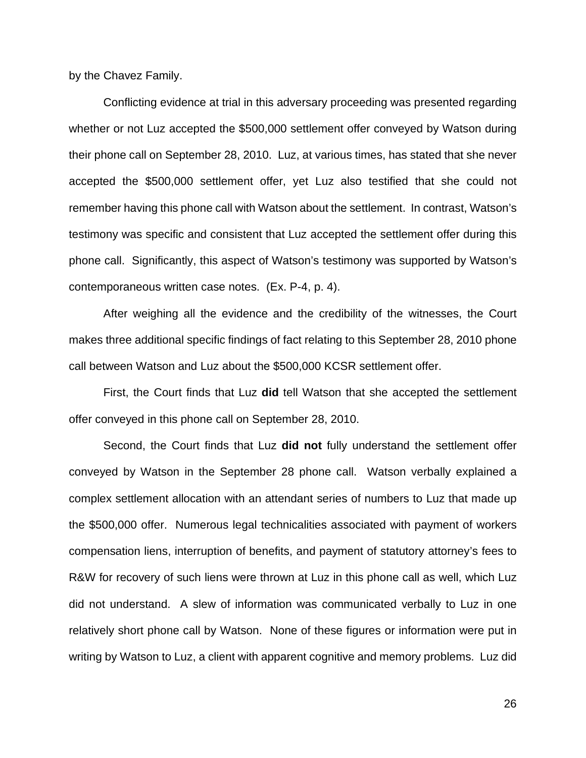by the Chavez Family.

Conflicting evidence at trial in this adversary proceeding was presented regarding whether or not Luz accepted the \$500,000 settlement offer conveyed by Watson during their phone call on September 28, 2010. Luz, at various times, has stated that she never accepted the \$500,000 settlement offer, yet Luz also testified that she could not remember having this phone call with Watson about the settlement. In contrast, Watson's testimony was specific and consistent that Luz accepted the settlement offer during this phone call. Significantly, this aspect of Watson's testimony was supported by Watson's contemporaneous written case notes. (Ex. P-4, p. 4).

After weighing all the evidence and the credibility of the witnesses, the Court makes three additional specific findings of fact relating to this September 28, 2010 phone call between Watson and Luz about the \$500,000 KCSR settlement offer.

First, the Court finds that Luz **did** tell Watson that she accepted the settlement offer conveyed in this phone call on September 28, 2010.

Second, the Court finds that Luz **did not** fully understand the settlement offer conveyed by Watson in the September 28 phone call. Watson verbally explained a complex settlement allocation with an attendant series of numbers to Luz that made up the \$500,000 offer. Numerous legal technicalities associated with payment of workers compensation liens, interruption of benefits, and payment of statutory attorney's fees to R&W for recovery of such liens were thrown at Luz in this phone call as well, which Luz did not understand. A slew of information was communicated verbally to Luz in one relatively short phone call by Watson. None of these figures or information were put in writing by Watson to Luz, a client with apparent cognitive and memory problems. Luz did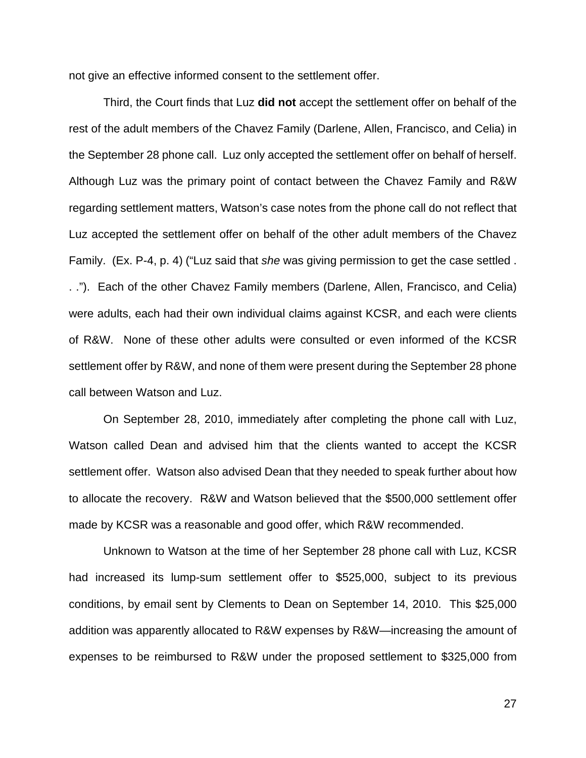not give an effective informed consent to the settlement offer.

Third, the Court finds that Luz **did not** accept the settlement offer on behalf of the rest of the adult members of the Chavez Family (Darlene, Allen, Francisco, and Celia) in the September 28 phone call. Luz only accepted the settlement offer on behalf of herself. Although Luz was the primary point of contact between the Chavez Family and R&W regarding settlement matters, Watson's case notes from the phone call do not reflect that Luz accepted the settlement offer on behalf of the other adult members of the Chavez Family. (Ex. P-4, p. 4) ("Luz said that *she* was giving permission to get the case settled . . ."). Each of the other Chavez Family members (Darlene, Allen, Francisco, and Celia) were adults, each had their own individual claims against KCSR, and each were clients of R&W. None of these other adults were consulted or even informed of the KCSR settlement offer by R&W, and none of them were present during the September 28 phone call between Watson and Luz.

On September 28, 2010, immediately after completing the phone call with Luz, Watson called Dean and advised him that the clients wanted to accept the KCSR settlement offer. Watson also advised Dean that they needed to speak further about how to allocate the recovery. R&W and Watson believed that the \$500,000 settlement offer made by KCSR was a reasonable and good offer, which R&W recommended.

Unknown to Watson at the time of her September 28 phone call with Luz, KCSR had increased its lump-sum settlement offer to \$525,000, subject to its previous conditions, by email sent by Clements to Dean on September 14, 2010. This \$25,000 addition was apparently allocated to R&W expenses by R&W—increasing the amount of expenses to be reimbursed to R&W under the proposed settlement to \$325,000 from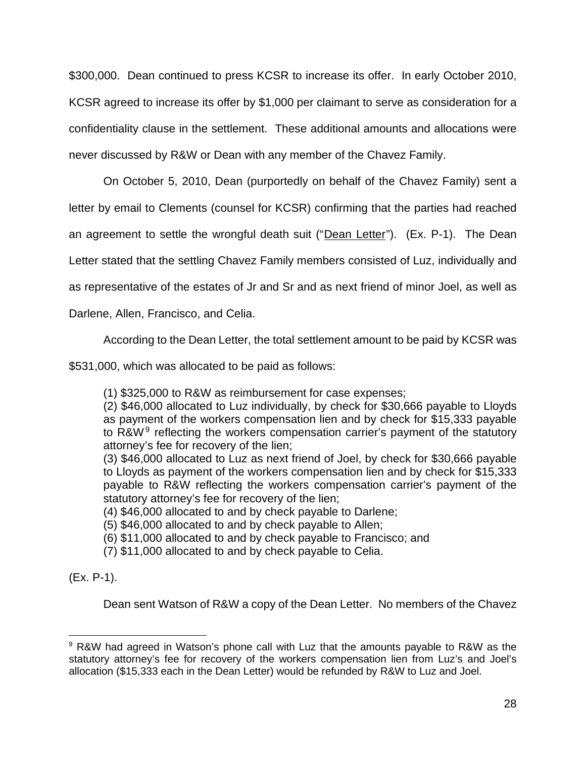\$300,000. Dean continued to press KCSR to increase its offer. In early October 2010, KCSR agreed to increase its offer by \$1,000 per claimant to serve as consideration for a confidentiality clause in the settlement. These additional amounts and allocations were never discussed by R&W or Dean with any member of the Chavez Family.

On October 5, 2010, Dean (purportedly on behalf of the Chavez Family) sent a letter by email to Clements (counsel for KCSR) confirming that the parties had reached an agreement to settle the wrongful death suit ("Dean Letter"). (Ex. P-1). The Dean Letter stated that the settling Chavez Family members consisted of Luz, individually and as representative of the estates of Jr and Sr and as next friend of minor Joel, as well as

Darlene, Allen, Francisco, and Celia.

According to the Dean Letter, the total settlement amount to be paid by KCSR was

\$531,000, which was allocated to be paid as follows:

(1) \$325,000 to R&W as reimbursement for case expenses;

(2) \$46,000 allocated to Luz individually, by check for \$30,666 payable to Lloyds as payment of the workers compensation lien and by check for \$15,333 payable to R&W<sup>9</sup> reflecting the workers compensation carrier's payment of the statutory attorney's fee for recovery of the lien;

(3) \$46,000 allocated to Luz as next friend of Joel, by check for \$30,666 payable to Lloyds as payment of the workers compensation lien and by check for \$15,333 payable to R&W reflecting the workers compensation carrier's payment of the statutory attorney's fee for recovery of the lien;

(4) \$46,000 allocated to and by check payable to Darlene;

(5) \$46,000 allocated to and by check payable to Allen;

(6) \$11,000 allocated to and by check payable to Francisco; and

(7) \$11,000 allocated to and by check payable to Celia.

(Ex. P-1).

Dean sent Watson of R&W a copy of the Dean Letter. No members of the Chavez

<sup>9</sup> R&W had agreed in Watson's phone call with Luz that the amounts payable to R&W as the statutory attorney's fee for recovery of the workers compensation lien from Luz's and Joel's allocation (\$15,333 each in the Dean Letter) would be refunded by R&W to Luz and Joel.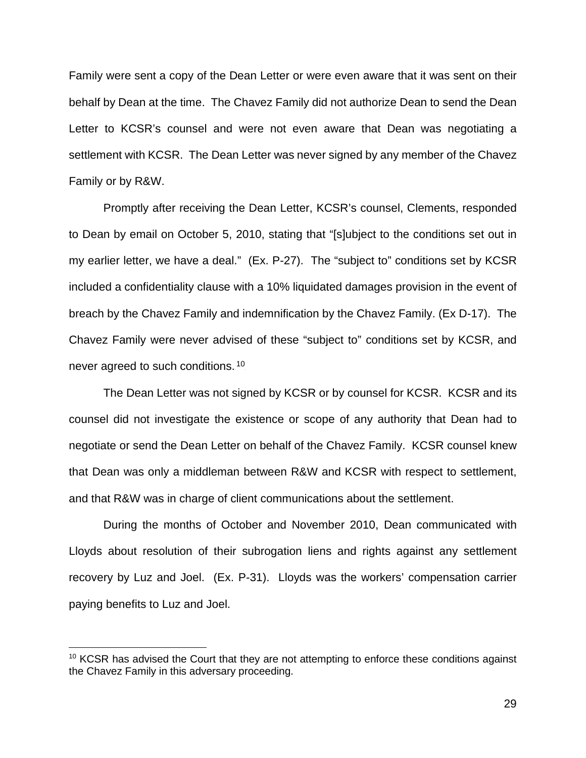Family were sent a copy of the Dean Letter or were even aware that it was sent on their behalf by Dean at the time. The Chavez Family did not authorize Dean to send the Dean Letter to KCSR's counsel and were not even aware that Dean was negotiating a settlement with KCSR. The Dean Letter was never signed by any member of the Chavez Family or by R&W.

Promptly after receiving the Dean Letter, KCSR's counsel, Clements, responded to Dean by email on October 5, 2010, stating that "[s]ubject to the conditions set out in my earlier letter, we have a deal." (Ex. P-27). The "subject to" conditions set by KCSR included a confidentiality clause with a 10% liquidated damages provision in the event of breach by the Chavez Family and indemnification by the Chavez Family. (Ex D-17). The Chavez Family were never advised of these "subject to" conditions set by KCSR, and never agreed to such conditions.<sup>10</sup>

The Dean Letter was not signed by KCSR or by counsel for KCSR. KCSR and its counsel did not investigate the existence or scope of any authority that Dean had to negotiate or send the Dean Letter on behalf of the Chavez Family. KCSR counsel knew that Dean was only a middleman between R&W and KCSR with respect to settlement, and that R&W was in charge of client communications about the settlement.

 During the months of October and November 2010, Dean communicated with Lloyds about resolution of their subrogation liens and rights against any settlement recovery by Luz and Joel. (Ex. P-31). Lloyds was the workers' compensation carrier paying benefits to Luz and Joel.

<sup>&</sup>lt;sup>10</sup> KCSR has advised the Court that they are not attempting to enforce these conditions against the Chavez Family in this adversary proceeding.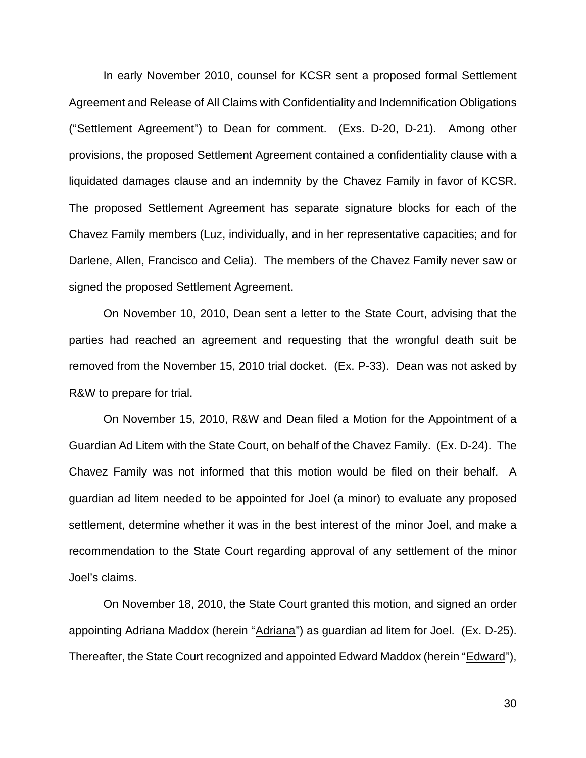In early November 2010, counsel for KCSR sent a proposed formal Settlement Agreement and Release of All Claims with Confidentiality and Indemnification Obligations ("Settlement Agreement") to Dean for comment. (Exs. D-20, D-21). Among other provisions, the proposed Settlement Agreement contained a confidentiality clause with a liquidated damages clause and an indemnity by the Chavez Family in favor of KCSR. The proposed Settlement Agreement has separate signature blocks for each of the Chavez Family members (Luz, individually, and in her representative capacities; and for Darlene, Allen, Francisco and Celia). The members of the Chavez Family never saw or signed the proposed Settlement Agreement.

On November 10, 2010, Dean sent a letter to the State Court, advising that the parties had reached an agreement and requesting that the wrongful death suit be removed from the November 15, 2010 trial docket. (Ex. P-33). Dean was not asked by R&W to prepare for trial.

On November 15, 2010, R&W and Dean filed a Motion for the Appointment of a Guardian Ad Litem with the State Court, on behalf of the Chavez Family. (Ex. D-24). The Chavez Family was not informed that this motion would be filed on their behalf. A guardian ad litem needed to be appointed for Joel (a minor) to evaluate any proposed settlement, determine whether it was in the best interest of the minor Joel, and make a recommendation to the State Court regarding approval of any settlement of the minor Joel's claims.

On November 18, 2010, the State Court granted this motion, and signed an order appointing Adriana Maddox (herein "Adriana") as guardian ad litem for Joel. (Ex. D-25). Thereafter, the State Court recognized and appointed Edward Maddox (herein "Edward"),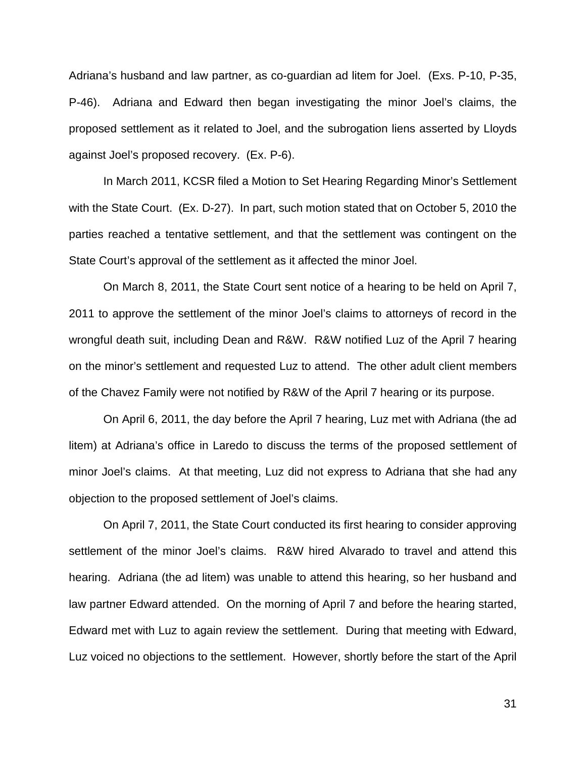Adriana's husband and law partner, as co-guardian ad litem for Joel. (Exs. P-10, P-35, P-46). Adriana and Edward then began investigating the minor Joel's claims, the proposed settlement as it related to Joel, and the subrogation liens asserted by Lloyds against Joel's proposed recovery. (Ex. P-6).

In March 2011, KCSR filed a Motion to Set Hearing Regarding Minor's Settlement with the State Court. (Ex. D-27). In part, such motion stated that on October 5, 2010 the parties reached a tentative settlement, and that the settlement was contingent on the State Court's approval of the settlement as it affected the minor Joel.

On March 8, 2011, the State Court sent notice of a hearing to be held on April 7, 2011 to approve the settlement of the minor Joel's claims to attorneys of record in the wrongful death suit, including Dean and R&W. R&W notified Luz of the April 7 hearing on the minor's settlement and requested Luz to attend. The other adult client members of the Chavez Family were not notified by R&W of the April 7 hearing or its purpose.

On April 6, 2011, the day before the April 7 hearing, Luz met with Adriana (the ad litem) at Adriana's office in Laredo to discuss the terms of the proposed settlement of minor Joel's claims. At that meeting, Luz did not express to Adriana that she had any objection to the proposed settlement of Joel's claims.

On April 7, 2011, the State Court conducted its first hearing to consider approving settlement of the minor Joel's claims. R&W hired Alvarado to travel and attend this hearing. Adriana (the ad litem) was unable to attend this hearing, so her husband and law partner Edward attended. On the morning of April 7 and before the hearing started, Edward met with Luz to again review the settlement. During that meeting with Edward, Luz voiced no objections to the settlement. However, shortly before the start of the April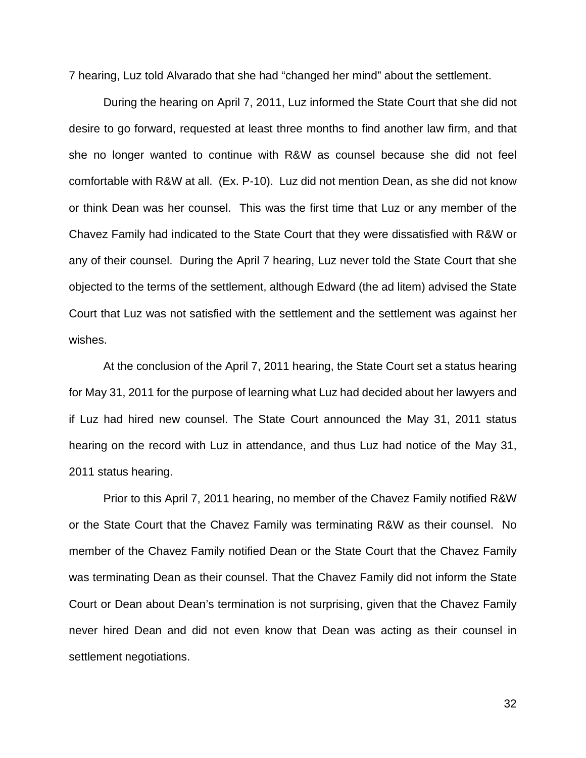7 hearing, Luz told Alvarado that she had "changed her mind" about the settlement.

During the hearing on April 7, 2011, Luz informed the State Court that she did not desire to go forward, requested at least three months to find another law firm, and that she no longer wanted to continue with R&W as counsel because she did not feel comfortable with R&W at all. (Ex. P-10). Luz did not mention Dean, as she did not know or think Dean was her counsel. This was the first time that Luz or any member of the Chavez Family had indicated to the State Court that they were dissatisfied with R&W or any of their counsel. During the April 7 hearing, Luz never told the State Court that she objected to the terms of the settlement, although Edward (the ad litem) advised the State Court that Luz was not satisfied with the settlement and the settlement was against her wishes.

At the conclusion of the April 7, 2011 hearing, the State Court set a status hearing for May 31, 2011 for the purpose of learning what Luz had decided about her lawyers and if Luz had hired new counsel. The State Court announced the May 31, 2011 status hearing on the record with Luz in attendance, and thus Luz had notice of the May 31, 2011 status hearing.

Prior to this April 7, 2011 hearing, no member of the Chavez Family notified R&W or the State Court that the Chavez Family was terminating R&W as their counsel. No member of the Chavez Family notified Dean or the State Court that the Chavez Family was terminating Dean as their counsel. That the Chavez Family did not inform the State Court or Dean about Dean's termination is not surprising, given that the Chavez Family never hired Dean and did not even know that Dean was acting as their counsel in settlement negotiations.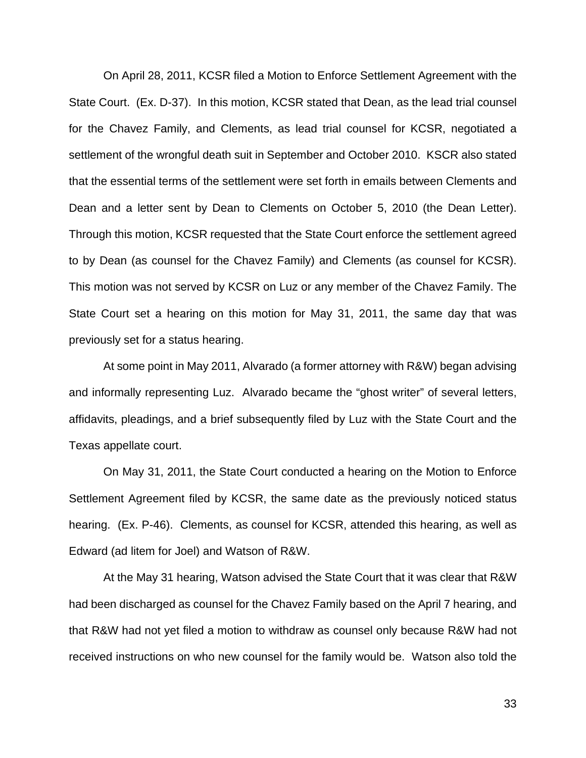On April 28, 2011, KCSR filed a Motion to Enforce Settlement Agreement with the State Court. (Ex. D-37). In this motion, KCSR stated that Dean, as the lead trial counsel for the Chavez Family, and Clements, as lead trial counsel for KCSR, negotiated a settlement of the wrongful death suit in September and October 2010. KSCR also stated that the essential terms of the settlement were set forth in emails between Clements and Dean and a letter sent by Dean to Clements on October 5, 2010 (the Dean Letter). Through this motion, KCSR requested that the State Court enforce the settlement agreed to by Dean (as counsel for the Chavez Family) and Clements (as counsel for KCSR). This motion was not served by KCSR on Luz or any member of the Chavez Family. The State Court set a hearing on this motion for May 31, 2011, the same day that was previously set for a status hearing.

At some point in May 2011, Alvarado (a former attorney with R&W) began advising and informally representing Luz. Alvarado became the "ghost writer" of several letters, affidavits, pleadings, and a brief subsequently filed by Luz with the State Court and the Texas appellate court.

On May 31, 2011, the State Court conducted a hearing on the Motion to Enforce Settlement Agreement filed by KCSR, the same date as the previously noticed status hearing. (Ex. P-46). Clements, as counsel for KCSR, attended this hearing, as well as Edward (ad litem for Joel) and Watson of R&W.

At the May 31 hearing, Watson advised the State Court that it was clear that R&W had been discharged as counsel for the Chavez Family based on the April 7 hearing, and that R&W had not yet filed a motion to withdraw as counsel only because R&W had not received instructions on who new counsel for the family would be. Watson also told the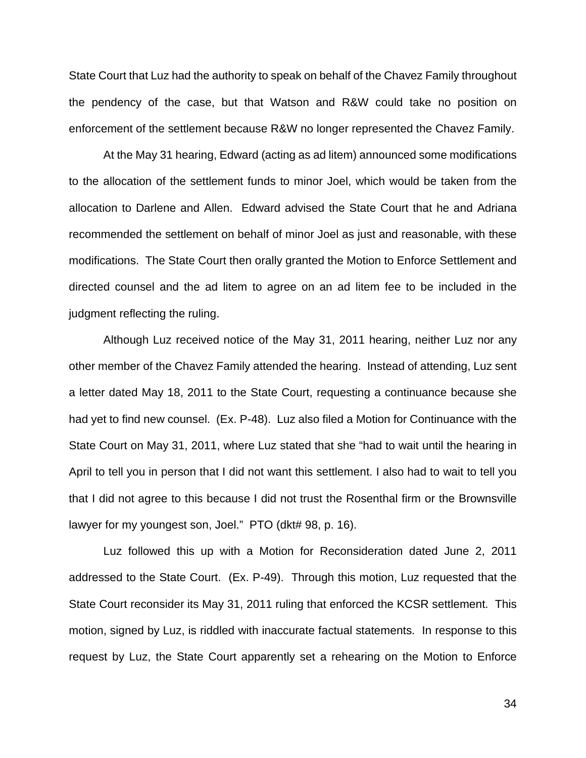State Court that Luz had the authority to speak on behalf of the Chavez Family throughout the pendency of the case, but that Watson and R&W could take no position on enforcement of the settlement because R&W no longer represented the Chavez Family.

At the May 31 hearing, Edward (acting as ad litem) announced some modifications to the allocation of the settlement funds to minor Joel, which would be taken from the allocation to Darlene and Allen. Edward advised the State Court that he and Adriana recommended the settlement on behalf of minor Joel as just and reasonable, with these modifications. The State Court then orally granted the Motion to Enforce Settlement and directed counsel and the ad litem to agree on an ad litem fee to be included in the judgment reflecting the ruling.

Although Luz received notice of the May 31, 2011 hearing, neither Luz nor any other member of the Chavez Family attended the hearing. Instead of attending, Luz sent a letter dated May 18, 2011 to the State Court, requesting a continuance because she had yet to find new counsel. (Ex. P-48). Luz also filed a Motion for Continuance with the State Court on May 31, 2011, where Luz stated that she "had to wait until the hearing in April to tell you in person that I did not want this settlement. I also had to wait to tell you that I did not agree to this because I did not trust the Rosenthal firm or the Brownsville lawyer for my youngest son, Joel." PTO (dkt# 98, p. 16).

Luz followed this up with a Motion for Reconsideration dated June 2, 2011 addressed to the State Court. (Ex. P-49). Through this motion, Luz requested that the State Court reconsider its May 31, 2011 ruling that enforced the KCSR settlement. This motion, signed by Luz, is riddled with inaccurate factual statements. In response to this request by Luz, the State Court apparently set a rehearing on the Motion to Enforce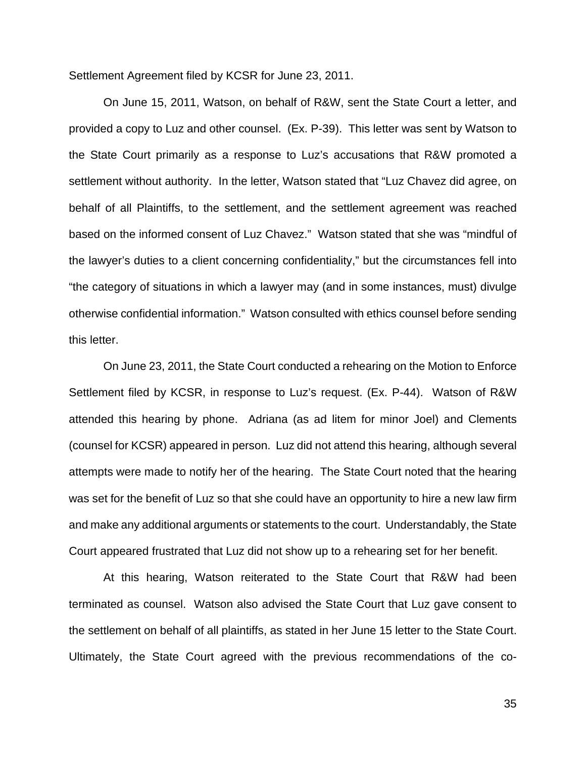Settlement Agreement filed by KCSR for June 23, 2011.

On June 15, 2011, Watson, on behalf of R&W, sent the State Court a letter, and provided a copy to Luz and other counsel. (Ex. P-39). This letter was sent by Watson to the State Court primarily as a response to Luz's accusations that R&W promoted a settlement without authority. In the letter, Watson stated that "Luz Chavez did agree, on behalf of all Plaintiffs, to the settlement, and the settlement agreement was reached based on the informed consent of Luz Chavez." Watson stated that she was "mindful of the lawyer's duties to a client concerning confidentiality," but the circumstances fell into "the category of situations in which a lawyer may (and in some instances, must) divulge otherwise confidential information." Watson consulted with ethics counsel before sending this letter.

 On June 23, 2011, the State Court conducted a rehearing on the Motion to Enforce Settlement filed by KCSR, in response to Luz's request. (Ex. P-44). Watson of R&W attended this hearing by phone. Adriana (as ad litem for minor Joel) and Clements (counsel for KCSR) appeared in person. Luz did not attend this hearing, although several attempts were made to notify her of the hearing. The State Court noted that the hearing was set for the benefit of Luz so that she could have an opportunity to hire a new law firm and make any additional arguments or statements to the court. Understandably, the State Court appeared frustrated that Luz did not show up to a rehearing set for her benefit.

At this hearing, Watson reiterated to the State Court that R&W had been terminated as counsel. Watson also advised the State Court that Luz gave consent to the settlement on behalf of all plaintiffs, as stated in her June 15 letter to the State Court. Ultimately, the State Court agreed with the previous recommendations of the co-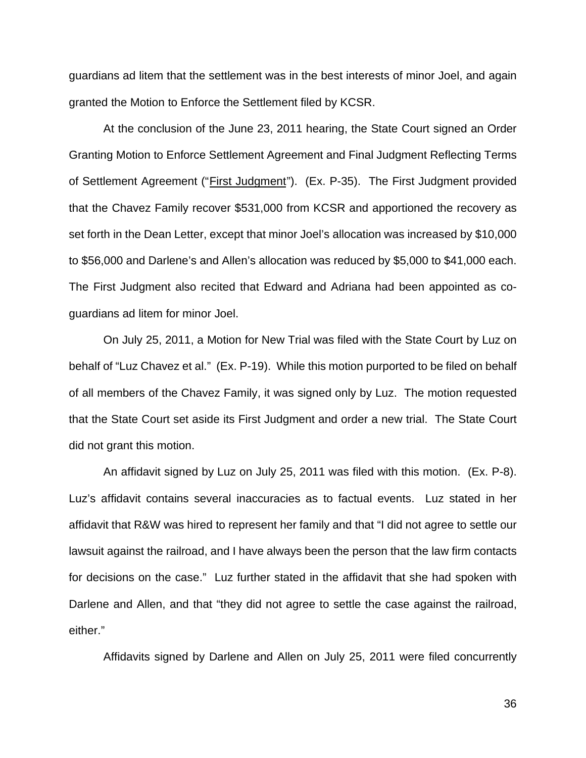guardians ad litem that the settlement was in the best interests of minor Joel, and again granted the Motion to Enforce the Settlement filed by KCSR.

At the conclusion of the June 23, 2011 hearing, the State Court signed an Order Granting Motion to Enforce Settlement Agreement and Final Judgment Reflecting Terms of Settlement Agreement ("First Judgment"). (Ex. P-35). The First Judgment provided that the Chavez Family recover \$531,000 from KCSR and apportioned the recovery as set forth in the Dean Letter, except that minor Joel's allocation was increased by \$10,000 to \$56,000 and Darlene's and Allen's allocation was reduced by \$5,000 to \$41,000 each. The First Judgment also recited that Edward and Adriana had been appointed as coguardians ad litem for minor Joel.

On July 25, 2011, a Motion for New Trial was filed with the State Court by Luz on behalf of "Luz Chavez et al." (Ex. P-19). While this motion purported to be filed on behalf of all members of the Chavez Family, it was signed only by Luz. The motion requested that the State Court set aside its First Judgment and order a new trial. The State Court did not grant this motion.

An affidavit signed by Luz on July 25, 2011 was filed with this motion. (Ex. P-8). Luz's affidavit contains several inaccuracies as to factual events. Luz stated in her affidavit that R&W was hired to represent her family and that "I did not agree to settle our lawsuit against the railroad, and I have always been the person that the law firm contacts for decisions on the case." Luz further stated in the affidavit that she had spoken with Darlene and Allen, and that "they did not agree to settle the case against the railroad, either."

Affidavits signed by Darlene and Allen on July 25, 2011 were filed concurrently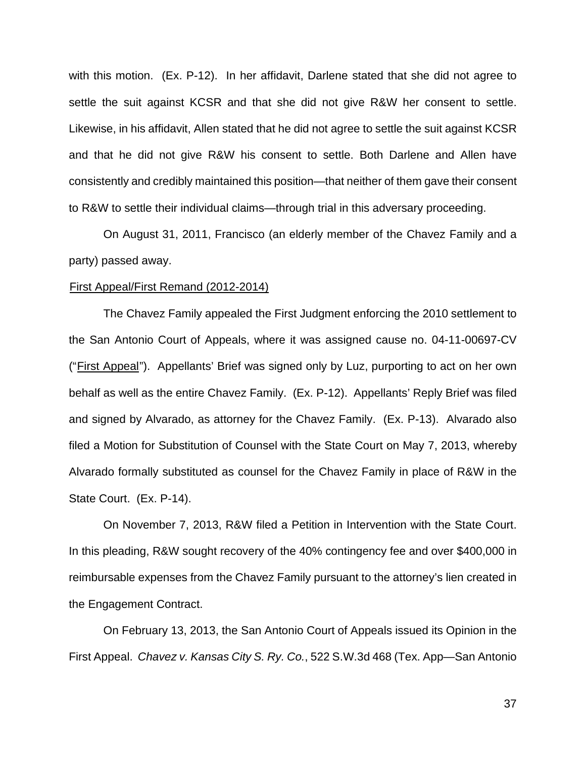with this motion. (Ex. P-12). In her affidavit, Darlene stated that she did not agree to settle the suit against KCSR and that she did not give R&W her consent to settle. Likewise, in his affidavit, Allen stated that he did not agree to settle the suit against KCSR and that he did not give R&W his consent to settle. Both Darlene and Allen have consistently and credibly maintained this position—that neither of them gave their consent to R&W to settle their individual claims—through trial in this adversary proceeding.

On August 31, 2011, Francisco (an elderly member of the Chavez Family and a party) passed away.

#### First Appeal/First Remand (2012-2014)

The Chavez Family appealed the First Judgment enforcing the 2010 settlement to the San Antonio Court of Appeals, where it was assigned cause no. 04-11-00697-CV ("First Appeal"). Appellants' Brief was signed only by Luz, purporting to act on her own behalf as well as the entire Chavez Family. (Ex. P-12). Appellants' Reply Brief was filed and signed by Alvarado, as attorney for the Chavez Family. (Ex. P-13). Alvarado also filed a Motion for Substitution of Counsel with the State Court on May 7, 2013, whereby Alvarado formally substituted as counsel for the Chavez Family in place of R&W in the State Court. (Ex. P-14).

On November 7, 2013, R&W filed a Petition in Intervention with the State Court. In this pleading, R&W sought recovery of the 40% contingency fee and over \$400,000 in reimbursable expenses from the Chavez Family pursuant to the attorney's lien created in the Engagement Contract.

On February 13, 2013, the San Antonio Court of Appeals issued its Opinion in the First Appeal. *Chavez v. Kansas City S. Ry. Co.*, 522 S.W.3d 468 (Tex. App—San Antonio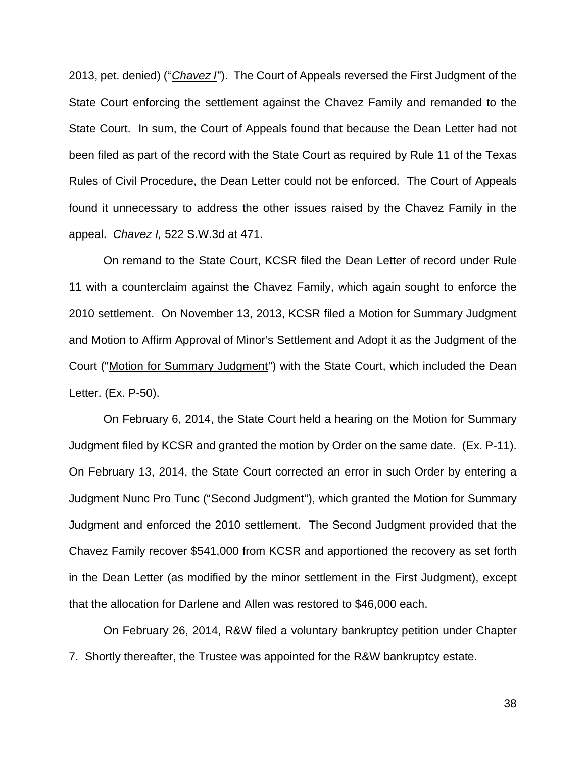2013, pet. denied) ("*Chavez I*"). The Court of Appeals reversed the First Judgment of the State Court enforcing the settlement against the Chavez Family and remanded to the State Court. In sum, the Court of Appeals found that because the Dean Letter had not been filed as part of the record with the State Court as required by Rule 11 of the Texas Rules of Civil Procedure, the Dean Letter could not be enforced. The Court of Appeals found it unnecessary to address the other issues raised by the Chavez Family in the appeal. *Chavez I,* 522 S.W.3d at 471.

On remand to the State Court, KCSR filed the Dean Letter of record under Rule 11 with a counterclaim against the Chavez Family, which again sought to enforce the 2010 settlement. On November 13, 2013, KCSR filed a Motion for Summary Judgment and Motion to Affirm Approval of Minor's Settlement and Adopt it as the Judgment of the Court ("Motion for Summary Judgment") with the State Court, which included the Dean Letter. (Ex. P-50).

On February 6, 2014, the State Court held a hearing on the Motion for Summary Judgment filed by KCSR and granted the motion by Order on the same date. (Ex. P-11). On February 13, 2014, the State Court corrected an error in such Order by entering a Judgment Nunc Pro Tunc ("Second Judgment"), which granted the Motion for Summary Judgment and enforced the 2010 settlement. The Second Judgment provided that the Chavez Family recover \$541,000 from KCSR and apportioned the recovery as set forth in the Dean Letter (as modified by the minor settlement in the First Judgment), except that the allocation for Darlene and Allen was restored to \$46,000 each.

On February 26, 2014, R&W filed a voluntary bankruptcy petition under Chapter 7. Shortly thereafter, the Trustee was appointed for the R&W bankruptcy estate.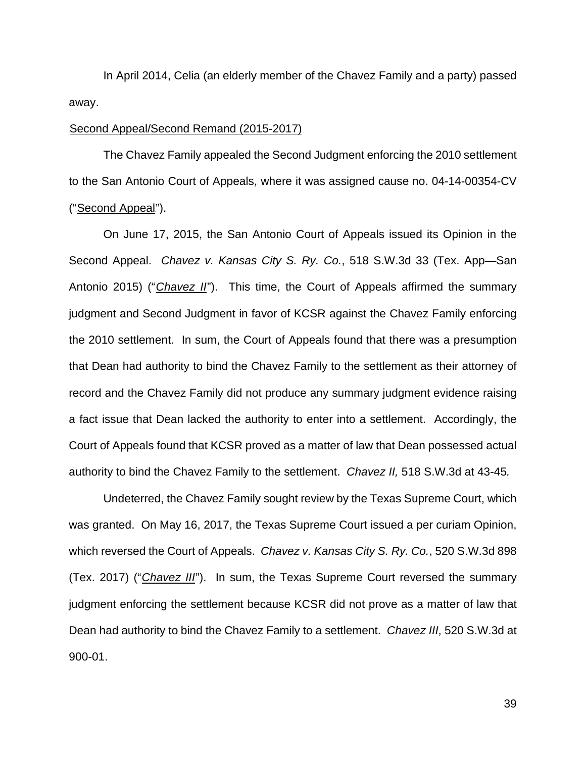In April 2014, Celia (an elderly member of the Chavez Family and a party) passed away.

## Second Appeal/Second Remand (2015-2017)

The Chavez Family appealed the Second Judgment enforcing the 2010 settlement to the San Antonio Court of Appeals, where it was assigned cause no. 04-14-00354-CV ("Second Appeal").

On June 17, 2015, the San Antonio Court of Appeals issued its Opinion in the Second Appeal. *Chavez v. Kansas City S. Ry. Co.*, 518 S.W.3d 33 (Tex. App—San Antonio 2015) ("*Chavez II*"). This time, the Court of Appeals affirmed the summary judgment and Second Judgment in favor of KCSR against the Chavez Family enforcing the 2010 settlement. In sum, the Court of Appeals found that there was a presumption that Dean had authority to bind the Chavez Family to the settlement as their attorney of record and the Chavez Family did not produce any summary judgment evidence raising a fact issue that Dean lacked the authority to enter into a settlement. Accordingly, the Court of Appeals found that KCSR proved as a matter of law that Dean possessed actual authority to bind the Chavez Family to the settlement. *Chavez II,* 518 S.W.3d at 43-45*.* 

Undeterred, the Chavez Family sought review by the Texas Supreme Court, which was granted. On May 16, 2017, the Texas Supreme Court issued a per curiam Opinion, which reversed the Court of Appeals. *Chavez v. Kansas City S. Ry. Co.*, 520 S.W.3d 898 (Tex. 2017) ("*Chavez III*"). In sum, the Texas Supreme Court reversed the summary judgment enforcing the settlement because KCSR did not prove as a matter of law that Dean had authority to bind the Chavez Family to a settlement. *Chavez III*, 520 S.W.3d at 900-01.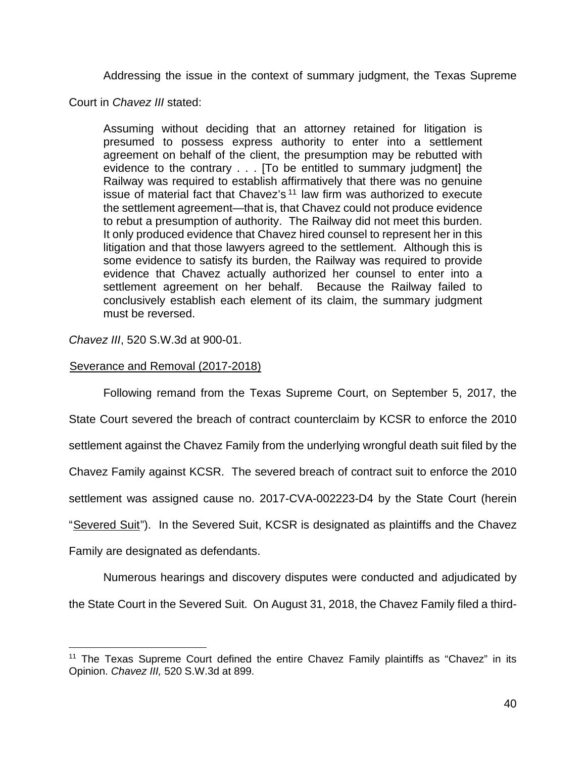Addressing the issue in the context of summary judgment, the Texas Supreme

Court in *Chavez III* stated:

Assuming without deciding that an attorney retained for litigation is presumed to possess express authority to enter into a settlement agreement on behalf of the client, the presumption may be rebutted with evidence to the contrary . . . [To be entitled to summary judgment] the Railway was required to establish affirmatively that there was no genuine issue of material fact that Chavez's <sup>11</sup> law firm was authorized to execute the settlement agreement—that is, that Chavez could not produce evidence to rebut a presumption of authority. The Railway did not meet this burden. It only produced evidence that Chavez hired counsel to represent her in this litigation and that those lawyers agreed to the settlement. Although this is some evidence to satisfy its burden, the Railway was required to provide evidence that Chavez actually authorized her counsel to enter into a settlement agreement on her behalf. Because the Railway failed to conclusively establish each element of its claim, the summary judgment must be reversed.

*Chavez III*, 520 S.W.3d at 900-01.

# Severance and Removal (2017-2018)

Following remand from the Texas Supreme Court, on September 5, 2017, the State Court severed the breach of contract counterclaim by KCSR to enforce the 2010 settlement against the Chavez Family from the underlying wrongful death suit filed by the Chavez Family against KCSR. The severed breach of contract suit to enforce the 2010 settlement was assigned cause no. 2017-CVA-002223-D4 by the State Court (herein "Severed Suit"). In the Severed Suit, KCSR is designated as plaintiffs and the Chavez Family are designated as defendants.

Numerous hearings and discovery disputes were conducted and adjudicated by the State Court in the Severed Suit. On August 31, 2018, the Chavez Family filed a third-

<sup>&</sup>lt;sup>11</sup> The Texas Supreme Court defined the entire Chavez Family plaintiffs as "Chavez" in its Opinion. *Chavez III,* 520 S.W.3d at 899.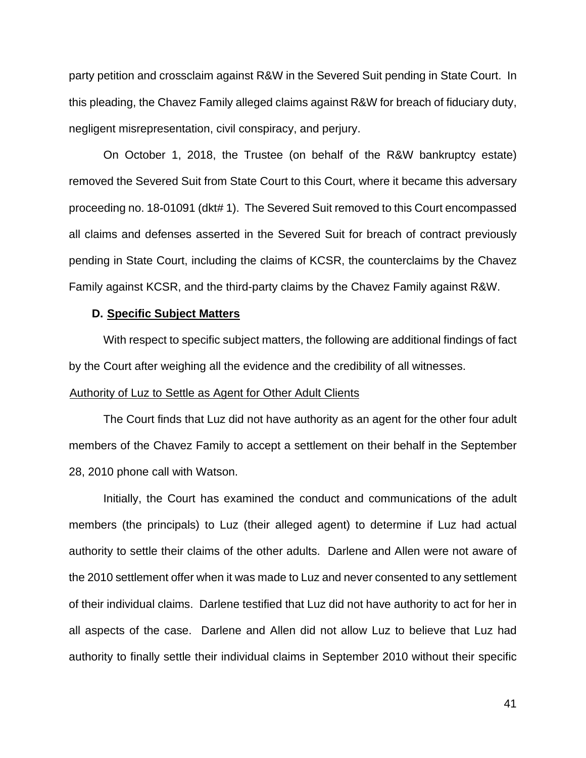party petition and crossclaim against R&W in the Severed Suit pending in State Court. In this pleading, the Chavez Family alleged claims against R&W for breach of fiduciary duty, negligent misrepresentation, civil conspiracy, and perjury.

On October 1, 2018, the Trustee (on behalf of the R&W bankruptcy estate) removed the Severed Suit from State Court to this Court, where it became this adversary proceeding no. 18-01091 (dkt# 1). The Severed Suit removed to this Court encompassed all claims and defenses asserted in the Severed Suit for breach of contract previously pending in State Court, including the claims of KCSR, the counterclaims by the Chavez Family against KCSR, and the third-party claims by the Chavez Family against R&W.

## **D. Specific Subject Matters**

With respect to specific subject matters, the following are additional findings of fact by the Court after weighing all the evidence and the credibility of all witnesses.

# Authority of Luz to Settle as Agent for Other Adult Clients

The Court finds that Luz did not have authority as an agent for the other four adult members of the Chavez Family to accept a settlement on their behalf in the September 28, 2010 phone call with Watson.

Initially, the Court has examined the conduct and communications of the adult members (the principals) to Luz (their alleged agent) to determine if Luz had actual authority to settle their claims of the other adults. Darlene and Allen were not aware of the 2010 settlement offer when it was made to Luz and never consented to any settlement of their individual claims. Darlene testified that Luz did not have authority to act for her in all aspects of the case. Darlene and Allen did not allow Luz to believe that Luz had authority to finally settle their individual claims in September 2010 without their specific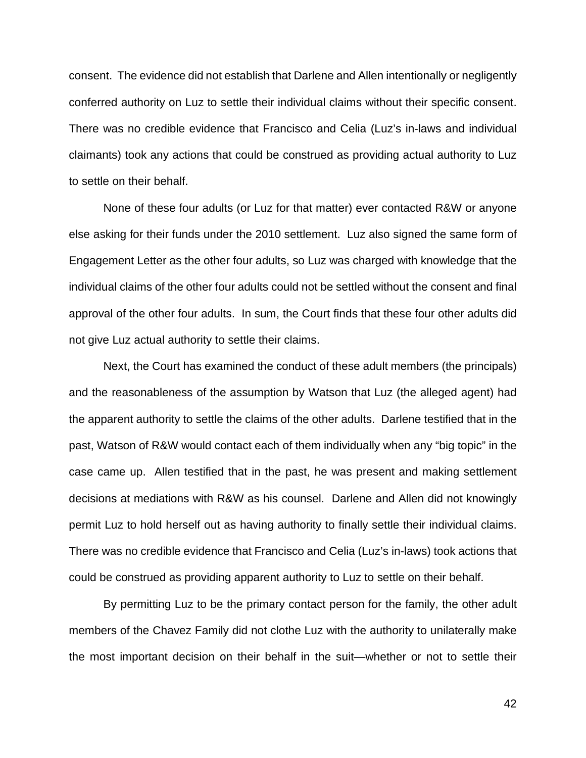consent. The evidence did not establish that Darlene and Allen intentionally or negligently conferred authority on Luz to settle their individual claims without their specific consent. There was no credible evidence that Francisco and Celia (Luz's in-laws and individual claimants) took any actions that could be construed as providing actual authority to Luz to settle on their behalf.

None of these four adults (or Luz for that matter) ever contacted R&W or anyone else asking for their funds under the 2010 settlement. Luz also signed the same form of Engagement Letter as the other four adults, so Luz was charged with knowledge that the individual claims of the other four adults could not be settled without the consent and final approval of the other four adults. In sum, the Court finds that these four other adults did not give Luz actual authority to settle their claims.

Next, the Court has examined the conduct of these adult members (the principals) and the reasonableness of the assumption by Watson that Luz (the alleged agent) had the apparent authority to settle the claims of the other adults. Darlene testified that in the past, Watson of R&W would contact each of them individually when any "big topic" in the case came up. Allen testified that in the past, he was present and making settlement decisions at mediations with R&W as his counsel. Darlene and Allen did not knowingly permit Luz to hold herself out as having authority to finally settle their individual claims. There was no credible evidence that Francisco and Celia (Luz's in-laws) took actions that could be construed as providing apparent authority to Luz to settle on their behalf.

By permitting Luz to be the primary contact person for the family, the other adult members of the Chavez Family did not clothe Luz with the authority to unilaterally make the most important decision on their behalf in the suit—whether or not to settle their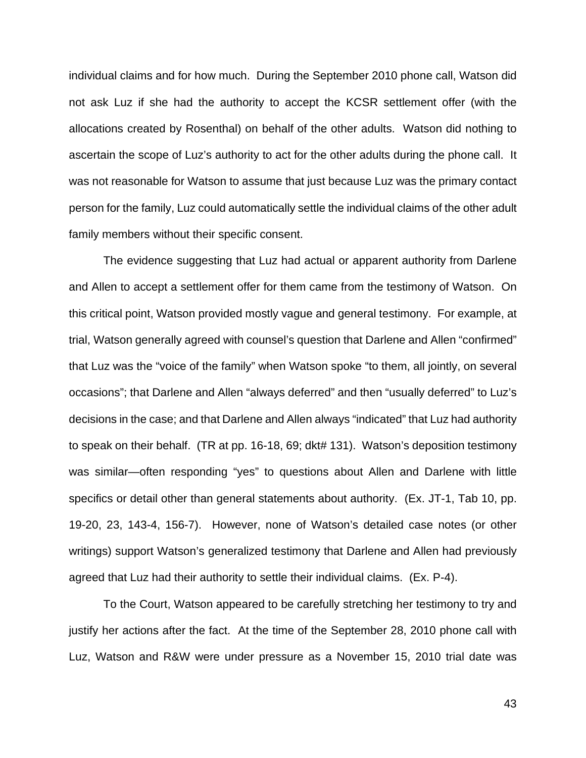individual claims and for how much. During the September 2010 phone call, Watson did not ask Luz if she had the authority to accept the KCSR settlement offer (with the allocations created by Rosenthal) on behalf of the other adults. Watson did nothing to ascertain the scope of Luz's authority to act for the other adults during the phone call. It was not reasonable for Watson to assume that just because Luz was the primary contact person for the family, Luz could automatically settle the individual claims of the other adult family members without their specific consent.

The evidence suggesting that Luz had actual or apparent authority from Darlene and Allen to accept a settlement offer for them came from the testimony of Watson. On this critical point, Watson provided mostly vague and general testimony. For example, at trial, Watson generally agreed with counsel's question that Darlene and Allen "confirmed" that Luz was the "voice of the family" when Watson spoke "to them, all jointly, on several occasions"; that Darlene and Allen "always deferred" and then "usually deferred" to Luz's decisions in the case; and that Darlene and Allen always "indicated" that Luz had authority to speak on their behalf. (TR at pp. 16-18, 69; dkt# 131). Watson's deposition testimony was similar—often responding "yes" to questions about Allen and Darlene with little specifics or detail other than general statements about authority. (Ex. JT-1, Tab 10, pp. 19-20, 23, 143-4, 156-7). However, none of Watson's detailed case notes (or other writings) support Watson's generalized testimony that Darlene and Allen had previously agreed that Luz had their authority to settle their individual claims. (Ex. P-4).

To the Court, Watson appeared to be carefully stretching her testimony to try and justify her actions after the fact. At the time of the September 28, 2010 phone call with Luz, Watson and R&W were under pressure as a November 15, 2010 trial date was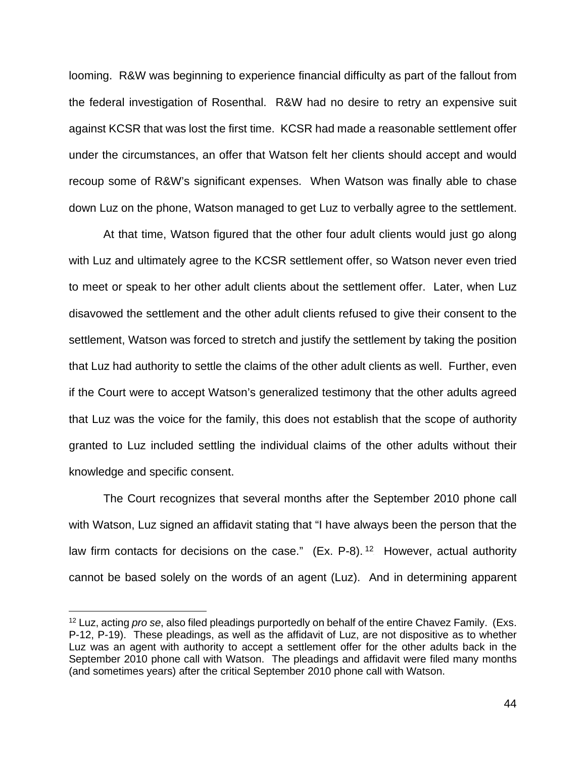looming. R&W was beginning to experience financial difficulty as part of the fallout from the federal investigation of Rosenthal. R&W had no desire to retry an expensive suit against KCSR that was lost the first time. KCSR had made a reasonable settlement offer under the circumstances, an offer that Watson felt her clients should accept and would recoup some of R&W's significant expenses. When Watson was finally able to chase down Luz on the phone, Watson managed to get Luz to verbally agree to the settlement.

At that time, Watson figured that the other four adult clients would just go along with Luz and ultimately agree to the KCSR settlement offer, so Watson never even tried to meet or speak to her other adult clients about the settlement offer. Later, when Luz disavowed the settlement and the other adult clients refused to give their consent to the settlement, Watson was forced to stretch and justify the settlement by taking the position that Luz had authority to settle the claims of the other adult clients as well. Further, even if the Court were to accept Watson's generalized testimony that the other adults agreed that Luz was the voice for the family, this does not establish that the scope of authority granted to Luz included settling the individual claims of the other adults without their knowledge and specific consent.

The Court recognizes that several months after the September 2010 phone call with Watson, Luz signed an affidavit stating that "I have always been the person that the law firm contacts for decisions on the case."  $(Ex. P-8).<sup>12</sup>$  However, actual authority cannot be based solely on the words of an agent (Luz). And in determining apparent

<sup>12</sup> Luz, acting *pro se*, also filed pleadings purportedly on behalf of the entire Chavez Family. (Exs. P-12, P-19). These pleadings, as well as the affidavit of Luz, are not dispositive as to whether Luz was an agent with authority to accept a settlement offer for the other adults back in the September 2010 phone call with Watson. The pleadings and affidavit were filed many months (and sometimes years) after the critical September 2010 phone call with Watson.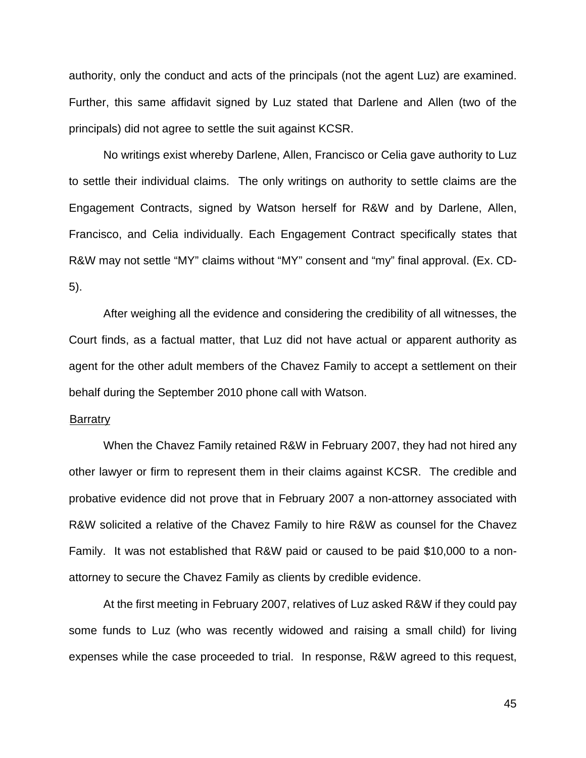authority, only the conduct and acts of the principals (not the agent Luz) are examined. Further, this same affidavit signed by Luz stated that Darlene and Allen (two of the principals) did not agree to settle the suit against KCSR.

No writings exist whereby Darlene, Allen, Francisco or Celia gave authority to Luz to settle their individual claims. The only writings on authority to settle claims are the Engagement Contracts, signed by Watson herself for R&W and by Darlene, Allen, Francisco, and Celia individually. Each Engagement Contract specifically states that R&W may not settle "MY" claims without "MY" consent and "my" final approval. (Ex. CD-5).

After weighing all the evidence and considering the credibility of all witnesses, the Court finds, as a factual matter, that Luz did not have actual or apparent authority as agent for the other adult members of the Chavez Family to accept a settlement on their behalf during the September 2010 phone call with Watson.

### Barratry

When the Chavez Family retained R&W in February 2007, they had not hired any other lawyer or firm to represent them in their claims against KCSR. The credible and probative evidence did not prove that in February 2007 a non-attorney associated with R&W solicited a relative of the Chavez Family to hire R&W as counsel for the Chavez Family. It was not established that R&W paid or caused to be paid \$10,000 to a nonattorney to secure the Chavez Family as clients by credible evidence.

At the first meeting in February 2007, relatives of Luz asked R&W if they could pay some funds to Luz (who was recently widowed and raising a small child) for living expenses while the case proceeded to trial. In response, R&W agreed to this request,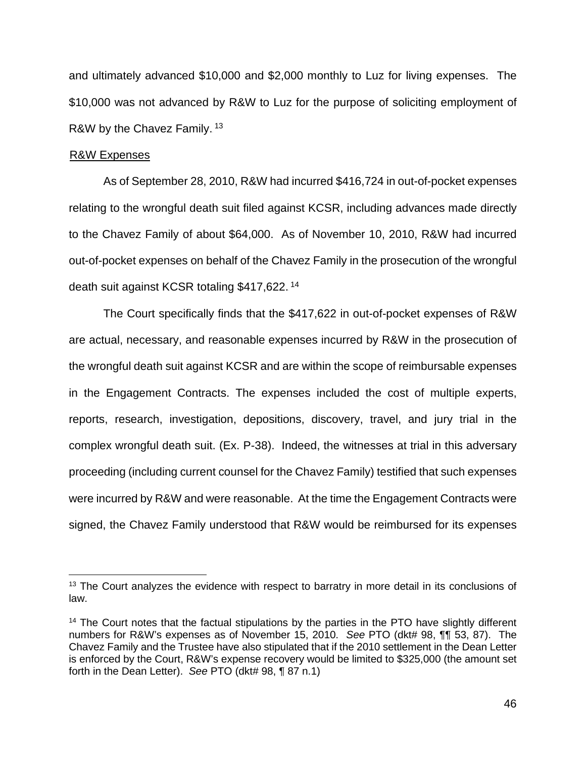and ultimately advanced \$10,000 and \$2,000 monthly to Luz for living expenses. The \$10,000 was not advanced by R&W to Luz for the purpose of soliciting employment of R&W by the Chavez Family.<sup>13</sup>

## **R&W Expenses**

As of September 28, 2010, R&W had incurred \$416,724 in out-of-pocket expenses relating to the wrongful death suit filed against KCSR, including advances made directly to the Chavez Family of about \$64,000. As of November 10, 2010, R&W had incurred out-of-pocket expenses on behalf of the Chavez Family in the prosecution of the wrongful death suit against KCSR totaling \$417,622.<sup>14</sup>

The Court specifically finds that the \$417,622 in out-of-pocket expenses of R&W are actual, necessary, and reasonable expenses incurred by R&W in the prosecution of the wrongful death suit against KCSR and are within the scope of reimbursable expenses in the Engagement Contracts. The expenses included the cost of multiple experts, reports, research, investigation, depositions, discovery, travel, and jury trial in the complex wrongful death suit. (Ex. P-38). Indeed, the witnesses at trial in this adversary proceeding (including current counsel for the Chavez Family) testified that such expenses were incurred by R&W and were reasonable. At the time the Engagement Contracts were signed, the Chavez Family understood that R&W would be reimbursed for its expenses

<sup>&</sup>lt;sup>13</sup> The Court analyzes the evidence with respect to barratry in more detail in its conclusions of law.

<sup>&</sup>lt;sup>14</sup> The Court notes that the factual stipulations by the parties in the PTO have slightly different numbers for R&W's expenses as of November 15, 2010. *See* PTO (dkt# 98, ¶¶ 53, 87). The Chavez Family and the Trustee have also stipulated that if the 2010 settlement in the Dean Letter is enforced by the Court, R&W's expense recovery would be limited to \$325,000 (the amount set forth in the Dean Letter). *See* PTO (dkt# 98, ¶ 87 n.1)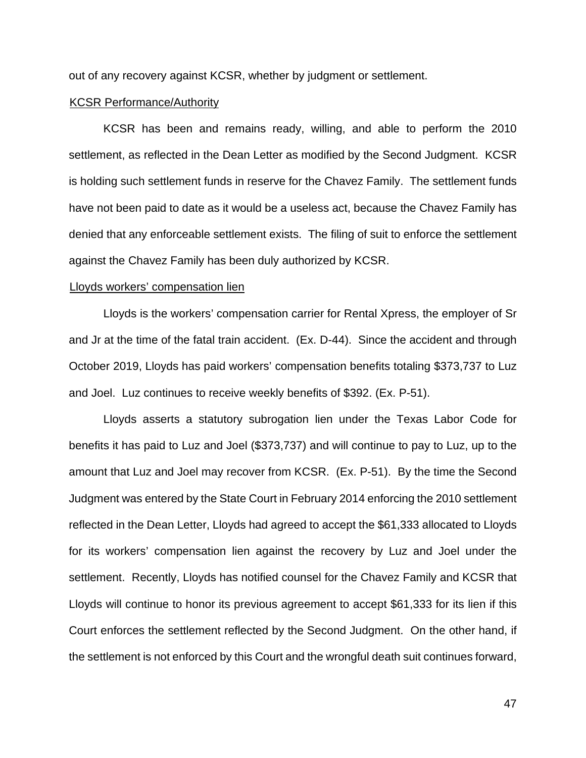out of any recovery against KCSR, whether by judgment or settlement.

### **KCSR Performance/Authority**

KCSR has been and remains ready, willing, and able to perform the 2010 settlement, as reflected in the Dean Letter as modified by the Second Judgment. KCSR is holding such settlement funds in reserve for the Chavez Family. The settlement funds have not been paid to date as it would be a useless act, because the Chavez Family has denied that any enforceable settlement exists. The filing of suit to enforce the settlement against the Chavez Family has been duly authorized by KCSR.

### Lloyds workers' compensation lien

Lloyds is the workers' compensation carrier for Rental Xpress, the employer of Sr and Jr at the time of the fatal train accident. (Ex. D-44). Since the accident and through October 2019, Lloyds has paid workers' compensation benefits totaling \$373,737 to Luz and Joel. Luz continues to receive weekly benefits of \$392. (Ex. P-51).

Lloyds asserts a statutory subrogation lien under the Texas Labor Code for benefits it has paid to Luz and Joel (\$373,737) and will continue to pay to Luz, up to the amount that Luz and Joel may recover from KCSR. (Ex. P-51). By the time the Second Judgment was entered by the State Court in February 2014 enforcing the 2010 settlement reflected in the Dean Letter, Lloyds had agreed to accept the \$61,333 allocated to Lloyds for its workers' compensation lien against the recovery by Luz and Joel under the settlement. Recently, Lloyds has notified counsel for the Chavez Family and KCSR that Lloyds will continue to honor its previous agreement to accept \$61,333 for its lien if this Court enforces the settlement reflected by the Second Judgment. On the other hand, if the settlement is not enforced by this Court and the wrongful death suit continues forward,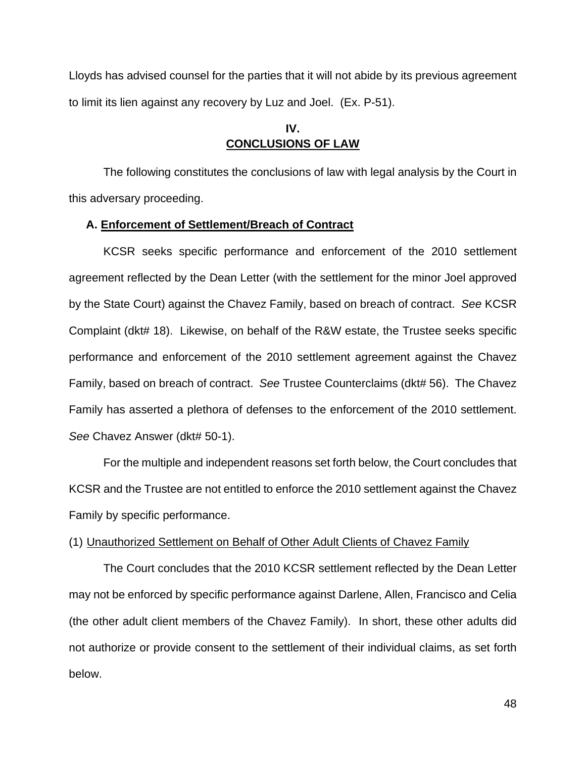Lloyds has advised counsel for the parties that it will not abide by its previous agreement to limit its lien against any recovery by Luz and Joel. (Ex. P-51).

# **IV. CONCLUSIONS OF LAW**

The following constitutes the conclusions of law with legal analysis by the Court in this adversary proceeding.

## **A. Enforcement of Settlement/Breach of Contract**

KCSR seeks specific performance and enforcement of the 2010 settlement agreement reflected by the Dean Letter (with the settlement for the minor Joel approved by the State Court) against the Chavez Family, based on breach of contract. *See* KCSR Complaint (dkt# 18). Likewise, on behalf of the R&W estate, the Trustee seeks specific performance and enforcement of the 2010 settlement agreement against the Chavez Family, based on breach of contract. *See* Trustee Counterclaims (dkt# 56). The Chavez Family has asserted a plethora of defenses to the enforcement of the 2010 settlement. *See* Chavez Answer (dkt# 50-1).

For the multiple and independent reasons set forth below, the Court concludes that KCSR and the Trustee are not entitled to enforce the 2010 settlement against the Chavez Family by specific performance.

# (1) Unauthorized Settlement on Behalf of Other Adult Clients of Chavez Family

The Court concludes that the 2010 KCSR settlement reflected by the Dean Letter may not be enforced by specific performance against Darlene, Allen, Francisco and Celia (the other adult client members of the Chavez Family). In short, these other adults did not authorize or provide consent to the settlement of their individual claims, as set forth below.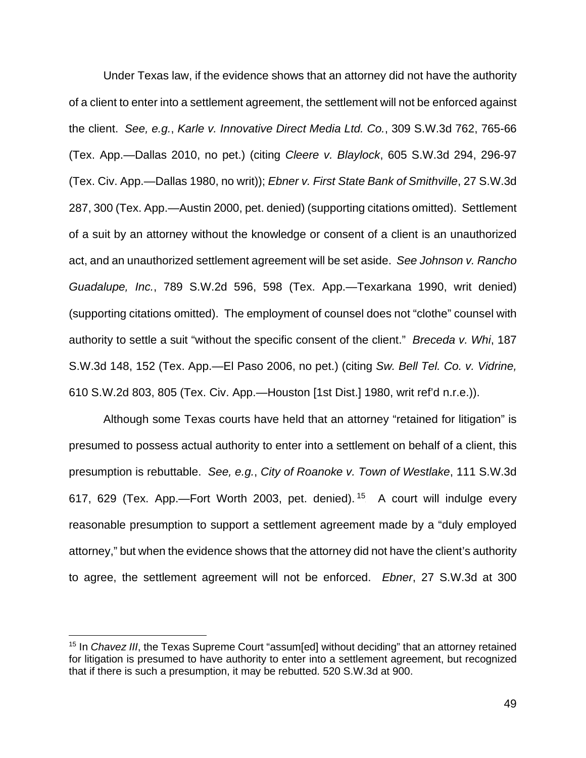Under Texas law, if the evidence shows that an attorney did not have the authority of a client to enter into a settlement agreement, the settlement will not be enforced against the client. *See, e.g.*, *Karle v. Innovative Direct Media Ltd. Co.*, 309 S.W.3d 762, 765-66 (Tex. App.—Dallas 2010, no pet.) (citing *Cleere v. Blaylock*, 605 S.W.3d 294, 296-97 (Tex. Civ. App.—Dallas 1980, no writ)); *Ebner v. First State Bank of Smithville*, 27 S.W.3d 287, 300 (Tex. App.—Austin 2000, pet. denied) (supporting citations omitted). Settlement of a suit by an attorney without the knowledge or consent of a client is an unauthorized act, and an unauthorized settlement agreement will be set aside. *See Johnson v. Rancho Guadalupe, Inc.*, 789 S.W.2d 596, 598 (Tex. App.—Texarkana 1990, writ denied) (supporting citations omitted). The employment of counsel does not "clothe" counsel with authority to settle a suit "without the specific consent of the client." *Breceda v. Whi*, 187 S.W.3d 148, 152 (Tex. App.—El Paso 2006, no pet.) (citing *Sw. Bell Tel. Co. v. Vidrine,*  610 S.W.2d 803, 805 (Tex. Civ. App.—Houston [1st Dist.] 1980, writ ref'd n.r.e.)).

Although some Texas courts have held that an attorney "retained for litigation" is presumed to possess actual authority to enter into a settlement on behalf of a client, this presumption is rebuttable. *See, e.g.*, *City of Roanoke v. Town of Westlake*, 111 S.W.3d 617, 629 (Tex. App.—Fort Worth 2003, pet. denied).<sup>15</sup> A court will indulge every reasonable presumption to support a settlement agreement made by a "duly employed attorney," but when the evidence shows that the attorney did not have the client's authority to agree, the settlement agreement will not be enforced. *Ebner*, 27 S.W.3d at 300

<sup>15</sup> In *Chavez III*, the Texas Supreme Court "assum[ed] without deciding" that an attorney retained for litigation is presumed to have authority to enter into a settlement agreement, but recognized that if there is such a presumption, it may be rebutted. 520 S.W.3d at 900.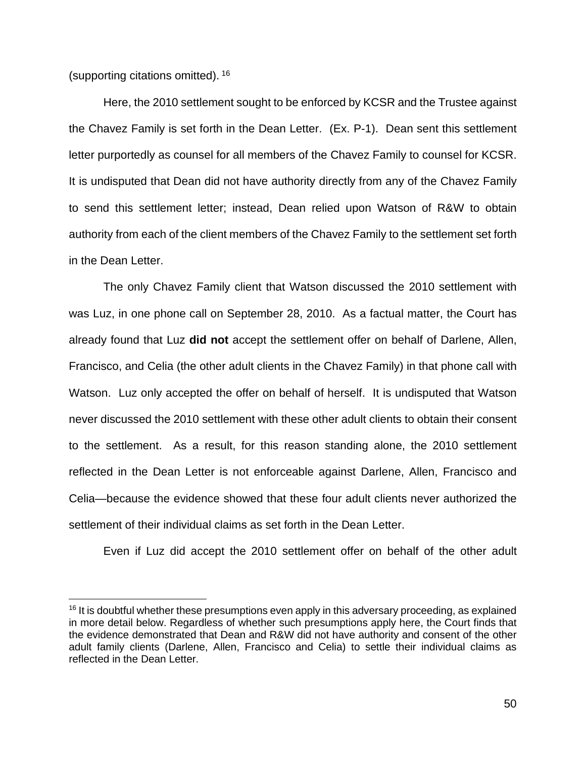(supporting citations omitted). <sup>16</sup>

Here, the 2010 settlement sought to be enforced by KCSR and the Trustee against the Chavez Family is set forth in the Dean Letter. (Ex. P-1). Dean sent this settlement letter purportedly as counsel for all members of the Chavez Family to counsel for KCSR. It is undisputed that Dean did not have authority directly from any of the Chavez Family to send this settlement letter; instead, Dean relied upon Watson of R&W to obtain authority from each of the client members of the Chavez Family to the settlement set forth in the Dean Letter.

The only Chavez Family client that Watson discussed the 2010 settlement with was Luz, in one phone call on September 28, 2010. As a factual matter, the Court has already found that Luz **did not** accept the settlement offer on behalf of Darlene, Allen, Francisco, and Celia (the other adult clients in the Chavez Family) in that phone call with Watson. Luz only accepted the offer on behalf of herself. It is undisputed that Watson never discussed the 2010 settlement with these other adult clients to obtain their consent to the settlement. As a result, for this reason standing alone, the 2010 settlement reflected in the Dean Letter is not enforceable against Darlene, Allen, Francisco and Celia—because the evidence showed that these four adult clients never authorized the settlement of their individual claims as set forth in the Dean Letter.

Even if Luz did accept the 2010 settlement offer on behalf of the other adult

 $16$  It is doubtful whether these presumptions even apply in this adversary proceeding, as explained in more detail below. Regardless of whether such presumptions apply here, the Court finds that the evidence demonstrated that Dean and R&W did not have authority and consent of the other adult family clients (Darlene, Allen, Francisco and Celia) to settle their individual claims as reflected in the Dean Letter.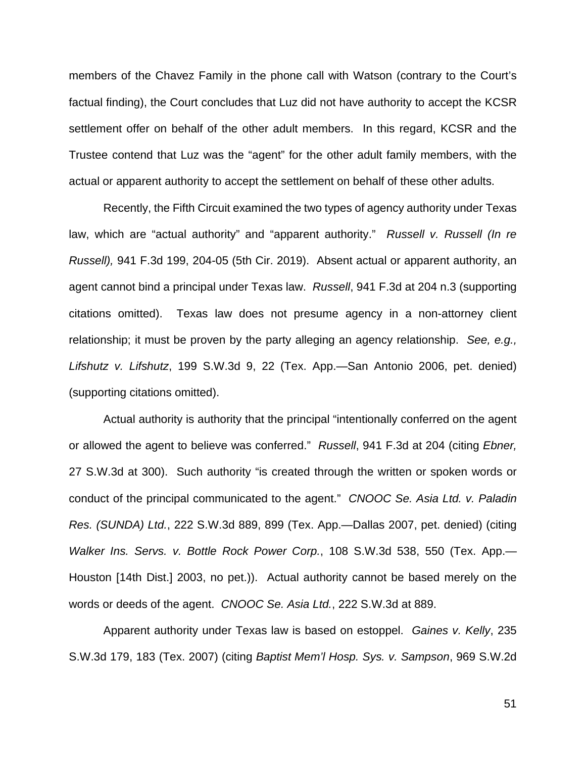members of the Chavez Family in the phone call with Watson (contrary to the Court's factual finding), the Court concludes that Luz did not have authority to accept the KCSR settlement offer on behalf of the other adult members. In this regard, KCSR and the Trustee contend that Luz was the "agent" for the other adult family members, with the actual or apparent authority to accept the settlement on behalf of these other adults.

Recently, the Fifth Circuit examined the two types of agency authority under Texas law, which are "actual authority" and "apparent authority." *Russell v. Russell (In re Russell),* 941 F.3d 199, 204-05 (5th Cir. 2019). Absent actual or apparent authority, an agent cannot bind a principal under Texas law. *Russell*, 941 F.3d at 204 n.3 (supporting citations omitted). Texas law does not presume agency in a non-attorney client relationship; it must be proven by the party alleging an agency relationship. *See, e.g., Lifshutz v. Lifshutz*, 199 S.W.3d 9, 22 (Tex. App.—San Antonio 2006, pet. denied) (supporting citations omitted).

Actual authority is authority that the principal "intentionally conferred on the agent or allowed the agent to believe was conferred." *Russell*, 941 F.3d at 204 (citing *Ebner,* 27 S.W.3d at 300). Such authority "is created through the written or spoken words or conduct of the principal communicated to the agent." *CNOOC Se. Asia Ltd. v. Paladin Res. (SUNDA) Ltd.*, 222 S.W.3d 889, 899 (Tex. App.—Dallas 2007, pet. denied) (citing *Walker Ins. Servs. v. Bottle Rock Power Corp.*, 108 S.W.3d 538, 550 (Tex. App.— Houston [14th Dist.] 2003, no pet.)). Actual authority cannot be based merely on the words or deeds of the agent. *CNOOC Se. Asia Ltd.*, 222 S.W.3d at 889.

Apparent authority under Texas law is based on estoppel. *Gaines v. Kelly*, 235 S.W.3d 179, 183 (Tex. 2007) (citing *Baptist Mem'l Hosp. Sys. v. Sampson*, 969 S.W.2d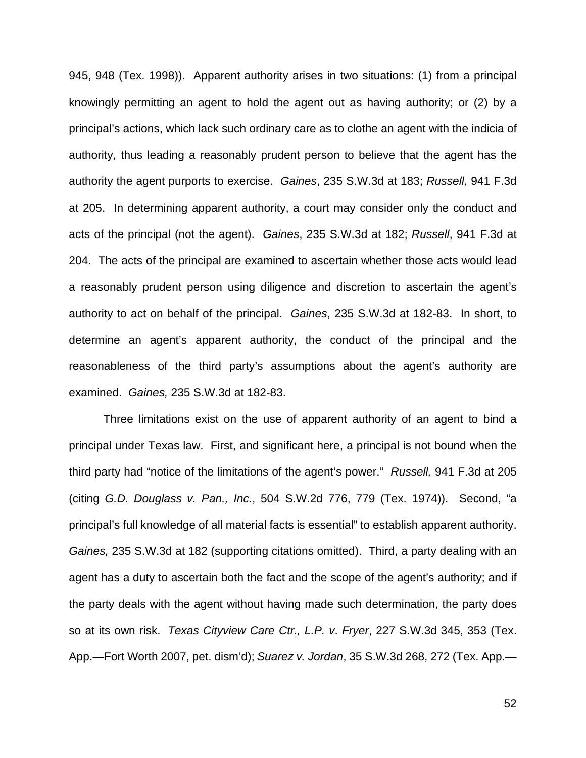945, 948 (Tex. 1998)). Apparent authority arises in two situations: (1) from a principal knowingly permitting an agent to hold the agent out as having authority; or (2) by a principal's actions, which lack such ordinary care as to clothe an agent with the indicia of authority, thus leading a reasonably prudent person to believe that the agent has the authority the agent purports to exercise. *Gaines*, 235 S.W.3d at 183; *Russell,* 941 F.3d at 205. In determining apparent authority, a court may consider only the conduct and acts of the principal (not the agent). *Gaines*, 235 S.W.3d at 182; *Russell*, 941 F.3d at 204.The acts of the principal are examined to ascertain whether those acts would lead a reasonably prudent person using diligence and discretion to ascertain the agent's authority to act on behalf of the principal. *Gaines*, 235 S.W.3d at 182-83. In short, to determine an agent's apparent authority, the conduct of the principal and the reasonableness of the third party's assumptions about the agent's authority are examined. *Gaines,* 235 S.W.3d at 182-83.

Three limitations exist on the use of apparent authority of an agent to bind a principal under Texas law. First, and significant here, a principal is not bound when the third party had "notice of the limitations of the agent's power." *Russell,* 941 F.3d at 205 (citing *G.D. Douglass v. Pan., Inc.*, 504 S.W.2d 776, 779 (Tex. 1974)). Second, "a principal's full knowledge of all material facts is essential" to establish apparent authority. *Gaines,* 235 S.W.3d at 182 (supporting citations omitted). Third, a party dealing with an agent has a duty to ascertain both the fact and the scope of the agent's authority; and if the party deals with the agent without having made such determination, the party does so at its own risk. *Texas Cityview Care Ctr., L.P. v*. *Fryer*, 227 S.W.3d 345, 353 (Tex. App.—Fort Worth 2007, pet. dism'd); *Suarez v. Jordan*, 35 S.W.3d 268, 272 (Tex. App.—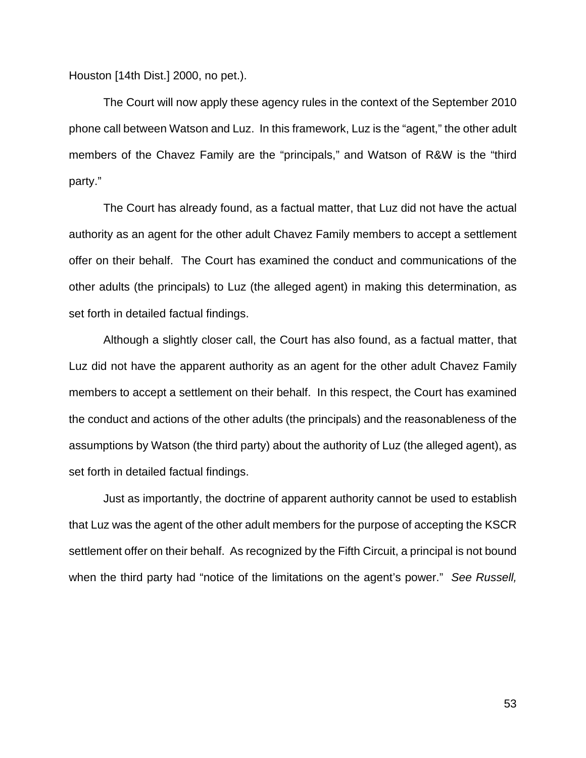Houston [14th Dist.] 2000, no pet.).

The Court will now apply these agency rules in the context of the September 2010 phone call between Watson and Luz. In this framework, Luz is the "agent," the other adult members of the Chavez Family are the "principals," and Watson of R&W is the "third party."

The Court has already found, as a factual matter, that Luz did not have the actual authority as an agent for the other adult Chavez Family members to accept a settlement offer on their behalf. The Court has examined the conduct and communications of the other adults (the principals) to Luz (the alleged agent) in making this determination, as set forth in detailed factual findings.

Although a slightly closer call, the Court has also found, as a factual matter, that Luz did not have the apparent authority as an agent for the other adult Chavez Family members to accept a settlement on their behalf. In this respect, the Court has examined the conduct and actions of the other adults (the principals) and the reasonableness of the assumptions by Watson (the third party) about the authority of Luz (the alleged agent), as set forth in detailed factual findings.

Just as importantly, the doctrine of apparent authority cannot be used to establish that Luz was the agent of the other adult members for the purpose of accepting the KSCR settlement offer on their behalf. As recognized by the Fifth Circuit, a principal is not bound when the third party had "notice of the limitations on the agent's power." *See Russell,*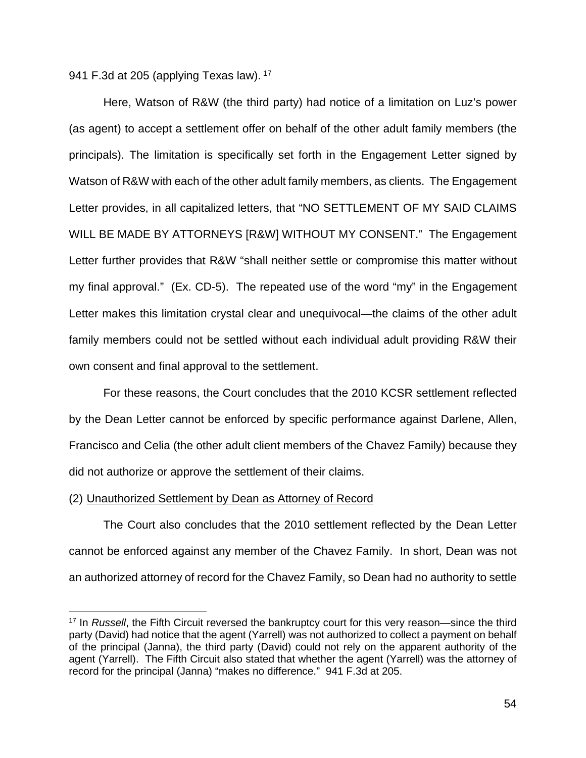941 F.3d at 205 (applying Texas law).  $^{17}$ 

Here, Watson of R&W (the third party) had notice of a limitation on Luz's power (as agent) to accept a settlement offer on behalf of the other adult family members (the principals). The limitation is specifically set forth in the Engagement Letter signed by Watson of R&W with each of the other adult family members, as clients. The Engagement Letter provides, in all capitalized letters, that "NO SETTLEMENT OF MY SAID CLAIMS WILL BE MADE BY ATTORNEYS [R&W] WITHOUT MY CONSENT." The Engagement Letter further provides that R&W "shall neither settle or compromise this matter without my final approval." (Ex. CD-5). The repeated use of the word "my" in the Engagement Letter makes this limitation crystal clear and unequivocal—the claims of the other adult family members could not be settled without each individual adult providing R&W their own consent and final approval to the settlement.

For these reasons, the Court concludes that the 2010 KCSR settlement reflected by the Dean Letter cannot be enforced by specific performance against Darlene, Allen, Francisco and Celia (the other adult client members of the Chavez Family) because they did not authorize or approve the settlement of their claims.

# (2) Unauthorized Settlement by Dean as Attorney of Record

The Court also concludes that the 2010 settlement reflected by the Dean Letter cannot be enforced against any member of the Chavez Family. In short, Dean was not an authorized attorney of record for the Chavez Family, so Dean had no authority to settle

<sup>&</sup>lt;sup>17</sup> In *Russell*, the Fifth Circuit reversed the bankruptcy court for this very reason—since the third party (David) had notice that the agent (Yarrell) was not authorized to collect a payment on behalf of the principal (Janna), the third party (David) could not rely on the apparent authority of the agent (Yarrell). The Fifth Circuit also stated that whether the agent (Yarrell) was the attorney of record for the principal (Janna) "makes no difference." 941 F.3d at 205.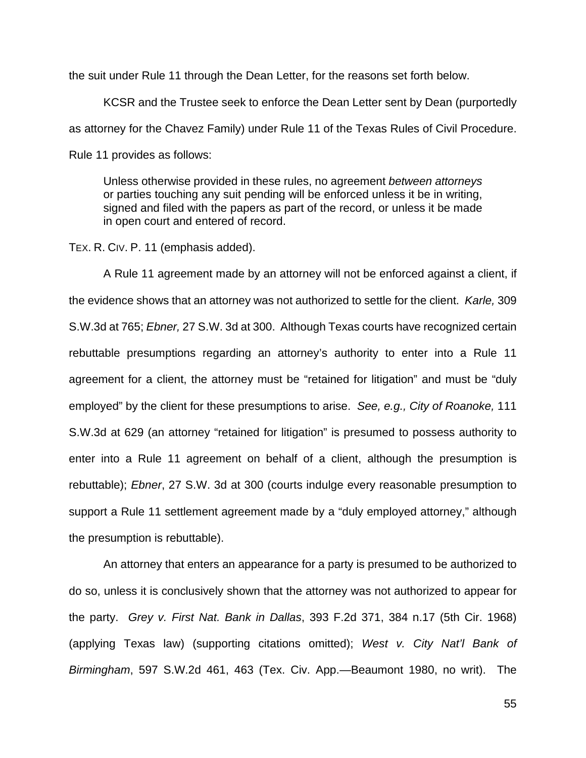the suit under Rule 11 through the Dean Letter, for the reasons set forth below.

KCSR and the Trustee seek to enforce the Dean Letter sent by Dean (purportedly as attorney for the Chavez Family) under Rule 11 of the Texas Rules of Civil Procedure. Rule 11 provides as follows:

Unless otherwise provided in these rules, no agreement *between attorneys* or parties touching any suit pending will be enforced unless it be in writing, signed and filed with the papers as part of the record, or unless it be made in open court and entered of record.

TEX. R. CIV. P. 11 (emphasis added).

A Rule 11 agreement made by an attorney will not be enforced against a client, if the evidence shows that an attorney was not authorized to settle for the client. *Karle,* 309 S.W.3d at 765; *Ebner,* 27 S.W. 3d at 300. Although Texas courts have recognized certain rebuttable presumptions regarding an attorney's authority to enter into a Rule 11 agreement for a client, the attorney must be "retained for litigation" and must be "duly employed" by the client for these presumptions to arise. *See, e.g., City of Roanoke,* 111 S.W.3d at 629 (an attorney "retained for litigation" is presumed to possess authority to enter into a Rule 11 agreement on behalf of a client, although the presumption is rebuttable); *Ebner*, 27 S.W. 3d at 300 (courts indulge every reasonable presumption to support a Rule 11 settlement agreement made by a "duly employed attorney," although the presumption is rebuttable).

An attorney that enters an appearance for a party is presumed to be authorized to do so, unless it is conclusively shown that the attorney was not authorized to appear for the party. *Grey v. First Nat. Bank in Dallas*, 393 F.2d 371, 384 n.17 (5th Cir. 1968) (applying Texas law) (supporting citations omitted); *West v. City Nat'l Bank of Birmingham*, 597 S.W.2d 461, 463 (Tex. Civ. App.—Beaumont 1980, no writ). The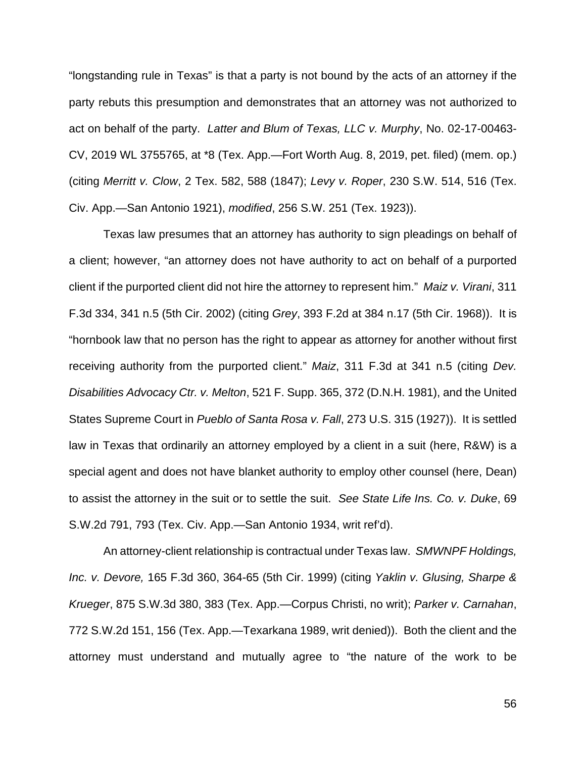"longstanding rule in Texas" is that a party is not bound by the acts of an attorney if the party rebuts this presumption and demonstrates that an attorney was not authorized to act on behalf of the party. *Latter and Blum of Texas, LLC v. Murphy*, No. 02-17-00463- CV, 2019 WL 3755765, at \*8 (Tex. App.—Fort Worth Aug. 8, 2019, pet. filed) (mem. op.) (citing *Merritt v. Clow*, 2 Tex. 582, 588 (1847); *Levy v. Roper*, 230 S.W. 514, 516 (Tex. Civ. App.—San Antonio 1921), *modified*, 256 S.W. 251 (Tex. 1923)).

Texas law presumes that an attorney has authority to sign pleadings on behalf of a client; however, "an attorney does not have authority to act on behalf of a purported client if the purported client did not hire the attorney to represent him." *Maiz v. Virani*, 311 F.3d 334, 341 n.5 (5th Cir. 2002) (citing *Grey*, 393 F.2d at 384 n.17 (5th Cir. 1968)). It is "hornbook law that no person has the right to appear as attorney for another without first receiving authority from the purported client." *Maiz*, 311 F.3d at 341 n.5 (citing *Dev. Disabilities Advocacy Ctr. v. Melton*, 521 F. Supp. 365, 372 (D.N.H. 1981), and the United States Supreme Court in *Pueblo of Santa Rosa v. Fall*, 273 U.S. 315 (1927)). It is settled law in Texas that ordinarily an attorney employed by a client in a suit (here, R&W) is a special agent and does not have blanket authority to employ other counsel (here, Dean) to assist the attorney in the suit or to settle the suit. *See State Life Ins. Co. v. Duke*, 69 S.W.2d 791, 793 (Tex. Civ. App.—San Antonio 1934, writ ref'd).

An attorney-client relationship is contractual under Texas law. *SMWNPF Holdings, Inc. v. Devore,* 165 F.3d 360, 364-65 (5th Cir. 1999) (citing *Yaklin v. Glusing, Sharpe & Krueger*, 875 S.W.3d 380, 383 (Tex. App.—Corpus Christi, no writ); *Parker v. Carnahan*, 772 S.W.2d 151, 156 (Tex. App.—Texarkana 1989, writ denied)). Both the client and the attorney must understand and mutually agree to "the nature of the work to be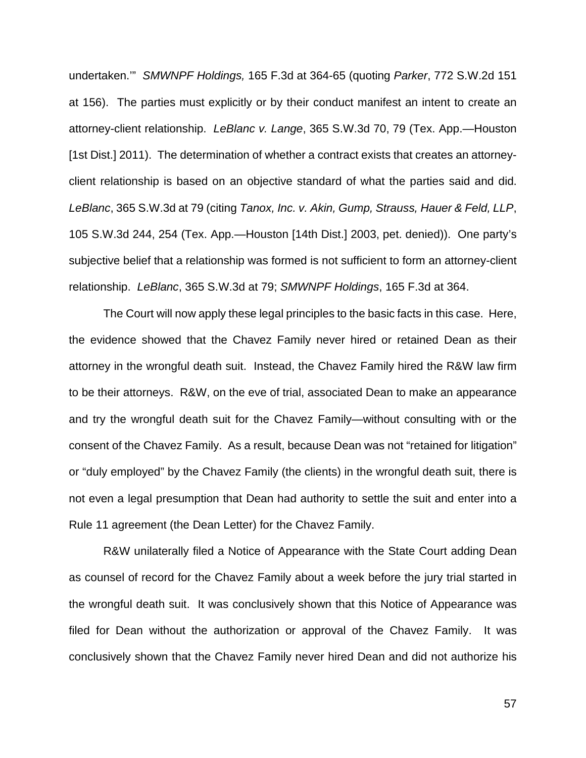undertaken.'" *SMWNPF Holdings,* 165 F.3d at 364-65 (quoting *Parker*, 772 S.W.2d 151 at 156). The parties must explicitly or by their conduct manifest an intent to create an attorney-client relationship. *LeBlanc v. Lange*, 365 S.W.3d 70, 79 (Tex. App.—Houston [1st Dist.] 2011). The determination of whether a contract exists that creates an attorneyclient relationship is based on an objective standard of what the parties said and did. *LeBlanc*, 365 S.W.3d at 79 (citing *Tanox, Inc. v. Akin, Gump, Strauss, Hauer & Feld, LLP*, 105 S.W.3d 244, 254 (Tex. App.—Houston [14th Dist.] 2003, pet. denied)).One party's subjective belief that a relationship was formed is not sufficient to form an attorney-client relationship. *LeBlanc*, 365 S.W.3d at 79; *SMWNPF Holdings*, 165 F.3d at 364.

The Court will now apply these legal principles to the basic facts in this case. Here, the evidence showed that the Chavez Family never hired or retained Dean as their attorney in the wrongful death suit. Instead, the Chavez Family hired the R&W law firm to be their attorneys. R&W, on the eve of trial, associated Dean to make an appearance and try the wrongful death suit for the Chavez Family—without consulting with or the consent of the Chavez Family. As a result, because Dean was not "retained for litigation" or "duly employed" by the Chavez Family (the clients) in the wrongful death suit, there is not even a legal presumption that Dean had authority to settle the suit and enter into a Rule 11 agreement (the Dean Letter) for the Chavez Family.

R&W unilaterally filed a Notice of Appearance with the State Court adding Dean as counsel of record for the Chavez Family about a week before the jury trial started in the wrongful death suit. It was conclusively shown that this Notice of Appearance was filed for Dean without the authorization or approval of the Chavez Family. It was conclusively shown that the Chavez Family never hired Dean and did not authorize his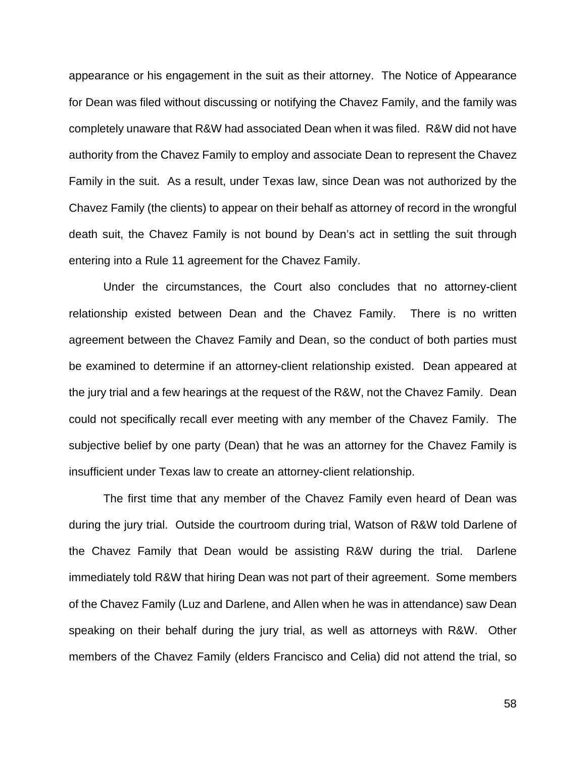appearance or his engagement in the suit as their attorney. The Notice of Appearance for Dean was filed without discussing or notifying the Chavez Family, and the family was completely unaware that R&W had associated Dean when it was filed. R&W did not have authority from the Chavez Family to employ and associate Dean to represent the Chavez Family in the suit. As a result, under Texas law, since Dean was not authorized by the Chavez Family (the clients) to appear on their behalf as attorney of record in the wrongful death suit, the Chavez Family is not bound by Dean's act in settling the suit through entering into a Rule 11 agreement for the Chavez Family.

Under the circumstances, the Court also concludes that no attorney-client relationship existed between Dean and the Chavez Family. There is no written agreement between the Chavez Family and Dean, so the conduct of both parties must be examined to determine if an attorney-client relationship existed. Dean appeared at the jury trial and a few hearings at the request of the R&W, not the Chavez Family. Dean could not specifically recall ever meeting with any member of the Chavez Family. The subjective belief by one party (Dean) that he was an attorney for the Chavez Family is insufficient under Texas law to create an attorney-client relationship.

The first time that any member of the Chavez Family even heard of Dean was during the jury trial. Outside the courtroom during trial, Watson of R&W told Darlene of the Chavez Family that Dean would be assisting R&W during the trial. Darlene immediately told R&W that hiring Dean was not part of their agreement. Some members of the Chavez Family (Luz and Darlene, and Allen when he was in attendance) saw Dean speaking on their behalf during the jury trial, as well as attorneys with R&W. Other members of the Chavez Family (elders Francisco and Celia) did not attend the trial, so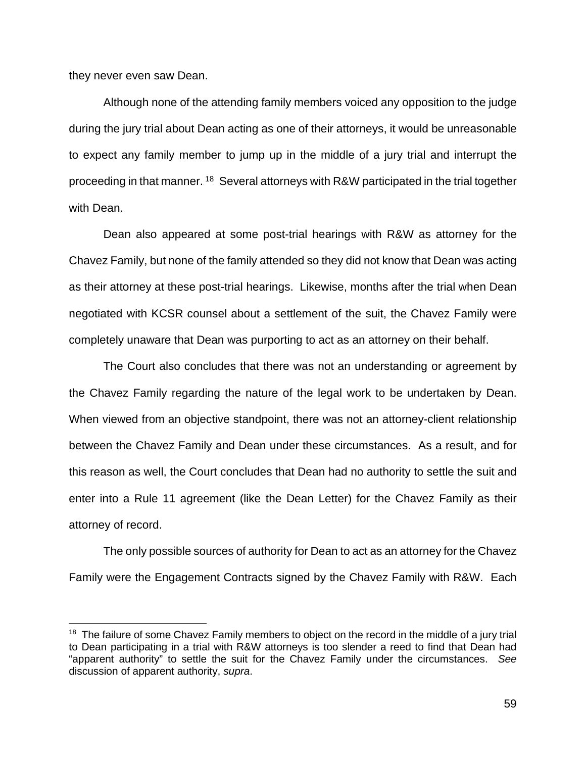they never even saw Dean.

Although none of the attending family members voiced any opposition to the judge during the jury trial about Dean acting as one of their attorneys, it would be unreasonable to expect any family member to jump up in the middle of a jury trial and interrupt the proceeding in that manner. <sup>18</sup> Several attorneys with R&W participated in the trial together with Dean.

Dean also appeared at some post-trial hearings with R&W as attorney for the Chavez Family, but none of the family attended so they did not know that Dean was acting as their attorney at these post-trial hearings. Likewise, months after the trial when Dean negotiated with KCSR counsel about a settlement of the suit, the Chavez Family were completely unaware that Dean was purporting to act as an attorney on their behalf.

The Court also concludes that there was not an understanding or agreement by the Chavez Family regarding the nature of the legal work to be undertaken by Dean. When viewed from an objective standpoint, there was not an attorney-client relationship between the Chavez Family and Dean under these circumstances. As a result, and for this reason as well, the Court concludes that Dean had no authority to settle the suit and enter into a Rule 11 agreement (like the Dean Letter) for the Chavez Family as their attorney of record.

The only possible sources of authority for Dean to act as an attorney for the Chavez Family were the Engagement Contracts signed by the Chavez Family with R&W. Each

 $18$  The failure of some Chavez Family members to object on the record in the middle of a jury trial to Dean participating in a trial with R&W attorneys is too slender a reed to find that Dean had "apparent authority" to settle the suit for the Chavez Family under the circumstances. *See* discussion of apparent authority, *supra*.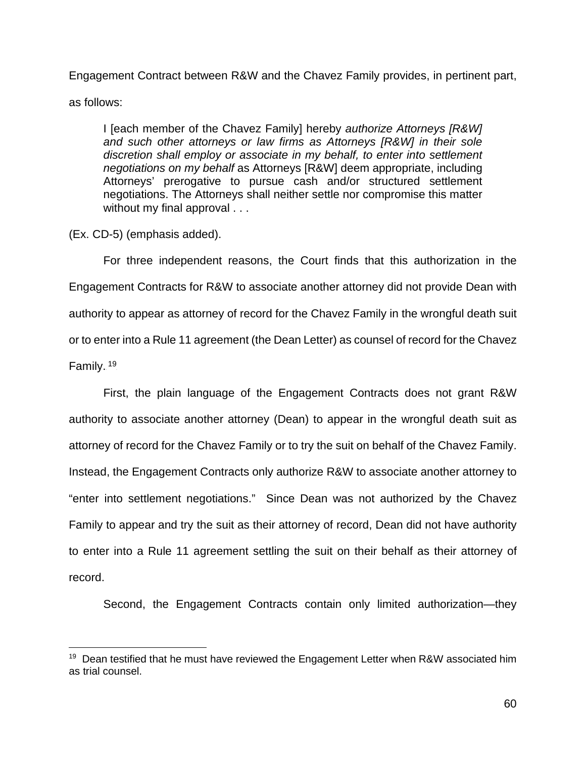Engagement Contract between R&W and the Chavez Family provides, in pertinent part,

as follows:

I [each member of the Chavez Family] hereby *authorize Attorneys [R&W] and such other attorneys or law firms as Attorneys [R&W] in their sole discretion shall employ or associate in my behalf, to enter into settlement negotiations on my behalf* as Attorneys [R&W] deem appropriate, including Attorneys' prerogative to pursue cash and/or structured settlement negotiations. The Attorneys shall neither settle nor compromise this matter without my final approval . . .

(Ex. CD-5) (emphasis added).

For three independent reasons, the Court finds that this authorization in the Engagement Contracts for R&W to associate another attorney did not provide Dean with authority to appear as attorney of record for the Chavez Family in the wrongful death suit or to enter into a Rule 11 agreement (the Dean Letter) as counsel of record for the Chavez Family.<sup>19</sup>

First, the plain language of the Engagement Contracts does not grant R&W authority to associate another attorney (Dean) to appear in the wrongful death suit as attorney of record for the Chavez Family or to try the suit on behalf of the Chavez Family. Instead, the Engagement Contracts only authorize R&W to associate another attorney to "enter into settlement negotiations." Since Dean was not authorized by the Chavez Family to appear and try the suit as their attorney of record, Dean did not have authority to enter into a Rule 11 agreement settling the suit on their behalf as their attorney of record.

Second, the Engagement Contracts contain only limited authorization—they

 $19$  Dean testified that he must have reviewed the Engagement Letter when R&W associated him as trial counsel.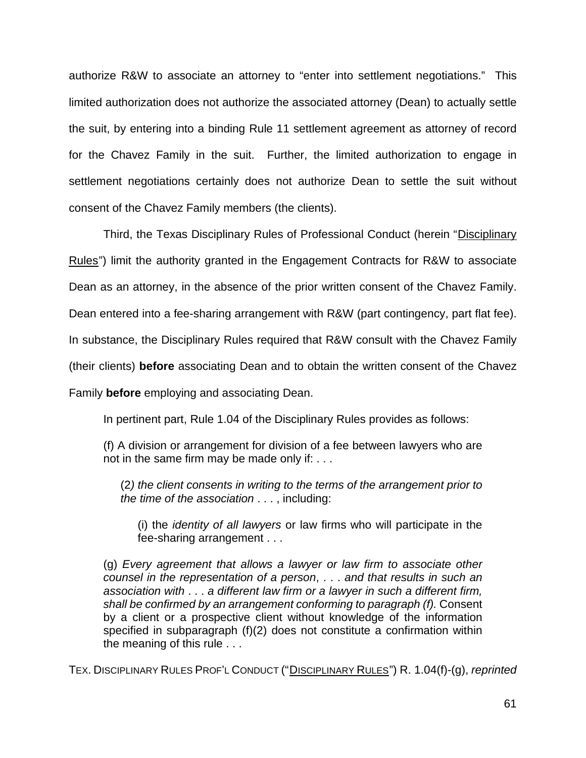authorize R&W to associate an attorney to "enter into settlement negotiations." This limited authorization does not authorize the associated attorney (Dean) to actually settle the suit, by entering into a binding Rule 11 settlement agreement as attorney of record for the Chavez Family in the suit. Further, the limited authorization to engage in settlement negotiations certainly does not authorize Dean to settle the suit without consent of the Chavez Family members (the clients).

Third, the Texas Disciplinary Rules of Professional Conduct (herein "Disciplinary Rules") limit the authority granted in the Engagement Contracts for R&W to associate Dean as an attorney, in the absence of the prior written consent of the Chavez Family. Dean entered into a fee-sharing arrangement with R&W (part contingency, part flat fee). In substance, the Disciplinary Rules required that R&W consult with the Chavez Family (their clients) **before** associating Dean and to obtain the written consent of the Chavez Family **before** employing and associating Dean.

In pertinent part, Rule 1.04 of the Disciplinary Rules provides as follows:

(f) A division or arrangement for division of a fee between lawyers who are not in the same firm may be made only if: . . .

(2*) the client consents in writing to the terms of the arrangement prior to the time of the association* . . . , including:

(i) the *identity of all lawyers* or law firms who will participate in the fee-sharing arrangement . . .

(g) *Every agreement that allows a lawyer or law firm to associate other counsel in the representation of a person*, . . . *and that results in such an association with* . . . *a different law firm or a lawyer in such a different firm, shall be confirmed by an arrangement conforming to paragraph (f).* Consent by a client or a prospective client without knowledge of the information specified in subparagraph (f)(2) does not constitute a confirmation within the meaning of this rule . . .

TEX. DISCIPLINARY RULES PROF'L CONDUCT ("DISCIPLINARY RULES") R. 1.04(f)-(g), *reprinted*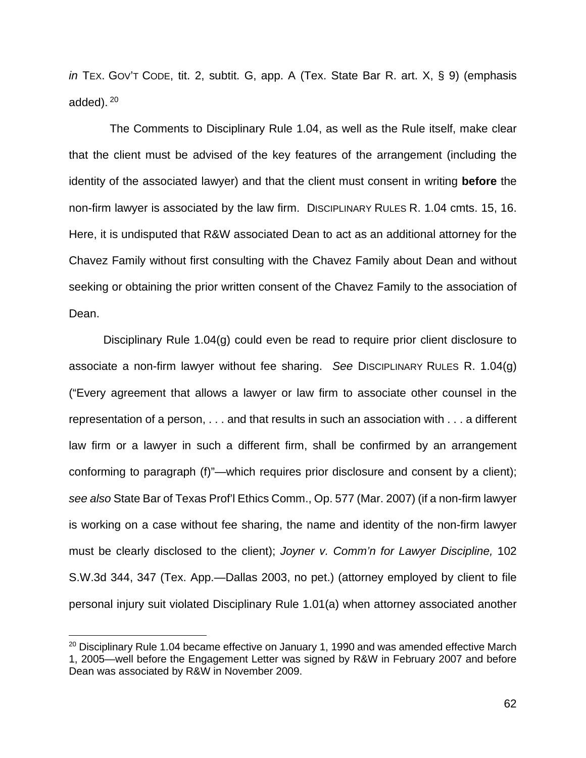*in* TEX. GOV'T CODE, tit. 2, subtit. G, app. A (Tex. State Bar R. art. X, § 9) (emphasis added).<sup>20</sup>

 The Comments to Disciplinary Rule 1.04, as well as the Rule itself, make clear that the client must be advised of the key features of the arrangement (including the identity of the associated lawyer) and that the client must consent in writing **before** the non-firm lawyer is associated by the law firm. DISCIPLINARY RULES R. 1.04 cmts. 15, 16. Here, it is undisputed that R&W associated Dean to act as an additional attorney for the Chavez Family without first consulting with the Chavez Family about Dean and without seeking or obtaining the prior written consent of the Chavez Family to the association of Dean.

Disciplinary Rule 1.04(g) could even be read to require prior client disclosure to associate a non-firm lawyer without fee sharing. *See* DISCIPLINARY RULES R. 1.04(g) ("Every agreement that allows a lawyer or law firm to associate other counsel in the representation of a person, . . . and that results in such an association with . . . a different law firm or a lawyer in such a different firm, shall be confirmed by an arrangement conforming to paragraph (f)"—which requires prior disclosure and consent by a client); *see also* State Bar of Texas Prof'l Ethics Comm., Op. 577 (Mar. 2007) (if a non-firm lawyer is working on a case without fee sharing, the name and identity of the non-firm lawyer must be clearly disclosed to the client); *Joyner v. Comm'n for Lawyer Discipline,* 102 S.W.3d 344, 347 (Tex. App.—Dallas 2003, no pet.) (attorney employed by client to file personal injury suit violated Disciplinary Rule 1.01(a) when attorney associated another

 $20$  Disciplinary Rule 1.04 became effective on January 1, 1990 and was amended effective March 1, 2005—well before the Engagement Letter was signed by R&W in February 2007 and before Dean was associated by R&W in November 2009.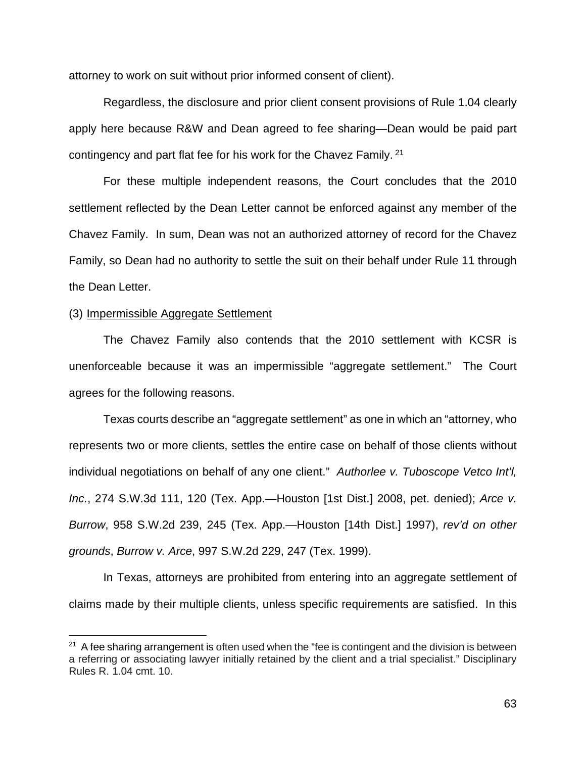attorney to work on suit without prior informed consent of client).

Regardless, the disclosure and prior client consent provisions of Rule 1.04 clearly apply here because R&W and Dean agreed to fee sharing—Dean would be paid part contingency and part flat fee for his work for the Chavez Family.  $21$ 

For these multiple independent reasons, the Court concludes that the 2010 settlement reflected by the Dean Letter cannot be enforced against any member of the Chavez Family. In sum, Dean was not an authorized attorney of record for the Chavez Family, so Dean had no authority to settle the suit on their behalf under Rule 11 through the Dean Letter.

#### (3) Impermissible Aggregate Settlement

The Chavez Family also contends that the 2010 settlement with KCSR is unenforceable because it was an impermissible "aggregate settlement." The Court agrees for the following reasons.

Texas courts describe an "aggregate settlement" as one in which an "attorney, who represents two or more clients, settles the entire case on behalf of those clients without individual negotiations on behalf of any one client." *Authorlee v. Tuboscope Vetco Int'l, Inc.*, 274 S.W.3d 111, 120 (Tex. App.—Houston [1st Dist.] 2008, pet. denied); *Arce v. Burrow*, 958 S.W.2d 239, 245 (Tex. App.—Houston [14th Dist.] 1997), *rev'd on other grounds*, *Burrow v. Arce*, 997 S.W.2d 229, 247 (Tex. 1999).

In Texas, attorneys are prohibited from entering into an aggregate settlement of claims made by their multiple clients, unless specific requirements are satisfied. In this

 $21$  A fee sharing arrangement is often used when the "fee is contingent and the division is between a referring or associating lawyer initially retained by the client and a trial specialist." Disciplinary Rules R. 1.04 cmt. 10.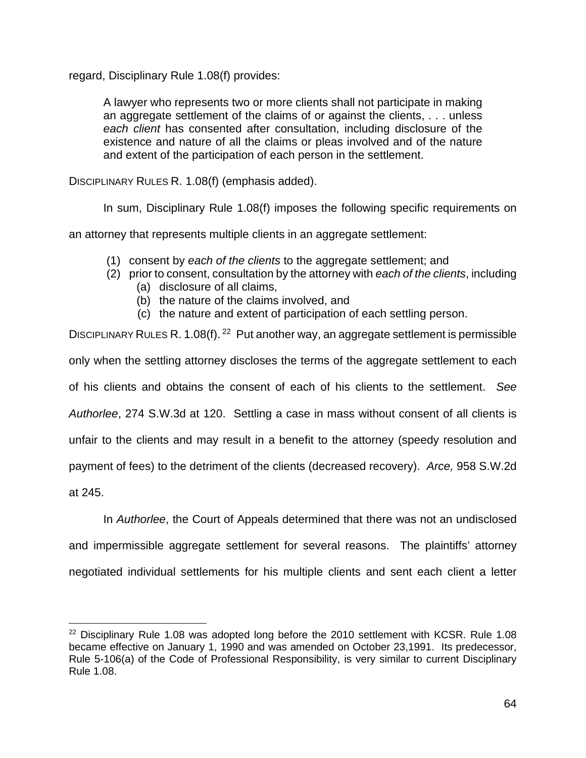regard, Disciplinary Rule 1.08(f) provides:

A lawyer who represents two or more clients shall not participate in making an aggregate settlement of the claims of or against the clients, . . . unless *each client* has consented after consultation, including disclosure of the existence and nature of all the claims or pleas involved and of the nature and extent of the participation of each person in the settlement.

DISCIPLINARY RULES R. 1.08(f) (emphasis added).

In sum, Disciplinary Rule 1.08(f) imposes the following specific requirements on

an attorney that represents multiple clients in an aggregate settlement:

- (1) consent by *each of the clients* to the aggregate settlement; and
- (2) prior to consent, consultation by the attorney with *each of the clients*, including
	- (a) disclosure of all claims,
	- (b) the nature of the claims involved, and
	- (c) the nature and extent of participation of each settling person.

DISCIPLINARY RULES R. 1.08(f).<sup>22</sup> Put another way, an aggregate settlement is permissible only when the settling attorney discloses the terms of the aggregate settlement to each of his clients and obtains the consent of each of his clients to the settlement. *See Authorlee*, 274 S.W.3d at 120. Settling a case in mass without consent of all clients is unfair to the clients and may result in a benefit to the attorney (speedy resolution and payment of fees) to the detriment of the clients (decreased recovery). *Arce,* 958 S.W.2d at 245.

In *Authorlee*, the Court of Appeals determined that there was not an undisclosed and impermissible aggregate settlement for several reasons. The plaintiffs' attorney

negotiated individual settlements for his multiple clients and sent each client a letter

 $22$  Disciplinary Rule 1.08 was adopted long before the 2010 settlement with KCSR. Rule 1.08 became effective on January 1, 1990 and was amended on October 23,1991. Its predecessor, Rule 5-106(a) of the Code of Professional Responsibility, is very similar to current Disciplinary Rule 1.08.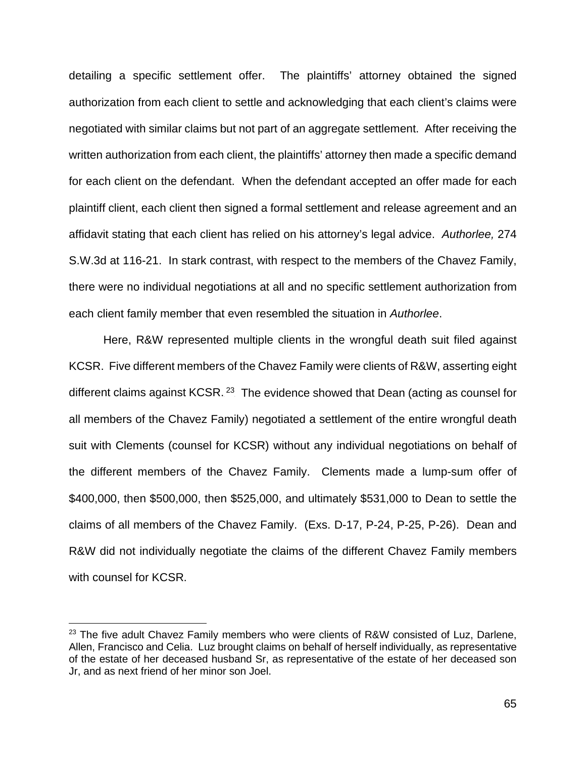detailing a specific settlement offer. The plaintiffs' attorney obtained the signed authorization from each client to settle and acknowledging that each client's claims were negotiated with similar claims but not part of an aggregate settlement.After receiving the written authorization from each client, the plaintiffs' attorney then made a specific demand for each client on the defendant. When the defendant accepted an offer made for each plaintiff client, each client then signed a formal settlement and release agreement and an affidavit stating that each client has relied on his attorney's legal advice. *Authorlee,* 274 S.W.3d at 116-21. In stark contrast, with respect to the members of the Chavez Family, there were no individual negotiations at all and no specific settlement authorization from each client family member that even resembled the situation in *Authorlee*.

Here, R&W represented multiple clients in the wrongful death suit filed against KCSR. Five different members of the Chavez Family were clients of R&W, asserting eight different claims against KCSR.  $^{23}$  The evidence showed that Dean (acting as counsel for all members of the Chavez Family) negotiated a settlement of the entire wrongful death suit with Clements (counsel for KCSR) without any individual negotiations on behalf of the different members of the Chavez Family. Clements made a lump-sum offer of \$400,000, then \$500,000, then \$525,000, and ultimately \$531,000 to Dean to settle the claims of all members of the Chavez Family. (Exs. D-17, P-24, P-25, P-26). Dean and R&W did not individually negotiate the claims of the different Chavez Family members with counsel for KCSR.

 $23$  The five adult Chavez Family members who were clients of R&W consisted of Luz, Darlene, Allen, Francisco and Celia. Luz brought claims on behalf of herself individually, as representative of the estate of her deceased husband Sr, as representative of the estate of her deceased son Jr, and as next friend of her minor son Joel.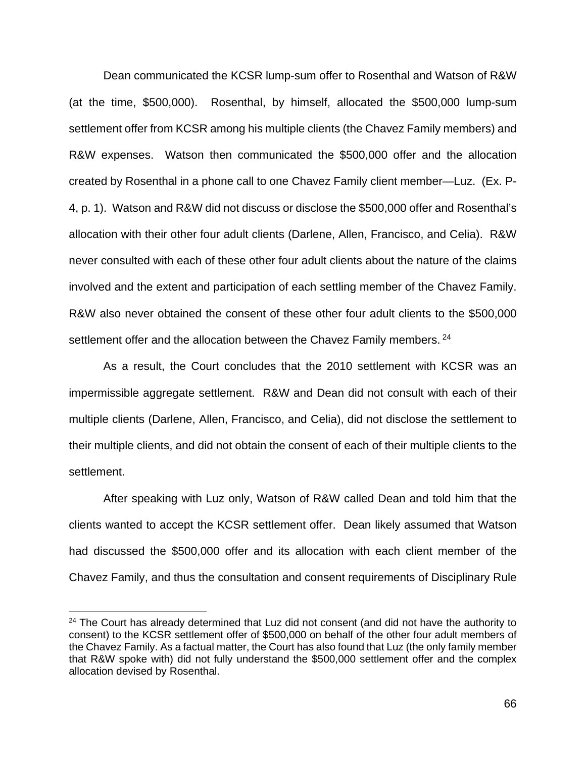Dean communicated the KCSR lump-sum offer to Rosenthal and Watson of R&W (at the time, \$500,000). Rosenthal, by himself, allocated the \$500,000 lump-sum settlement offer from KCSR among his multiple clients (the Chavez Family members) and R&W expenses. Watson then communicated the \$500,000 offer and the allocation created by Rosenthal in a phone call to one Chavez Family client member—Luz. (Ex. P-4, p. 1). Watson and R&W did not discuss or disclose the \$500,000 offer and Rosenthal's allocation with their other four adult clients (Darlene, Allen, Francisco, and Celia). R&W never consulted with each of these other four adult clients about the nature of the claims involved and the extent and participation of each settling member of the Chavez Family. R&W also never obtained the consent of these other four adult clients to the \$500,000 settlement offer and the allocation between the Chavez Family members.  $24$ 

As a result, the Court concludes that the 2010 settlement with KCSR was an impermissible aggregate settlement. R&W and Dean did not consult with each of their multiple clients (Darlene, Allen, Francisco, and Celia), did not disclose the settlement to their multiple clients, and did not obtain the consent of each of their multiple clients to the settlement.

After speaking with Luz only, Watson of R&W called Dean and told him that the clients wanted to accept the KCSR settlement offer. Dean likely assumed that Watson had discussed the \$500,000 offer and its allocation with each client member of the Chavez Family, and thus the consultation and consent requirements of Disciplinary Rule

<sup>&</sup>lt;sup>24</sup> The Court has already determined that Luz did not consent (and did not have the authority to consent) to the KCSR settlement offer of \$500,000 on behalf of the other four adult members of the Chavez Family. As a factual matter, the Court has also found that Luz (the only family member that R&W spoke with) did not fully understand the \$500,000 settlement offer and the complex allocation devised by Rosenthal.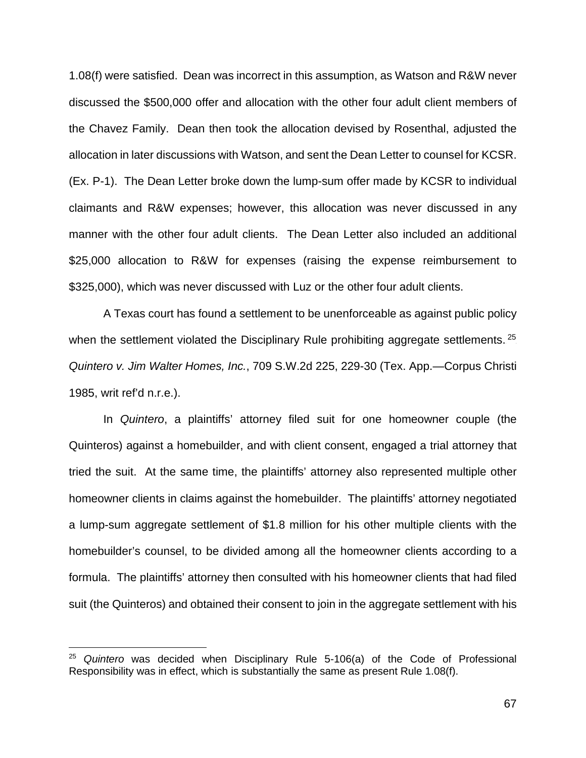1.08(f) were satisfied. Dean was incorrect in this assumption, as Watson and R&W never discussed the \$500,000 offer and allocation with the other four adult client members of the Chavez Family. Dean then took the allocation devised by Rosenthal, adjusted the allocation in later discussions with Watson, and sent the Dean Letter to counsel for KCSR. (Ex. P-1). The Dean Letter broke down the lump-sum offer made by KCSR to individual claimants and R&W expenses; however, this allocation was never discussed in any manner with the other four adult clients. The Dean Letter also included an additional \$25,000 allocation to R&W for expenses (raising the expense reimbursement to \$325,000), which was never discussed with Luz or the other four adult clients.

A Texas court has found a settlement to be unenforceable as against public policy when the settlement violated the Disciplinary Rule prohibiting aggregate settlements. <sup>25</sup> *Quintero v. Jim Walter Homes, Inc.*, 709 S.W.2d 225, 229-30 (Tex. App.—Corpus Christi 1985, writ ref'd n.r.e.).

In *Quintero*, a plaintiffs' attorney filed suit for one homeowner couple (the Quinteros) against a homebuilder, and with client consent, engaged a trial attorney that tried the suit.At the same time, the plaintiffs' attorney also represented multiple other homeowner clients in claims against the homebuilder. The plaintiffs' attorney negotiated a lump-sum aggregate settlement of \$1.8 million for his other multiple clients with the homebuilder's counsel, to be divided among all the homeowner clients according to a formula. The plaintiffs' attorney then consulted with his homeowner clients that had filed suit (the Quinteros) and obtained their consent to join in the aggregate settlement with his

<sup>25</sup> *Quintero* was decided when Disciplinary Rule 5-106(a) of the Code of Professional Responsibility was in effect, which is substantially the same as present Rule 1.08(f).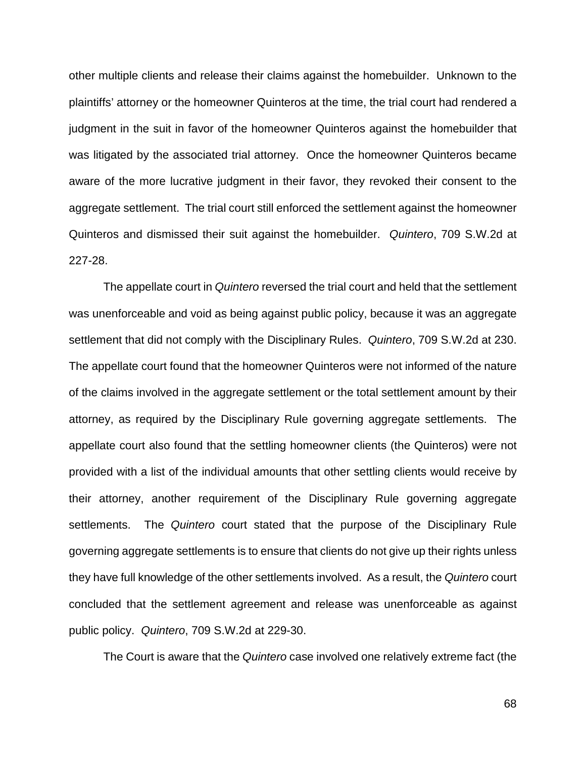other multiple clients and release their claims against the homebuilder. Unknown to the plaintiffs' attorney or the homeowner Quinteros at the time, the trial court had rendered a judgment in the suit in favor of the homeowner Quinteros against the homebuilder that was litigated by the associated trial attorney. Once the homeowner Quinteros became aware of the more lucrative judgment in their favor, they revoked their consent to the aggregate settlement. The trial court still enforced the settlement against the homeowner Quinteros and dismissed their suit against the homebuilder. *Quintero*, 709 S.W.2d at 227-28.

The appellate court in *Quintero* reversed the trial court and held that the settlement was unenforceable and void as being against public policy, because it was an aggregate settlement that did not comply with the Disciplinary Rules. *Quintero*, 709 S.W.2d at 230. The appellate court found that the homeowner Quinteros were not informed of the nature of the claims involved in the aggregate settlement or the total settlement amount by their attorney, as required by the Disciplinary Rule governing aggregate settlements. The appellate court also found that the settling homeowner clients (the Quinteros) were not provided with a list of the individual amounts that other settling clients would receive by their attorney, another requirement of the Disciplinary Rule governing aggregate settlements. The *Quintero* court stated that the purpose of the Disciplinary Rule governing aggregate settlements is to ensure that clients do not give up their rights unless they have full knowledge of the other settlements involved. As a result, the *Quintero* court concluded that the settlement agreement and release was unenforceable as against public policy. *Quintero*, 709 S.W.2d at 229-30.

The Court is aware that the *Quintero* case involved one relatively extreme fact (the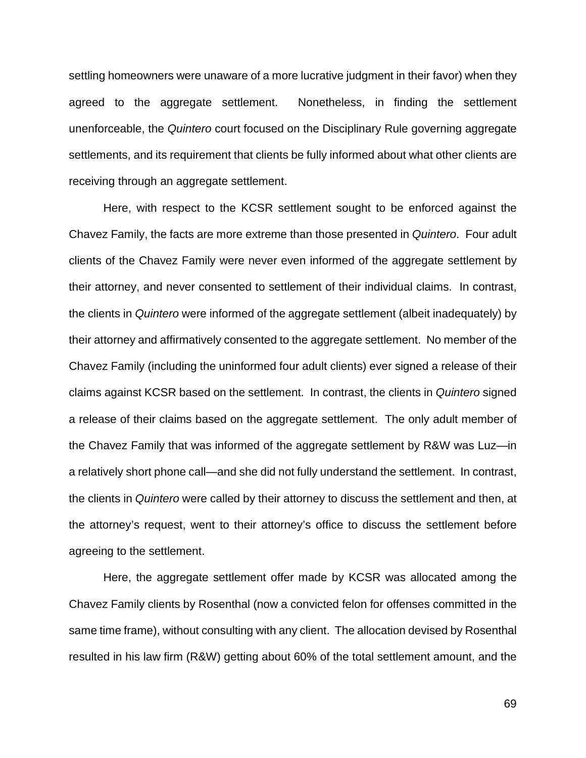settling homeowners were unaware of a more lucrative judgment in their favor) when they agreed to the aggregate settlement. Nonetheless, in finding the settlement unenforceable, the *Quintero* court focused on the Disciplinary Rule governing aggregate settlements, and its requirement that clients be fully informed about what other clients are receiving through an aggregate settlement.

Here, with respect to the KCSR settlement sought to be enforced against the Chavez Family, the facts are more extreme than those presented in *Quintero*. Four adult clients of the Chavez Family were never even informed of the aggregate settlement by their attorney, and never consented to settlement of their individual claims. In contrast, the clients in *Quintero* were informed of the aggregate settlement (albeit inadequately) by their attorney and affirmatively consented to the aggregate settlement. No member of the Chavez Family (including the uninformed four adult clients) ever signed a release of their claims against KCSR based on the settlement. In contrast, the clients in *Quintero* signed a release of their claims based on the aggregate settlement. The only adult member of the Chavez Family that was informed of the aggregate settlement by R&W was Luz—in a relatively short phone call—and she did not fully understand the settlement. In contrast, the clients in *Quintero* were called by their attorney to discuss the settlement and then, at the attorney's request, went to their attorney's office to discuss the settlement before agreeing to the settlement.

Here, the aggregate settlement offer made by KCSR was allocated among the Chavez Family clients by Rosenthal (now a convicted felon for offenses committed in the same time frame), without consulting with any client. The allocation devised by Rosenthal resulted in his law firm (R&W) getting about 60% of the total settlement amount, and the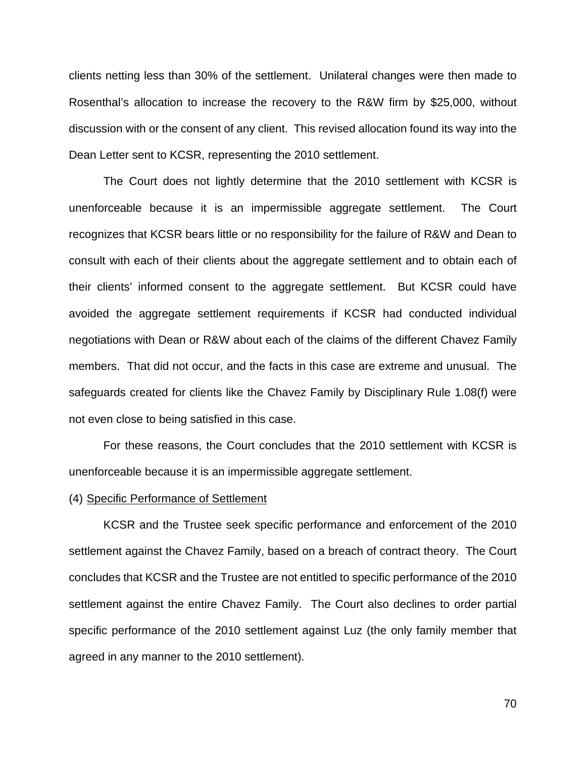clients netting less than 30% of the settlement. Unilateral changes were then made to Rosenthal's allocation to increase the recovery to the R&W firm by \$25,000, without discussion with or the consent of any client. This revised allocation found its way into the Dean Letter sent to KCSR, representing the 2010 settlement.

The Court does not lightly determine that the 2010 settlement with KCSR is unenforceable because it is an impermissible aggregate settlement. The Court recognizes that KCSR bears little or no responsibility for the failure of R&W and Dean to consult with each of their clients about the aggregate settlement and to obtain each of their clients' informed consent to the aggregate settlement. But KCSR could have avoided the aggregate settlement requirements if KCSR had conducted individual negotiations with Dean or R&W about each of the claims of the different Chavez Family members. That did not occur, and the facts in this case are extreme and unusual. The safeguards created for clients like the Chavez Family by Disciplinary Rule 1.08(f) were not even close to being satisfied in this case.

For these reasons, the Court concludes that the 2010 settlement with KCSR is unenforceable because it is an impermissible aggregate settlement.

#### (4) Specific Performance of Settlement

KCSR and the Trustee seek specific performance and enforcement of the 2010 settlement against the Chavez Family, based on a breach of contract theory. The Court concludes that KCSR and the Trustee are not entitled to specific performance of the 2010 settlement against the entire Chavez Family. The Court also declines to order partial specific performance of the 2010 settlement against Luz (the only family member that agreed in any manner to the 2010 settlement).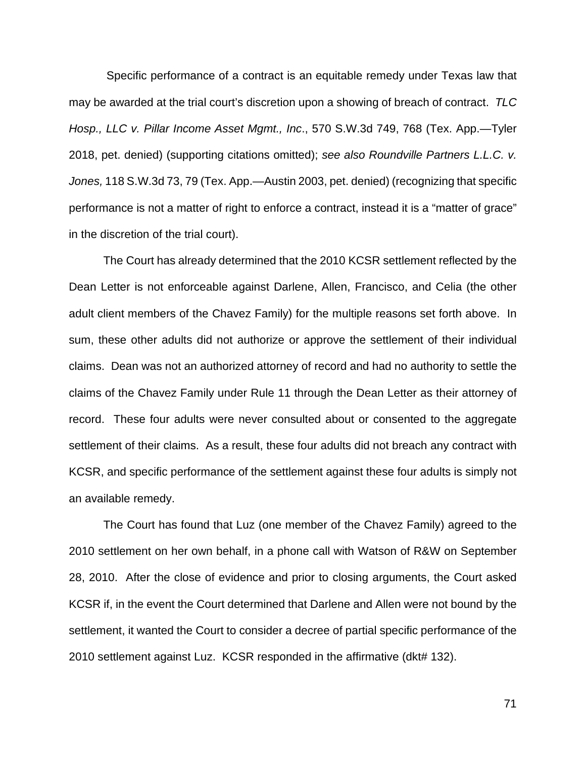Specific performance of a contract is an equitable remedy under Texas law that may be awarded at the trial court's discretion upon a showing of breach of contract. *TLC Hosp., LLC v. Pillar Income Asset Mgmt., Inc*., 570 S.W.3d 749, 768 (Tex. App.—Tyler 2018, pet. denied) (supporting citations omitted); *see also Roundville Partners L.L.C. v. Jones,* 118 S.W.3d 73, 79 (Tex. App.—Austin 2003, pet. denied) (recognizing that specific performance is not a matter of right to enforce a contract, instead it is a "matter of grace" in the discretion of the trial court).

The Court has already determined that the 2010 KCSR settlement reflected by the Dean Letter is not enforceable against Darlene, Allen, Francisco, and Celia (the other adult client members of the Chavez Family) for the multiple reasons set forth above. In sum, these other adults did not authorize or approve the settlement of their individual claims. Dean was not an authorized attorney of record and had no authority to settle the claims of the Chavez Family under Rule 11 through the Dean Letter as their attorney of record. These four adults were never consulted about or consented to the aggregate settlement of their claims. As a result, these four adults did not breach any contract with KCSR, and specific performance of the settlement against these four adults is simply not an available remedy.

The Court has found that Luz (one member of the Chavez Family) agreed to the 2010 settlement on her own behalf, in a phone call with Watson of R&W on September 28, 2010. After the close of evidence and prior to closing arguments, the Court asked KCSR if, in the event the Court determined that Darlene and Allen were not bound by the settlement, it wanted the Court to consider a decree of partial specific performance of the 2010 settlement against Luz. KCSR responded in the affirmative (dkt# 132).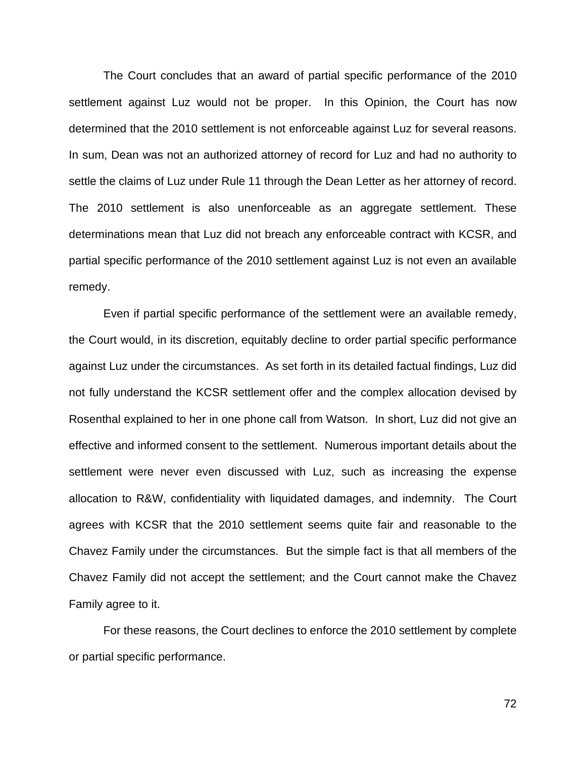The Court concludes that an award of partial specific performance of the 2010 settlement against Luz would not be proper. In this Opinion, the Court has now determined that the 2010 settlement is not enforceable against Luz for several reasons. In sum, Dean was not an authorized attorney of record for Luz and had no authority to settle the claims of Luz under Rule 11 through the Dean Letter as her attorney of record. The 2010 settlement is also unenforceable as an aggregate settlement. These determinations mean that Luz did not breach any enforceable contract with KCSR, and partial specific performance of the 2010 settlement against Luz is not even an available remedy.

Even if partial specific performance of the settlement were an available remedy, the Court would, in its discretion, equitably decline to order partial specific performance against Luz under the circumstances. As set forth in its detailed factual findings, Luz did not fully understand the KCSR settlement offer and the complex allocation devised by Rosenthal explained to her in one phone call from Watson. In short, Luz did not give an effective and informed consent to the settlement. Numerous important details about the settlement were never even discussed with Luz, such as increasing the expense allocation to R&W, confidentiality with liquidated damages, and indemnity. The Court agrees with KCSR that the 2010 settlement seems quite fair and reasonable to the Chavez Family under the circumstances. But the simple fact is that all members of the Chavez Family did not accept the settlement; and the Court cannot make the Chavez Family agree to it.

For these reasons, the Court declines to enforce the 2010 settlement by complete or partial specific performance.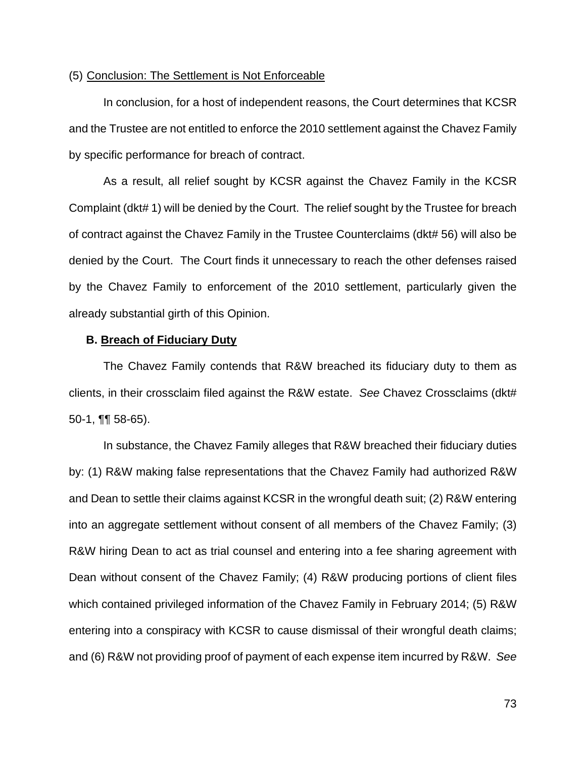### (5) Conclusion: The Settlement is Not Enforceable

In conclusion, for a host of independent reasons, the Court determines that KCSR and the Trustee are not entitled to enforce the 2010 settlement against the Chavez Family by specific performance for breach of contract.

As a result, all relief sought by KCSR against the Chavez Family in the KCSR Complaint (dkt# 1) will be denied by the Court. The relief sought by the Trustee for breach of contract against the Chavez Family in the Trustee Counterclaims (dkt# 56) will also be denied by the Court. The Court finds it unnecessary to reach the other defenses raised by the Chavez Family to enforcement of the 2010 settlement, particularly given the already substantial girth of this Opinion.

#### **B. Breach of Fiduciary Duty**

The Chavez Family contends that R&W breached its fiduciary duty to them as clients, in their crossclaim filed against the R&W estate. *See* Chavez Crossclaims (dkt# 50-1, ¶¶ 58-65).

In substance, the Chavez Family alleges that R&W breached their fiduciary duties by: (1) R&W making false representations that the Chavez Family had authorized R&W and Dean to settle their claims against KCSR in the wrongful death suit; (2) R&W entering into an aggregate settlement without consent of all members of the Chavez Family; (3) R&W hiring Dean to act as trial counsel and entering into a fee sharing agreement with Dean without consent of the Chavez Family; (4) R&W producing portions of client files which contained privileged information of the Chavez Family in February 2014; (5) R&W entering into a conspiracy with KCSR to cause dismissal of their wrongful death claims; and (6) R&W not providing proof of payment of each expense item incurred by R&W. *See*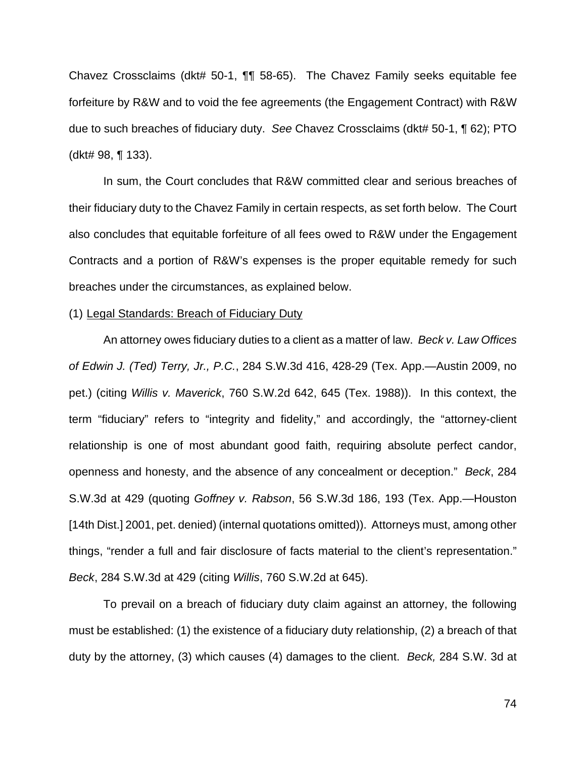Chavez Crossclaims (dkt# 50-1, ¶¶ 58-65). The Chavez Family seeks equitable fee forfeiture by R&W and to void the fee agreements (the Engagement Contract) with R&W due to such breaches of fiduciary duty. *See* Chavez Crossclaims (dkt# 50-1, ¶ 62); PTO (dkt# 98, ¶ 133).

In sum, the Court concludes that R&W committed clear and serious breaches of their fiduciary duty to the Chavez Family in certain respects, as set forth below. The Court also concludes that equitable forfeiture of all fees owed to R&W under the Engagement Contracts and a portion of R&W's expenses is the proper equitable remedy for such breaches under the circumstances, as explained below.

#### (1) Legal Standards: Breach of Fiduciary Duty

An attorney owes fiduciary duties to a client as a matter of law. *Beck v. Law Offices of Edwin J. (Ted) Terry, Jr., P.C.*, 284 S.W.3d 416, 428-29 (Tex. App.—Austin 2009, no pet.) (citing *Willis v. Maverick*, 760 S.W.2d 642, 645 (Tex. 1988)). In this context, the term "fiduciary" refers to "integrity and fidelity," and accordingly, the "attorney-client relationship is one of most abundant good faith, requiring absolute perfect candor, openness and honesty, and the absence of any concealment or deception." *Beck*, 284 S.W.3d at 429 (quoting *Goffney v. Rabson*, 56 S.W.3d 186, 193 (Tex. App.—Houston [14th Dist.] 2001, pet. denied) (internal quotations omitted)). Attorneys must, among other things, "render a full and fair disclosure of facts material to the client's representation." *Beck*, 284 S.W.3d at 429 (citing *Willis*, 760 S.W.2d at 645).

To prevail on a breach of fiduciary duty claim against an attorney, the following must be established: (1) the existence of a fiduciary duty relationship, (2) a breach of that duty by the attorney, (3) which causes (4) damages to the client. *Beck,* 284 S.W. 3d at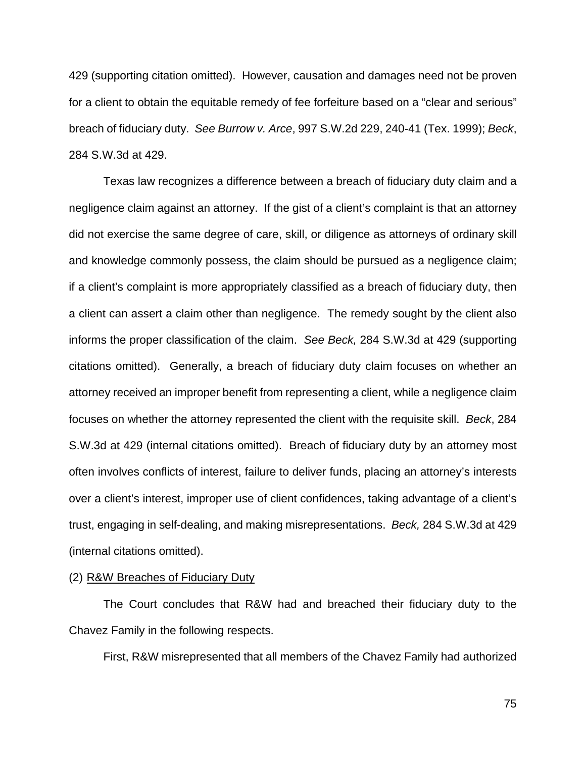429 (supporting citation omitted). However, causation and damages need not be proven for a client to obtain the equitable remedy of fee forfeiture based on a "clear and serious" breach of fiduciary duty. *See Burrow v. Arce*, 997 S.W.2d 229, 240-41 (Tex. 1999); *Beck*, 284 S.W.3d at 429.

Texas law recognizes a difference between a breach of fiduciary duty claim and a negligence claim against an attorney. If the gist of a client's complaint is that an attorney did not exercise the same degree of care, skill, or diligence as attorneys of ordinary skill and knowledge commonly possess, the claim should be pursued as a negligence claim; if a client's complaint is more appropriately classified as a breach of fiduciary duty, then a client can assert a claim other than negligence. The remedy sought by the client also informs the proper classification of the claim. *See Beck,* 284 S.W.3d at 429 (supporting citations omitted). Generally, a breach of fiduciary duty claim focuses on whether an attorney received an improper benefit from representing a client, while a negligence claim focuses on whether the attorney represented the client with the requisite skill. *Beck*, 284 S.W.3d at 429 (internal citations omitted). Breach of fiduciary duty by an attorney most often involves conflicts of interest, failure to deliver funds, placing an attorney's interests over a client's interest, improper use of client confidences, taking advantage of a client's trust, engaging in self-dealing, and making misrepresentations. *Beck,* 284 S.W.3d at 429 (internal citations omitted).

#### (2) R&W Breaches of Fiduciary Duty

The Court concludes that R&W had and breached their fiduciary duty to the Chavez Family in the following respects.

First, R&W misrepresented that all members of the Chavez Family had authorized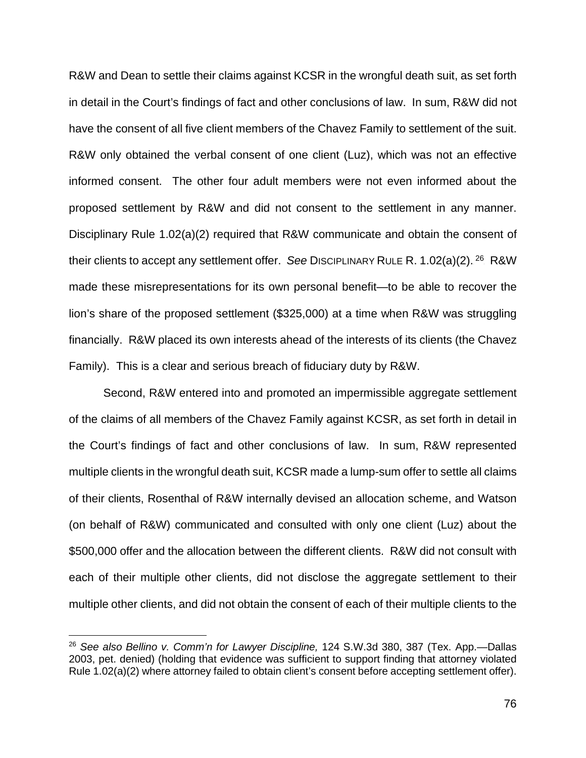R&W and Dean to settle their claims against KCSR in the wrongful death suit, as set forth in detail in the Court's findings of fact and other conclusions of law. In sum, R&W did not have the consent of all five client members of the Chavez Family to settlement of the suit. R&W only obtained the verbal consent of one client (Luz), which was not an effective informed consent. The other four adult members were not even informed about the proposed settlement by R&W and did not consent to the settlement in any manner. Disciplinary Rule 1.02(a)(2) required that R&W communicate and obtain the consent of their clients to accept any settlement offer. See DiscipLinary RuLe R. 1.02(a)(2).<sup>26</sup> R&W made these misrepresentations for its own personal benefit—to be able to recover the lion's share of the proposed settlement (\$325,000) at a time when R&W was struggling financially. R&W placed its own interests ahead of the interests of its clients (the Chavez Family). This is a clear and serious breach of fiduciary duty by R&W.

Second, R&W entered into and promoted an impermissible aggregate settlement of the claims of all members of the Chavez Family against KCSR, as set forth in detail in the Court's findings of fact and other conclusions of law. In sum, R&W represented multiple clients in the wrongful death suit, KCSR made a lump-sum offer to settle all claims of their clients, Rosenthal of R&W internally devised an allocation scheme, and Watson (on behalf of R&W) communicated and consulted with only one client (Luz) about the \$500,000 offer and the allocation between the different clients. R&W did not consult with each of their multiple other clients, did not disclose the aggregate settlement to their multiple other clients, and did not obtain the consent of each of their multiple clients to the

<sup>26</sup> *See also Bellino v. Comm'n for Lawyer Discipline,* 124 S.W.3d 380, 387 (Tex. App.—Dallas 2003, pet. denied) (holding that evidence was sufficient to support finding that attorney violated Rule 1.02(a)(2) where attorney failed to obtain client's consent before accepting settlement offer).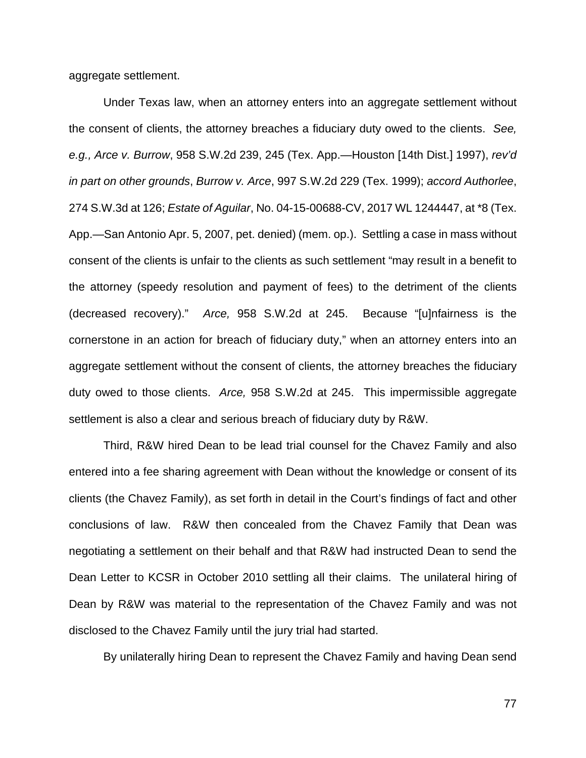aggregate settlement.

Under Texas law, when an attorney enters into an aggregate settlement without the consent of clients, the attorney breaches a fiduciary duty owed to the clients. *See, e.g., Arce v. Burrow*, 958 S.W.2d 239, 245 (Tex. App.—Houston [14th Dist.] 1997), *rev'd in part on other grounds*, *Burrow v. Arce*, 997 S.W.2d 229 (Tex. 1999); *accord Authorlee*, 274 S.W.3d at 126; *Estate of Aguilar*, No. 04-15-00688-CV, 2017 WL 1244447, at \*8 (Tex. App.—San Antonio Apr. 5, 2007, pet. denied) (mem. op.). Settling a case in mass without consent of the clients is unfair to the clients as such settlement "may result in a benefit to the attorney (speedy resolution and payment of fees) to the detriment of the clients (decreased recovery)." *Arce,* 958 S.W.2d at 245. Because "[u]nfairness is the cornerstone in an action for breach of fiduciary duty," when an attorney enters into an aggregate settlement without the consent of clients, the attorney breaches the fiduciary duty owed to those clients. *Arce,* 958 S.W.2d at 245. This impermissible aggregate settlement is also a clear and serious breach of fiduciary duty by R&W.

Third, R&W hired Dean to be lead trial counsel for the Chavez Family and also entered into a fee sharing agreement with Dean without the knowledge or consent of its clients (the Chavez Family), as set forth in detail in the Court's findings of fact and other conclusions of law. R&W then concealed from the Chavez Family that Dean was negotiating a settlement on their behalf and that R&W had instructed Dean to send the Dean Letter to KCSR in October 2010 settling all their claims. The unilateral hiring of Dean by R&W was material to the representation of the Chavez Family and was not disclosed to the Chavez Family until the jury trial had started.

By unilaterally hiring Dean to represent the Chavez Family and having Dean send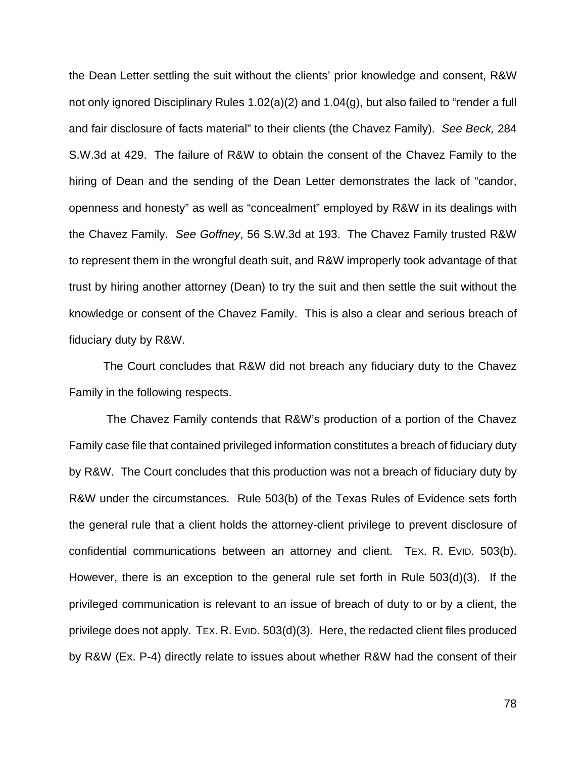the Dean Letter settling the suit without the clients' prior knowledge and consent, R&W not only ignored Disciplinary Rules 1.02(a)(2) and 1.04(g), but also failed to "render a full and fair disclosure of facts material" to their clients (the Chavez Family). *See Beck,* 284 S.W.3d at 429. The failure of R&W to obtain the consent of the Chavez Family to the hiring of Dean and the sending of the Dean Letter demonstrates the lack of "candor, openness and honesty" as well as "concealment" employed by R&W in its dealings with the Chavez Family. *See Goffney*, 56 S.W.3d at 193. The Chavez Family trusted R&W to represent them in the wrongful death suit, and R&W improperly took advantage of that trust by hiring another attorney (Dean) to try the suit and then settle the suit without the knowledge or consent of the Chavez Family. This is also a clear and serious breach of fiduciary duty by R&W.

The Court concludes that R&W did not breach any fiduciary duty to the Chavez Family in the following respects.

The Chavez Family contends that R&W's production of a portion of the Chavez Family case file that contained privileged information constitutes a breach of fiduciary duty by R&W. The Court concludes that this production was not a breach of fiduciary duty by R&W under the circumstances. Rule 503(b) of the Texas Rules of Evidence sets forth the general rule that a client holds the attorney-client privilege to prevent disclosure of confidential communications between an attorney and client. TEX. R. EVID. 503(b). However, there is an exception to the general rule set forth in Rule 503(d)(3). If the privileged communication is relevant to an issue of breach of duty to or by a client, the privilege does not apply. TEX. R. EVID. 503(d)(3). Here, the redacted client files produced by R&W (Ex. P-4) directly relate to issues about whether R&W had the consent of their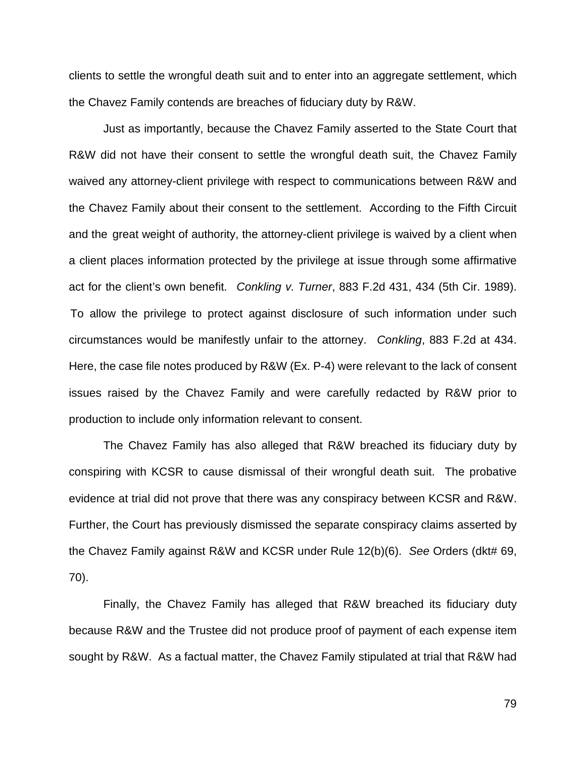clients to settle the wrongful death suit and to enter into an aggregate settlement, which the Chavez Family contends are breaches of fiduciary duty by R&W.

Just as importantly, because the Chavez Family asserted to the State Court that R&W did not have their consent to settle the wrongful death suit, the Chavez Family waived any attorney-client privilege with respect to communications between R&W and the Chavez Family about their consent to the settlement. According to the Fifth Circuit and the great weight of authority, the attorney-client privilege is waived by a client when a client places information protected by the privilege at issue through some affirmative act for the client's own benefit. *Conkling v. Turner*, 883 F.2d 431, 434 (5th Cir. 1989). To allow the privilege to protect against disclosure of such information under such circumstances would be manifestly unfair to the attorney. *Conkling*, 883 F.2d at 434. Here, the case file notes produced by R&W (Ex. P-4) were relevant to the lack of consent issues raised by the Chavez Family and were carefully redacted by R&W prior to production to include only information relevant to consent.

The Chavez Family has also alleged that R&W breached its fiduciary duty by conspiring with KCSR to cause dismissal of their wrongful death suit. The probative evidence at trial did not prove that there was any conspiracy between KCSR and R&W. Further, the Court has previously dismissed the separate conspiracy claims asserted by the Chavez Family against R&W and KCSR under Rule 12(b)(6). *See* Orders (dkt# 69, 70).

Finally, the Chavez Family has alleged that R&W breached its fiduciary duty because R&W and the Trustee did not produce proof of payment of each expense item sought by R&W. As a factual matter, the Chavez Family stipulated at trial that R&W had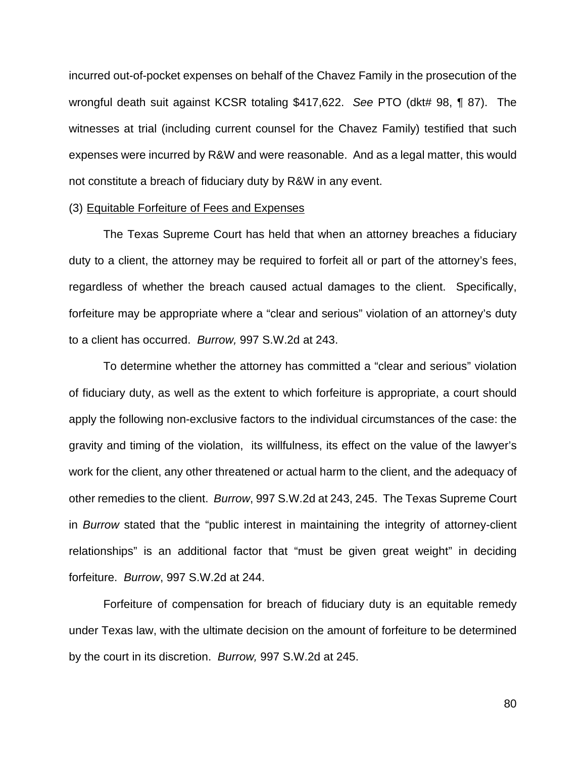incurred out-of-pocket expenses on behalf of the Chavez Family in the prosecution of the wrongful death suit against KCSR totaling \$417,622. *See* PTO (dkt# 98, ¶ 87). The witnesses at trial (including current counsel for the Chavez Family) testified that such expenses were incurred by R&W and were reasonable. And as a legal matter, this would not constitute a breach of fiduciary duty by R&W in any event.

#### (3) Equitable Forfeiture of Fees and Expenses

The Texas Supreme Court has held that when an attorney breaches a fiduciary duty to a client, the attorney may be required to forfeit all or part of the attorney's fees, regardless of whether the breach caused actual damages to the client. Specifically, forfeiture may be appropriate where a "clear and serious" violation of an attorney's duty to a client has occurred. *Burrow,* 997 S.W.2d at 243.

To determine whether the attorney has committed a "clear and serious" violation of fiduciary duty, as well as the extent to which forfeiture is appropriate, a court should apply the following non-exclusive factors to the individual circumstances of the case: the gravity and timing of the violation, its willfulness, its effect on the value of the lawyer's work for the client, any other threatened or actual harm to the client, and the adequacy of other remedies to the client. *Burrow*, 997 S.W.2d at 243, 245. The Texas Supreme Court in *Burrow* stated that the "public interest in maintaining the integrity of attorney-client relationships" is an additional factor that "must be given great weight" in deciding forfeiture. *Burrow*, 997 S.W.2d at 244.

Forfeiture of compensation for breach of fiduciary duty is an equitable remedy under Texas law, with the ultimate decision on the amount of forfeiture to be determined by the court in its discretion. *Burrow,* 997 S.W.2d at 245.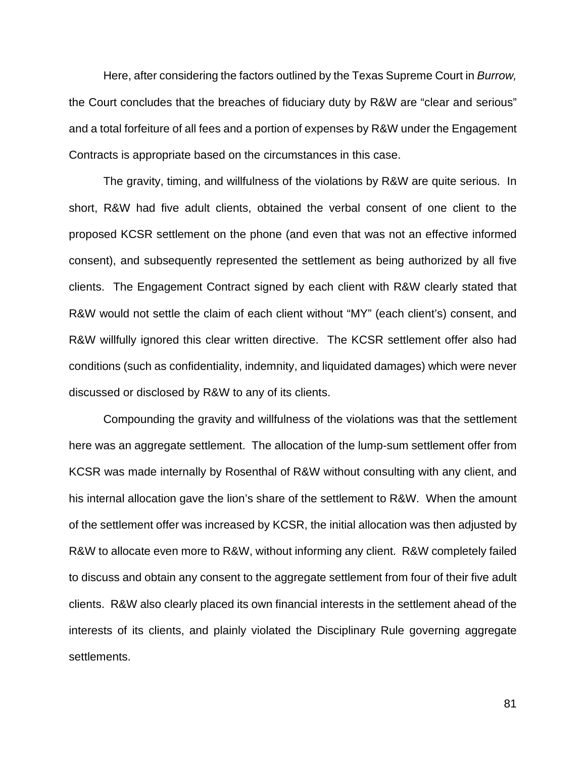Here, after considering the factors outlined by the Texas Supreme Court in *Burrow,*  the Court concludes that the breaches of fiduciary duty by R&W are "clear and serious" and a total forfeiture of all fees and a portion of expenses by R&W under the Engagement Contracts is appropriate based on the circumstances in this case.

The gravity, timing, and willfulness of the violations by R&W are quite serious. In short, R&W had five adult clients, obtained the verbal consent of one client to the proposed KCSR settlement on the phone (and even that was not an effective informed consent), and subsequently represented the settlement as being authorized by all five clients. The Engagement Contract signed by each client with R&W clearly stated that R&W would not settle the claim of each client without "MY" (each client's) consent, and R&W willfully ignored this clear written directive. The KCSR settlement offer also had conditions (such as confidentiality, indemnity, and liquidated damages) which were never discussed or disclosed by R&W to any of its clients.

Compounding the gravity and willfulness of the violations was that the settlement here was an aggregate settlement. The allocation of the lump-sum settlement offer from KCSR was made internally by Rosenthal of R&W without consulting with any client, and his internal allocation gave the lion's share of the settlement to R&W. When the amount of the settlement offer was increased by KCSR, the initial allocation was then adjusted by R&W to allocate even more to R&W, without informing any client. R&W completely failed to discuss and obtain any consent to the aggregate settlement from four of their five adult clients. R&W also clearly placed its own financial interests in the settlement ahead of the interests of its clients, and plainly violated the Disciplinary Rule governing aggregate settlements.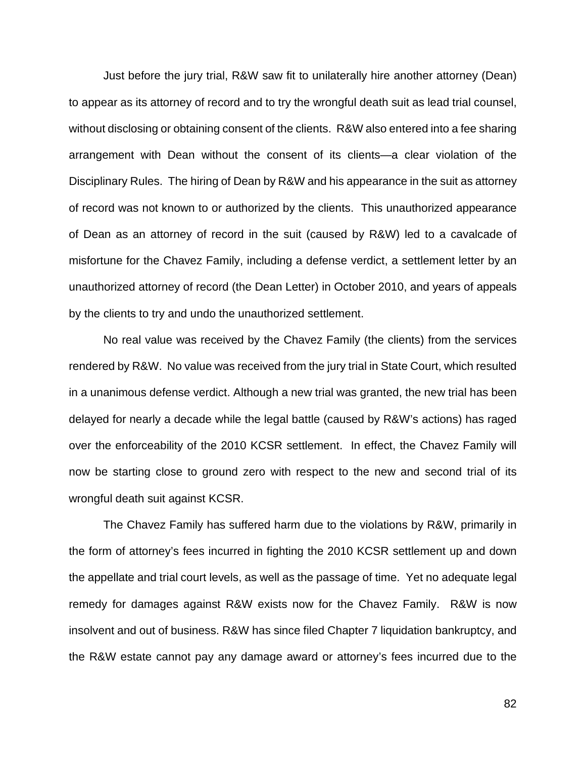Just before the jury trial, R&W saw fit to unilaterally hire another attorney (Dean) to appear as its attorney of record and to try the wrongful death suit as lead trial counsel, without disclosing or obtaining consent of the clients. R&W also entered into a fee sharing arrangement with Dean without the consent of its clients—a clear violation of the Disciplinary Rules. The hiring of Dean by R&W and his appearance in the suit as attorney of record was not known to or authorized by the clients. This unauthorized appearance of Dean as an attorney of record in the suit (caused by R&W) led to a cavalcade of misfortune for the Chavez Family, including a defense verdict, a settlement letter by an unauthorized attorney of record (the Dean Letter) in October 2010, and years of appeals by the clients to try and undo the unauthorized settlement.

No real value was received by the Chavez Family (the clients) from the services rendered by R&W. No value was received from the jury trial in State Court, which resulted in a unanimous defense verdict. Although a new trial was granted, the new trial has been delayed for nearly a decade while the legal battle (caused by R&W's actions) has raged over the enforceability of the 2010 KCSR settlement. In effect, the Chavez Family will now be starting close to ground zero with respect to the new and second trial of its wrongful death suit against KCSR.

The Chavez Family has suffered harm due to the violations by R&W, primarily in the form of attorney's fees incurred in fighting the 2010 KCSR settlement up and down the appellate and trial court levels, as well as the passage of time. Yet no adequate legal remedy for damages against R&W exists now for the Chavez Family. R&W is now insolvent and out of business. R&W has since filed Chapter 7 liquidation bankruptcy, and the R&W estate cannot pay any damage award or attorney's fees incurred due to the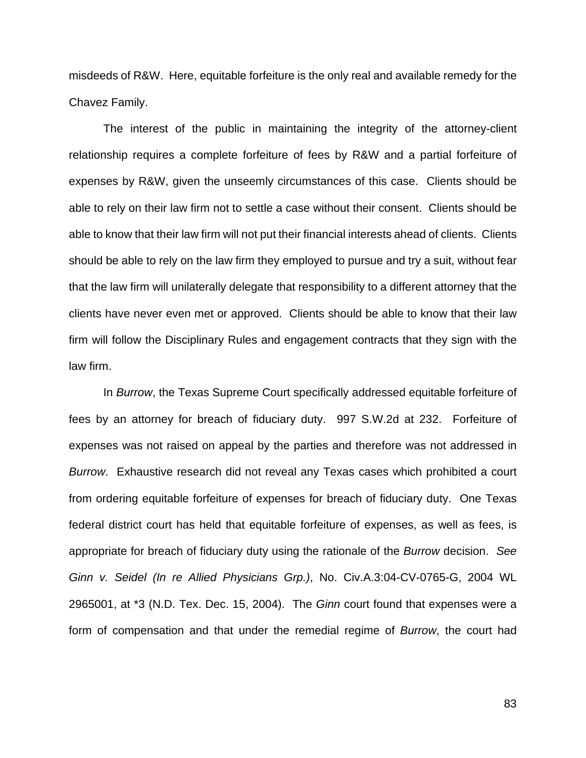misdeeds of R&W. Here, equitable forfeiture is the only real and available remedy for the Chavez Family.

The interest of the public in maintaining the integrity of the attorney-client relationship requires a complete forfeiture of fees by R&W and a partial forfeiture of expenses by R&W, given the unseemly circumstances of this case. Clients should be able to rely on their law firm not to settle a case without their consent. Clients should be able to know that their law firm will not put their financial interests ahead of clients. Clients should be able to rely on the law firm they employed to pursue and try a suit, without fear that the law firm will unilaterally delegate that responsibility to a different attorney that the clients have never even met or approved. Clients should be able to know that their law firm will follow the Disciplinary Rules and engagement contracts that they sign with the law firm.

In *Burrow*, the Texas Supreme Court specifically addressed equitable forfeiture of fees by an attorney for breach of fiduciary duty. 997 S.W.2d at 232. Forfeiture of expenses was not raised on appeal by the parties and therefore was not addressed in *Burrow*. Exhaustive research did not reveal any Texas cases which prohibited a court from ordering equitable forfeiture of expenses for breach of fiduciary duty. One Texas federal district court has held that equitable forfeiture of expenses, as well as fees, is appropriate for breach of fiduciary duty using the rationale of the *Burrow* decision. *See Ginn v. Seidel (In re Allied Physicians Grp.)*, No. Civ.A.3:04-CV-0765-G, 2004 WL 2965001, at \*3 (N.D. Tex. Dec. 15, 2004). The *Ginn* court found that expenses were a form of compensation and that under the remedial regime of *Burrow*, the court had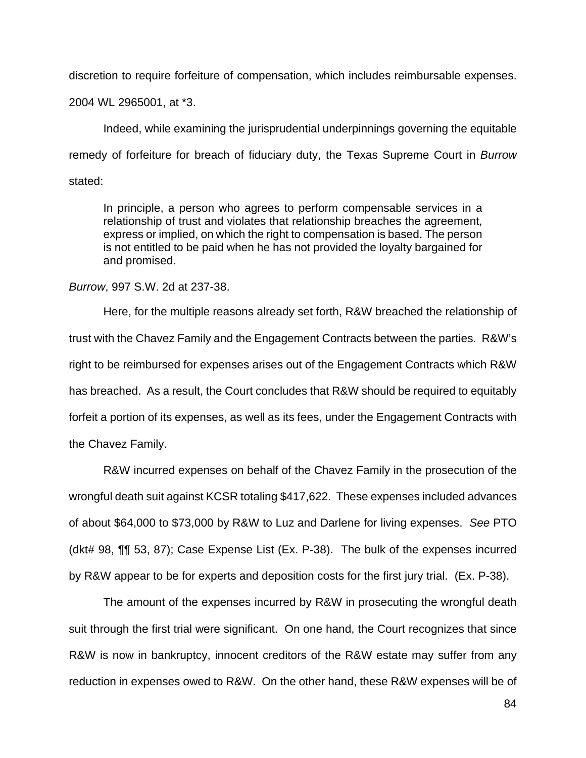discretion to require forfeiture of compensation, which includes reimbursable expenses.

2004 WL 2965001, at \*3.

Indeed, while examining the jurisprudential underpinnings governing the equitable remedy of forfeiture for breach of fiduciary duty, the Texas Supreme Court in *Burrow*  stated:

In principle, a person who agrees to perform compensable services in a relationship of trust and violates that relationship breaches the agreement, express or implied, on which the right to compensation is based. The person is not entitled to be paid when he has not provided the loyalty bargained for and promised.

## *Burrow*, 997 S.W. 2d at 237-38.

Here, for the multiple reasons already set forth, R&W breached the relationship of trust with the Chavez Family and the Engagement Contracts between the parties. R&W's right to be reimbursed for expenses arises out of the Engagement Contracts which R&W has breached. As a result, the Court concludes that R&W should be required to equitably forfeit a portion of its expenses, as well as its fees, under the Engagement Contracts with the Chavez Family.

R&W incurred expenses on behalf of the Chavez Family in the prosecution of the wrongful death suit against KCSR totaling \$417,622.These expenses included advances of about \$64,000 to \$73,000 by R&W to Luz and Darlene for living expenses. *See* PTO (dkt# 98, ¶¶ 53, 87); Case Expense List (Ex. P-38). The bulk of the expenses incurred by R&W appear to be for experts and deposition costs for the first jury trial. (Ex. P-38).

The amount of the expenses incurred by R&W in prosecuting the wrongful death suit through the first trial were significant. On one hand, the Court recognizes that since R&W is now in bankruptcy, innocent creditors of the R&W estate may suffer from any reduction in expenses owed to R&W. On the other hand, these R&W expenses will be of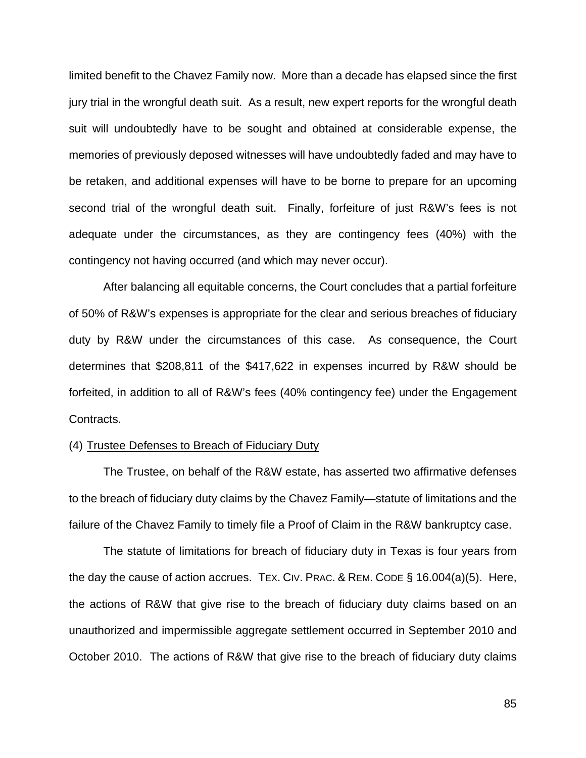limited benefit to the Chavez Family now. More than a decade has elapsed since the first jury trial in the wrongful death suit. As a result, new expert reports for the wrongful death suit will undoubtedly have to be sought and obtained at considerable expense, the memories of previously deposed witnesses will have undoubtedly faded and may have to be retaken, and additional expenses will have to be borne to prepare for an upcoming second trial of the wrongful death suit. Finally, forfeiture of just R&W's fees is not adequate under the circumstances, as they are contingency fees (40%) with the contingency not having occurred (and which may never occur).

After balancing all equitable concerns, the Court concludes that a partial forfeiture of 50% of R&W's expenses is appropriate for the clear and serious breaches of fiduciary duty by R&W under the circumstances of this case. As consequence, the Court determines that \$208,811 of the \$417,622 in expenses incurred by R&W should be forfeited, in addition to all of R&W's fees (40% contingency fee) under the Engagement Contracts.

### (4) Trustee Defenses to Breach of Fiduciary Duty

The Trustee, on behalf of the R&W estate, has asserted two affirmative defenses to the breach of fiduciary duty claims by the Chavez Family—statute of limitations and the failure of the Chavez Family to timely file a Proof of Claim in the R&W bankruptcy case.

The statute of limitations for breach of fiduciary duty in Texas is four years from the day the cause of action accrues. TEX. CIV. PRAC. & REM. CODE § 16.004(a)(5). Here, the actions of R&W that give rise to the breach of fiduciary duty claims based on an unauthorized and impermissible aggregate settlement occurred in September 2010 and October 2010. The actions of R&W that give rise to the breach of fiduciary duty claims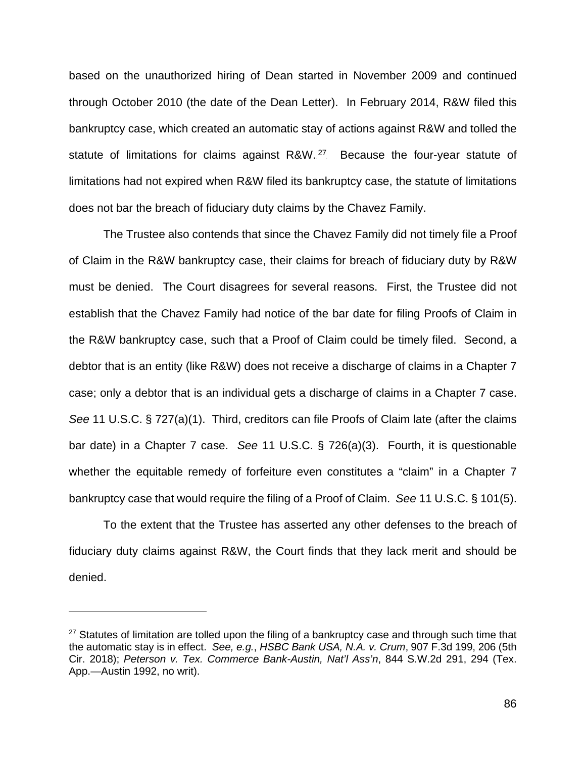based on the unauthorized hiring of Dean started in November 2009 and continued through October 2010 (the date of the Dean Letter). In February 2014, R&W filed this bankruptcy case, which created an automatic stay of actions against R&W and tolled the statute of limitations for claims against R&W.<sup>27</sup> Because the four-year statute of limitations had not expired when R&W filed its bankruptcy case, the statute of limitations does not bar the breach of fiduciary duty claims by the Chavez Family.

The Trustee also contends that since the Chavez Family did not timely file a Proof of Claim in the R&W bankruptcy case, their claims for breach of fiduciary duty by R&W must be denied. The Court disagrees for several reasons. First, the Trustee did not establish that the Chavez Family had notice of the bar date for filing Proofs of Claim in the R&W bankruptcy case, such that a Proof of Claim could be timely filed. Second, a debtor that is an entity (like R&W) does not receive a discharge of claims in a Chapter 7 case; only a debtor that is an individual gets a discharge of claims in a Chapter 7 case. *See* 11 U.S.C. § 727(a)(1). Third, creditors can file Proofs of Claim late (after the claims bar date) in a Chapter 7 case. *See* 11 U.S.C. § 726(a)(3). Fourth, it is questionable whether the equitable remedy of forfeiture even constitutes a "claim" in a Chapter 7 bankruptcy case that would require the filing of a Proof of Claim. *See* 11 U.S.C. § 101(5).

To the extent that the Trustee has asserted any other defenses to the breach of fiduciary duty claims against R&W, the Court finds that they lack merit and should be denied.

 $27$  Statutes of limitation are tolled upon the filing of a bankruptcy case and through such time that the automatic stay is in effect. *See, e.g.*, *HSBC Bank USA, N.A. v. Crum*, 907 F.3d 199, 206 (5th Cir. 2018); *Peterson v. Tex. Commerce Bank-Austin, Nat'l Ass'n*, 844 S.W.2d 291, 294 (Tex. App.—Austin 1992, no writ).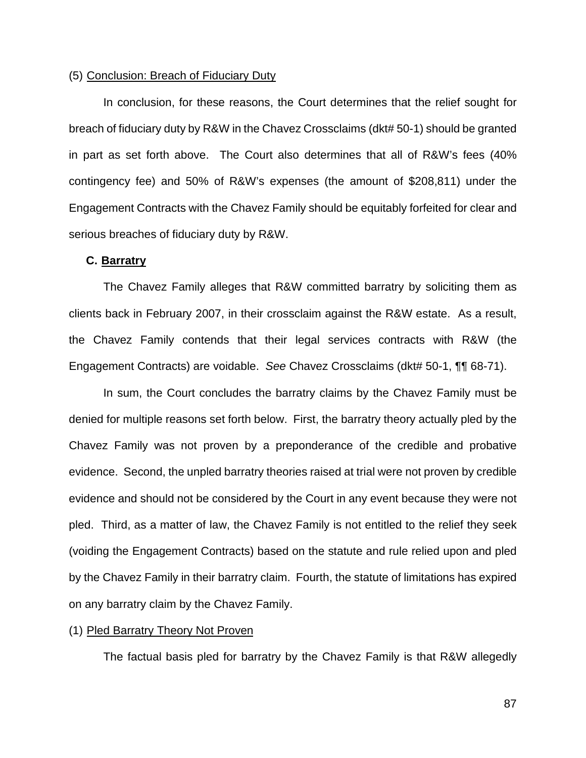## (5) Conclusion: Breach of Fiduciary Duty

In conclusion, for these reasons, the Court determines that the relief sought for breach of fiduciary duty by R&W in the Chavez Crossclaims (dkt# 50-1) should be granted in part as set forth above. The Court also determines that all of R&W's fees (40% contingency fee) and 50% of R&W's expenses (the amount of \$208,811) under the Engagement Contracts with the Chavez Family should be equitably forfeited for clear and serious breaches of fiduciary duty by R&W.

## **C.** Barratry

The Chavez Family alleges that R&W committed barratry by soliciting them as clients back in February 2007, in their crossclaim against the R&W estate. As a result, the Chavez Family contends that their legal services contracts with R&W (the Engagement Contracts) are voidable. *See* Chavez Crossclaims (dkt# 50-1, ¶¶ 68-71).

In sum, the Court concludes the barratry claims by the Chavez Family must be denied for multiple reasons set forth below. First, the barratry theory actually pled by the Chavez Family was not proven by a preponderance of the credible and probative evidence. Second, the unpled barratry theories raised at trial were not proven by credible evidence and should not be considered by the Court in any event because they were not pled. Third, as a matter of law, the Chavez Family is not entitled to the relief they seek (voiding the Engagement Contracts) based on the statute and rule relied upon and pled by the Chavez Family in their barratry claim. Fourth, the statute of limitations has expired on any barratry claim by the Chavez Family.

## (1) Pled Barratry Theory Not Proven

The factual basis pled for barratry by the Chavez Family is that R&W allegedly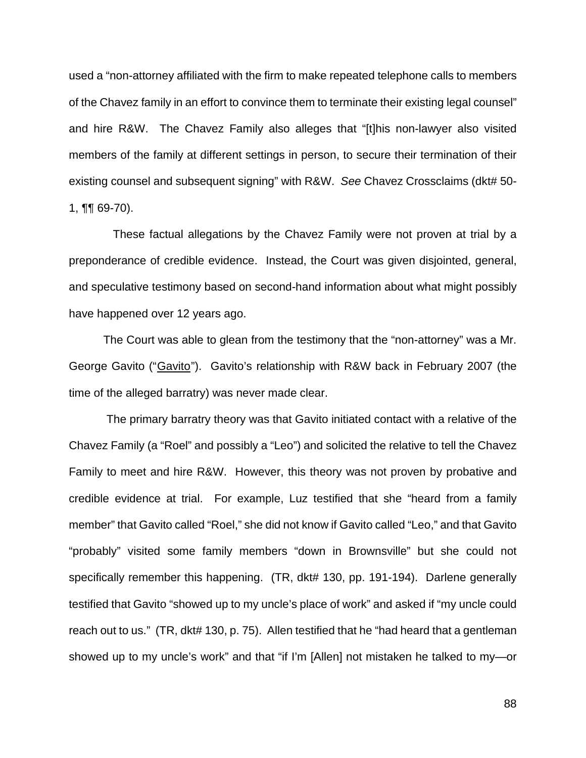used a "non-attorney affiliated with the firm to make repeated telephone calls to members of the Chavez family in an effort to convince them to terminate their existing legal counsel" and hire R&W. The Chavez Family also alleges that "[t]his non-lawyer also visited members of the family at different settings in person, to secure their termination of their existing counsel and subsequent signing" with R&W. *See* Chavez Crossclaims (dkt# 50- 1, ¶¶ 69-70).

 These factual allegations by the Chavez Family were not proven at trial by a preponderance of credible evidence. Instead, the Court was given disjointed, general, and speculative testimony based on second-hand information about what might possibly have happened over 12 years ago.

The Court was able to glean from the testimony that the "non-attorney" was a Mr. George Gavito ("Gavito"). Gavito's relationship with R&W back in February 2007 (the time of the alleged barratry) was never made clear.

The primary barratry theory was that Gavito initiated contact with a relative of the Chavez Family (a "Roel" and possibly a "Leo") and solicited the relative to tell the Chavez Family to meet and hire R&W. However, this theory was not proven by probative and credible evidence at trial. For example, Luz testified that she "heard from a family member" that Gavito called "Roel," she did not know if Gavito called "Leo," and that Gavito "probably" visited some family members "down in Brownsville" but she could not specifically remember this happening. (TR, dkt# 130, pp. 191-194). Darlene generally testified that Gavito "showed up to my uncle's place of work" and asked if "my uncle could reach out to us." (TR, dkt# 130, p. 75). Allen testified that he "had heard that a gentleman showed up to my uncle's work" and that "if I'm [Allen] not mistaken he talked to my—or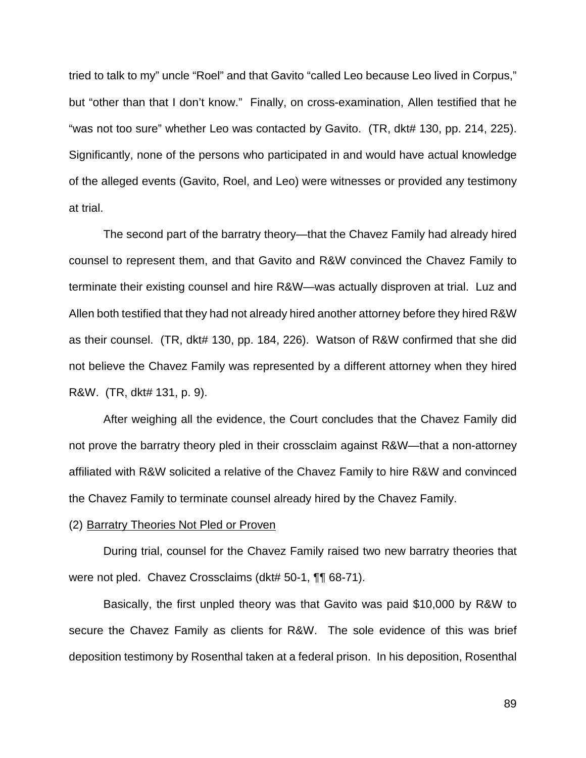tried to talk to my" uncle "Roel" and that Gavito "called Leo because Leo lived in Corpus," but "other than that I don't know." Finally, on cross-examination, Allen testified that he "was not too sure" whether Leo was contacted by Gavito. (TR, dkt# 130, pp. 214, 225). Significantly, none of the persons who participated in and would have actual knowledge of the alleged events (Gavito, Roel, and Leo) were witnesses or provided any testimony at trial.

The second part of the barratry theory—that the Chavez Family had already hired counsel to represent them, and that Gavito and R&W convinced the Chavez Family to terminate their existing counsel and hire R&W—was actually disproven at trial. Luz and Allen both testified that they had not already hired another attorney before they hired R&W as their counsel. (TR, dkt# 130, pp. 184, 226). Watson of R&W confirmed that she did not believe the Chavez Family was represented by a different attorney when they hired R&W. (TR, dkt# 131, p. 9).

After weighing all the evidence, the Court concludes that the Chavez Family did not prove the barratry theory pled in their crossclaim against R&W—that a non-attorney affiliated with R&W solicited a relative of the Chavez Family to hire R&W and convinced the Chavez Family to terminate counsel already hired by the Chavez Family.

#### (2) Barratry Theories Not Pled or Proven

During trial, counsel for the Chavez Family raised two new barratry theories that were not pled. Chavez Crossclaims (dkt# 50-1, ¶¶ 68-71).

Basically, the first unpled theory was that Gavito was paid \$10,000 by R&W to secure the Chavez Family as clients for R&W. The sole evidence of this was brief deposition testimony by Rosenthal taken at a federal prison. In his deposition, Rosenthal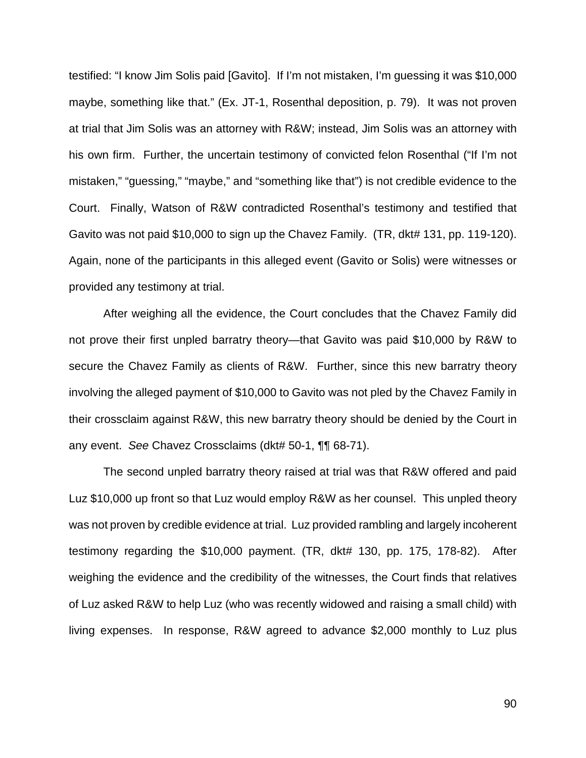testified: "I know Jim Solis paid [Gavito]. If I'm not mistaken, I'm guessing it was \$10,000 maybe, something like that." (Ex. JT-1, Rosenthal deposition, p. 79). It was not proven at trial that Jim Solis was an attorney with R&W; instead, Jim Solis was an attorney with his own firm. Further, the uncertain testimony of convicted felon Rosenthal ("If I'm not mistaken," "guessing," "maybe," and "something like that") is not credible evidence to the Court. Finally, Watson of R&W contradicted Rosenthal's testimony and testified that Gavito was not paid \$10,000 to sign up the Chavez Family. (TR, dkt# 131, pp. 119-120). Again, none of the participants in this alleged event (Gavito or Solis) were witnesses or provided any testimony at trial.

After weighing all the evidence, the Court concludes that the Chavez Family did not prove their first unpled barratry theory—that Gavito was paid \$10,000 by R&W to secure the Chavez Family as clients of R&W. Further, since this new barratry theory involving the alleged payment of \$10,000 to Gavito was not pled by the Chavez Family in their crossclaim against R&W, this new barratry theory should be denied by the Court in any event. *See* Chavez Crossclaims (dkt# 50-1, ¶¶ 68-71).

The second unpled barratry theory raised at trial was that R&W offered and paid Luz \$10,000 up front so that Luz would employ R&W as her counsel. This unpled theory was not proven by credible evidence at trial. Luz provided rambling and largely incoherent testimony regarding the \$10,000 payment. (TR, dkt# 130, pp. 175, 178-82). After weighing the evidence and the credibility of the witnesses, the Court finds that relatives of Luz asked R&W to help Luz (who was recently widowed and raising a small child) with living expenses. In response, R&W agreed to advance \$2,000 monthly to Luz plus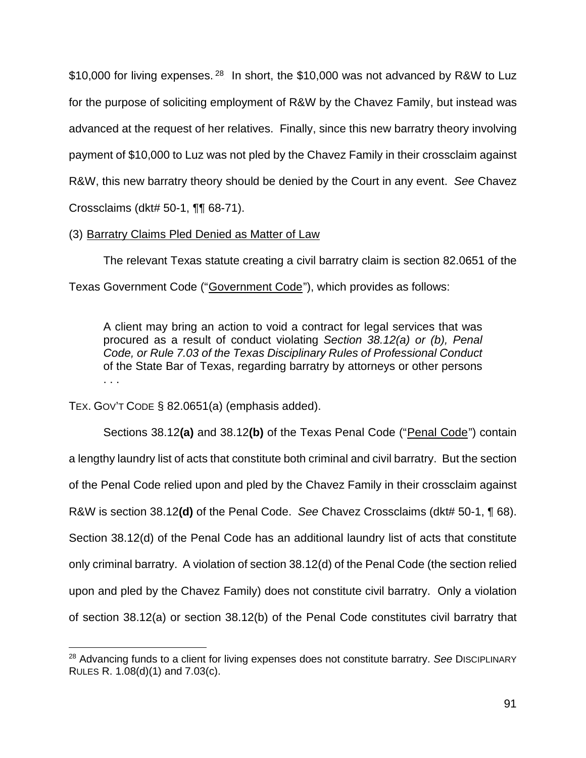\$10,000 for living expenses.<sup>28</sup> In short, the \$10,000 was not advanced by R&W to Luz for the purpose of soliciting employment of R&W by the Chavez Family, but instead was advanced at the request of her relatives. Finally, since this new barratry theory involving payment of \$10,000 to Luz was not pled by the Chavez Family in their crossclaim against R&W, this new barratry theory should be denied by the Court in any event. *See* Chavez Crossclaims (dkt# 50-1, ¶¶ 68-71).

(3) Barratry Claims Pled Denied as Matter of Law

The relevant Texas statute creating a civil barratry claim is section 82.0651 of the Texas Government Code ("Government Code"), which provides as follows:

A client may bring an action to void a contract for legal services that was procured as a result of conduct violating *Section 38.12(a) or (b), Penal Code, or Rule 7.03 of the Texas Disciplinary Rules of Professional Conduct* of the State Bar of Texas, regarding barratry by attorneys or other persons . . .

TEX. GOV'T CODE § 82.0651(a) (emphasis added).

Sections 38.12(a) and 38.12(b) of the Texas Penal Code ("Penal Code") contain a lengthy laundry list of acts that constitute both criminal and civil barratry. But the section of the Penal Code relied upon and pled by the Chavez Family in their crossclaim against R&W is section 38.12**(d)** of the Penal Code. *See* Chavez Crossclaims (dkt# 50-1, ¶ 68). Section 38.12(d) of the Penal Code has an additional laundry list of acts that constitute only criminal barratry. A violation of section 38.12(d) of the Penal Code (the section relied upon and pled by the Chavez Family) does not constitute civil barratry. Only a violation of section 38.12(a) or section 38.12(b) of the Penal Code constitutes civil barratry that

<sup>28</sup> Advancing funds to a client for living expenses does not constitute barratry. *See* DISCIPLINARY RULES R. 1.08(d)(1) and 7.03(c).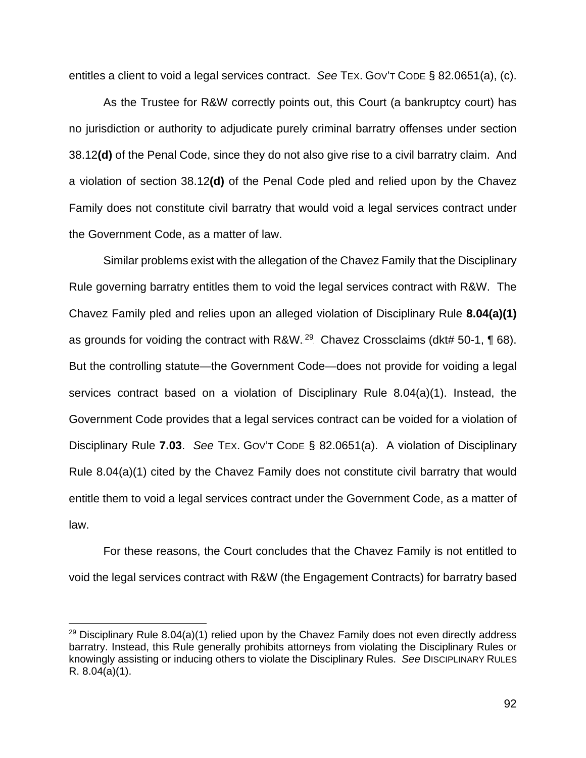entitles a client to void a legal services contract. *See* TEX. GOV'T CODE § 82.0651(a), (c).

As the Trustee for R&W correctly points out, this Court (a bankruptcy court) has no jurisdiction or authority to adjudicate purely criminal barratry offenses under section 38.12**(d)** of the Penal Code, since they do not also give rise to a civil barratry claim. And a violation of section 38.12**(d)** of the Penal Code pled and relied upon by the Chavez Family does not constitute civil barratry that would void a legal services contract under the Government Code, as a matter of law.

Similar problems exist with the allegation of the Chavez Family that the Disciplinary Rule governing barratry entitles them to void the legal services contract with R&W. The Chavez Family pled and relies upon an alleged violation of Disciplinary Rule **8.04(a)(1)** as grounds for voiding the contract with R&W.  $^{29}$  Chavez Crossclaims (dkt# 50-1, ¶ 68). But the controlling statute—the Government Code—does not provide for voiding a legal services contract based on a violation of Disciplinary Rule 8.04(a)(1). Instead, the Government Code provides that a legal services contract can be voided for a violation of Disciplinary Rule **7.03**. *See* TEX. GOV'T CODE § 82.0651(a). A violation of Disciplinary Rule 8.04(a)(1) cited by the Chavez Family does not constitute civil barratry that would entitle them to void a legal services contract under the Government Code, as a matter of law.

For these reasons, the Court concludes that the Chavez Family is not entitled to void the legal services contract with R&W (the Engagement Contracts) for barratry based

<sup>&</sup>lt;sup>29</sup> Disciplinary Rule 8.04(a)(1) relied upon by the Chavez Family does not even directly address barratry. Instead, this Rule generally prohibits attorneys from violating the Disciplinary Rules or knowingly assisting or inducing others to violate the Disciplinary Rules. *See* DISCIPLINARY RULES R. 8.04(a)(1).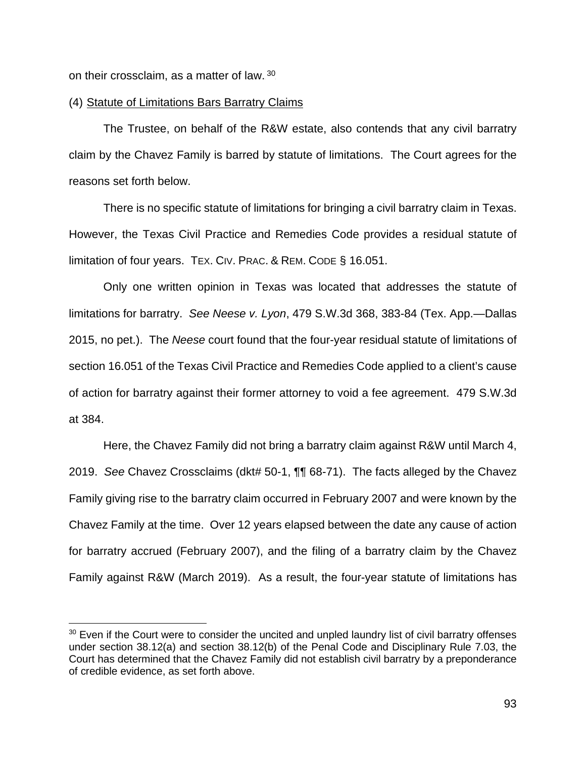on their crossclaim, as a matter of law.  $30<sub>1</sub>$ 

#### (4) Statute of Limitations Bars Barratry Claims

The Trustee, on behalf of the R&W estate, also contends that any civil barratry claim by the Chavez Family is barred by statute of limitations. The Court agrees for the reasons set forth below.

There is no specific statute of limitations for bringing a civil barratry claim in Texas. However, the Texas Civil Practice and Remedies Code provides a residual statute of limitation of four years. TEX. CIV. PRAC. & REM. CODE § 16.051.

Only one written opinion in Texas was located that addresses the statute of limitations for barratry. *See Neese v. Lyon*, 479 S.W.3d 368, 383-84 (Tex. App.—Dallas 2015, no pet.). The *Neese* court found that the four-year residual statute of limitations of section 16.051 of the Texas Civil Practice and Remedies Code applied to a client's cause of action for barratry against their former attorney to void a fee agreement. 479 S.W.3d at 384.

Here, the Chavez Family did not bring a barratry claim against R&W until March 4, 2019. *See* Chavez Crossclaims (dkt# 50-1, ¶¶ 68-71). The facts alleged by the Chavez Family giving rise to the barratry claim occurred in February 2007 and were known by the Chavez Family at the time. Over 12 years elapsed between the date any cause of action for barratry accrued (February 2007), and the filing of a barratry claim by the Chavez Family against R&W (March 2019). As a result, the four-year statute of limitations has

 $30$  Even if the Court were to consider the uncited and unpled laundry list of civil barratry offenses under section 38.12(a) and section 38.12(b) of the Penal Code and Disciplinary Rule 7.03, the Court has determined that the Chavez Family did not establish civil barratry by a preponderance of credible evidence, as set forth above.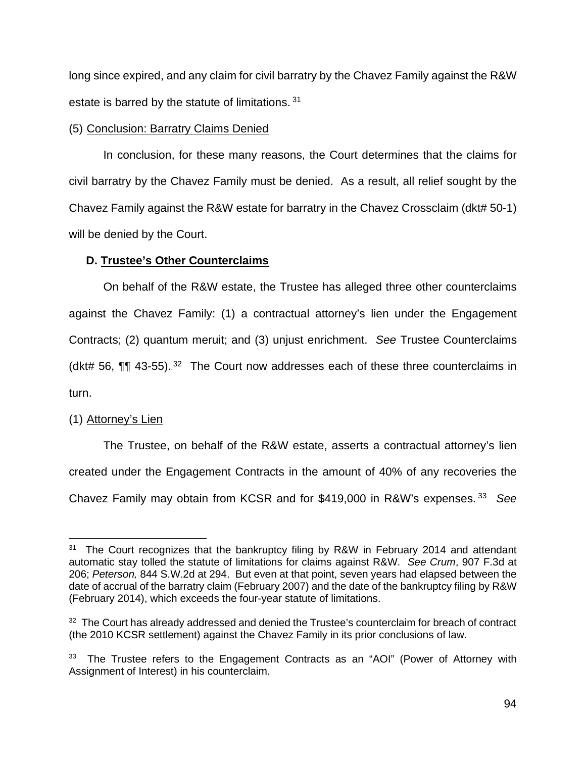long since expired, and any claim for civil barratry by the Chavez Family against the R&W estate is barred by the statute of limitations. <sup>31</sup>

## (5) Conclusion: Barratry Claims Denied

In conclusion, for these many reasons, the Court determines that the claims for civil barratry by the Chavez Family must be denied. As a result, all relief sought by the Chavez Family against the R&W estate for barratry in the Chavez Crossclaim (dkt# 50-1) will be denied by the Court.

## **D. Trustee's Other Counterclaims**

On behalf of the R&W estate, the Trustee has alleged three other counterclaims against the Chavez Family: (1) a contractual attorney's lien under the Engagement Contracts; (2) quantum meruit; and (3) unjust enrichment. *See* Trustee Counterclaims (dkt# 56,  $\P\P$  43-55).<sup>32</sup> The Court now addresses each of these three counterclaims in turn.

# $(1)$  Attorney's Lien

The Trustee, on behalf of the R&W estate, asserts a contractual attorney's lien created under the Engagement Contracts in the amount of 40% of any recoveries the Chavez Family may obtain from KCSR and for \$419,000 in R&W's expenses.<sup>33</sup> See

 $31$  The Court recognizes that the bankruptcy filing by R&W in February 2014 and attendant automatic stay tolled the statute of limitations for claims against R&W. *See Crum*, 907 F.3d at 206; *Peterson,* 844 S.W.2d at 294. But even at that point, seven years had elapsed between the date of accrual of the barratry claim (February 2007) and the date of the bankruptcy filing by R&W (February 2014), which exceeds the four-year statute of limitations.

<sup>&</sup>lt;sup>32</sup> The Court has already addressed and denied the Trustee's counterclaim for breach of contract (the 2010 KCSR settlement) against the Chavez Family in its prior conclusions of law.

<sup>&</sup>lt;sup>33</sup> The Trustee refers to the Engagement Contracts as an "AOI" (Power of Attorney with Assignment of Interest) in his counterclaim.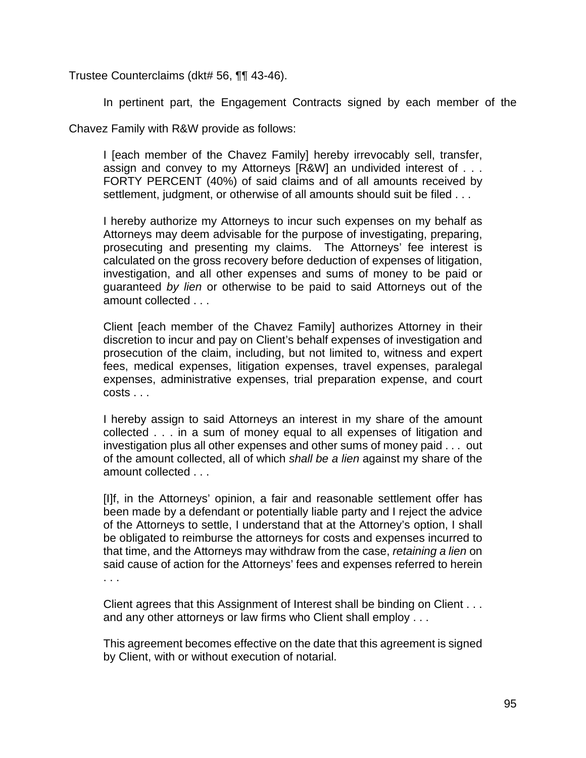Trustee Counterclaims (dkt# 56, ¶¶ 43-46).

In pertinent part, the Engagement Contracts signed by each member of the

Chavez Family with R&W provide as follows:

I [each member of the Chavez Family] hereby irrevocably sell, transfer, assign and convey to my Attorneys [R&W] an undivided interest of . . . FORTY PERCENT (40%) of said claims and of all amounts received by settlement, judgment, or otherwise of all amounts should suit be filed . . .

I hereby authorize my Attorneys to incur such expenses on my behalf as Attorneys may deem advisable for the purpose of investigating, preparing, prosecuting and presenting my claims. The Attorneys' fee interest is calculated on the gross recovery before deduction of expenses of litigation, investigation, and all other expenses and sums of money to be paid or guaranteed *by lien* or otherwise to be paid to said Attorneys out of the amount collected . . .

Client [each member of the Chavez Family] authorizes Attorney in their discretion to incur and pay on Client's behalf expenses of investigation and prosecution of the claim, including, but not limited to, witness and expert fees, medical expenses, litigation expenses, travel expenses, paralegal expenses, administrative expenses, trial preparation expense, and court costs . . .

I hereby assign to said Attorneys an interest in my share of the amount collected . . . in a sum of money equal to all expenses of litigation and investigation plus all other expenses and other sums of money paid . . . out of the amount collected, all of which *shall be a lien* against my share of the amount collected . . .

[I]f, in the Attorneys' opinion, a fair and reasonable settlement offer has been made by a defendant or potentially liable party and I reject the advice of the Attorneys to settle, I understand that at the Attorney's option, I shall be obligated to reimburse the attorneys for costs and expenses incurred to that time, and the Attorneys may withdraw from the case, *retaining a lien* on said cause of action for the Attorneys' fees and expenses referred to herein . . .

Client agrees that this Assignment of Interest shall be binding on Client . . . and any other attorneys or law firms who Client shall employ . . .

This agreement becomes effective on the date that this agreement is signed by Client, with or without execution of notarial.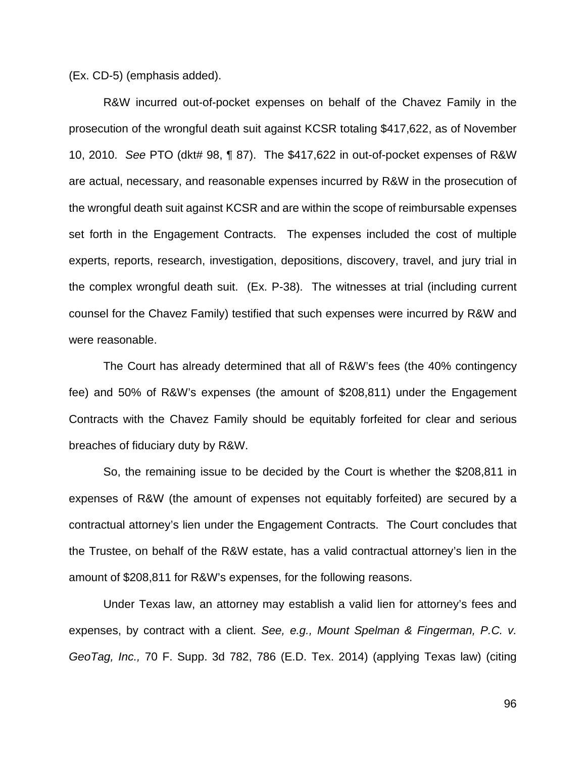(Ex. CD-5) (emphasis added).

 R&W incurred out-of-pocket expenses on behalf of the Chavez Family in the prosecution of the wrongful death suit against KCSR totaling \$417,622, as of November 10, 2010. *See* PTO (dkt# 98, ¶ 87). The \$417,622 in out-of-pocket expenses of R&W are actual, necessary, and reasonable expenses incurred by R&W in the prosecution of the wrongful death suit against KCSR and are within the scope of reimbursable expenses set forth in the Engagement Contracts. The expenses included the cost of multiple experts, reports, research, investigation, depositions, discovery, travel, and jury trial in the complex wrongful death suit. (Ex. P-38). The witnesses at trial (including current counsel for the Chavez Family) testified that such expenses were incurred by R&W and were reasonable.

The Court has already determined that all of R&W's fees (the 40% contingency fee) and 50% of R&W's expenses (the amount of \$208,811) under the Engagement Contracts with the Chavez Family should be equitably forfeited for clear and serious breaches of fiduciary duty by R&W.

So, the remaining issue to be decided by the Court is whether the \$208,811 in expenses of R&W (the amount of expenses not equitably forfeited) are secured by a contractual attorney's lien under the Engagement Contracts. The Court concludes that the Trustee, on behalf of the R&W estate, has a valid contractual attorney's lien in the amount of \$208,811 for R&W's expenses, for the following reasons.

Under Texas law, an attorney may establish a valid lien for attorney's fees and expenses, by contract with a client. *See, e.g., Mount Spelman & Fingerman, P.C. v. GeoTag, Inc.,* 70 F. Supp. 3d 782, 786 (E.D. Tex. 2014) (applying Texas law) (citing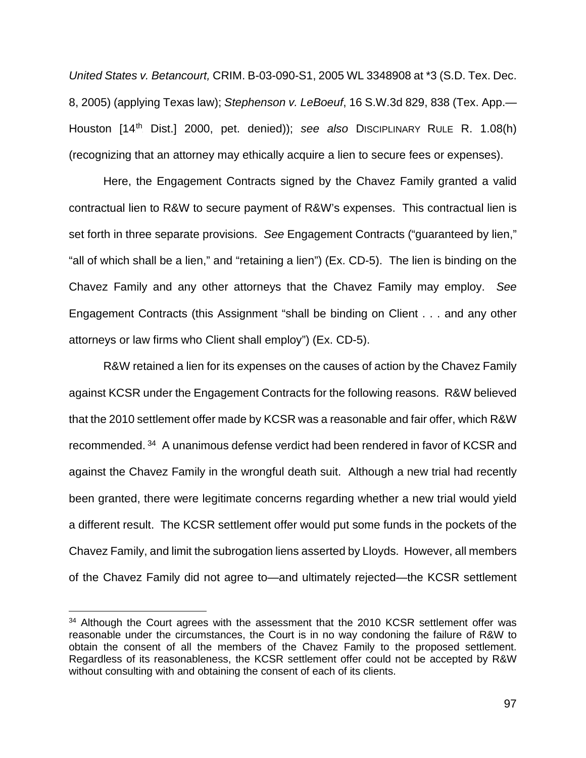*United States v. Betancourt,* CRIM. B-03-090-S1, 2005 WL 3348908 at \*3 (S.D. Tex. Dec. 8, 2005) (applying Texas law); *Stephenson v. LeBoeuf*, 16 S.W.3d 829, 838 (Tex. App.— Houston [14<sup>th</sup> Dist.] 2000, pet. denied)); see also DISCIPLINARY RULE R. 1.08(h) (recognizing that an attorney may ethically acquire a lien to secure fees or expenses).

Here, the Engagement Contracts signed by the Chavez Family granted a valid contractual lien to R&W to secure payment of R&W's expenses. This contractual lien is set forth in three separate provisions. *See* Engagement Contracts ("guaranteed by lien," "all of which shall be a lien," and "retaining a lien") (Ex. CD-5). The lien is binding on the Chavez Family and any other attorneys that the Chavez Family may employ. *See* Engagement Contracts (this Assignment "shall be binding on Client . . . and any other attorneys or law firms who Client shall employ") (Ex. CD-5).

R&W retained a lien for its expenses on the causes of action by the Chavez Family against KCSR under the Engagement Contracts for the following reasons. R&W believed that the 2010 settlement offer made by KCSR was a reasonable and fair offer, which R&W recommended.<sup>34</sup> A unanimous defense verdict had been rendered in favor of KCSR and against the Chavez Family in the wrongful death suit. Although a new trial had recently been granted, there were legitimate concerns regarding whether a new trial would yield a different result. The KCSR settlement offer would put some funds in the pockets of the Chavez Family, and limit the subrogation liens asserted by Lloyds. However, all members of the Chavez Family did not agree to—and ultimately rejected—the KCSR settlement

<sup>&</sup>lt;sup>34</sup> Although the Court agrees with the assessment that the 2010 KCSR settlement offer was reasonable under the circumstances, the Court is in no way condoning the failure of R&W to obtain the consent of all the members of the Chavez Family to the proposed settlement. Regardless of its reasonableness, the KCSR settlement offer could not be accepted by R&W without consulting with and obtaining the consent of each of its clients.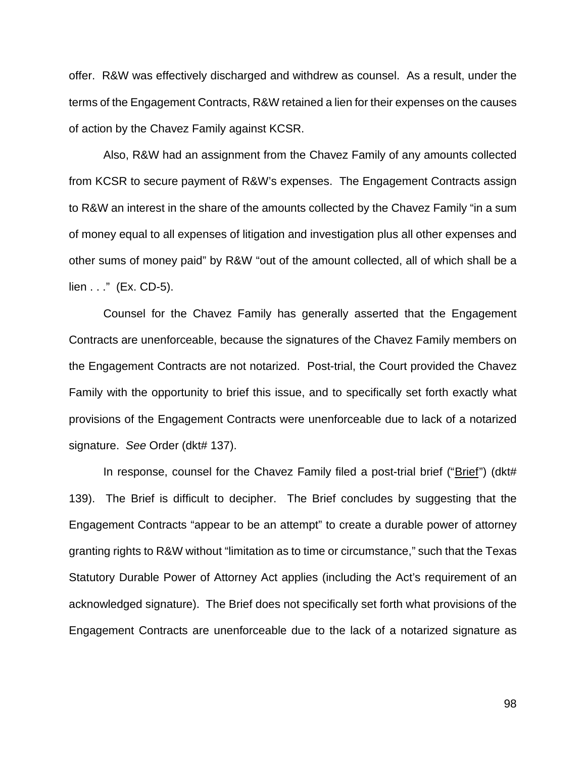offer. R&W was effectively discharged and withdrew as counsel. As a result, under the terms of the Engagement Contracts, R&W retained a lien for their expenses on the causes of action by the Chavez Family against KCSR.

Also, R&W had an assignment from the Chavez Family of any amounts collected from KCSR to secure payment of R&W's expenses. The Engagement Contracts assign to R&W an interest in the share of the amounts collected by the Chavez Family "in a sum of money equal to all expenses of litigation and investigation plus all other expenses and other sums of money paid" by R&W "out of the amount collected, all of which shall be a lien . . ." (Ex. CD-5).

Counsel for the Chavez Family has generally asserted that the Engagement Contracts are unenforceable, because the signatures of the Chavez Family members on the Engagement Contracts are not notarized. Post-trial, the Court provided the Chavez Family with the opportunity to brief this issue, and to specifically set forth exactly what provisions of the Engagement Contracts were unenforceable due to lack of a notarized signature. *See* Order (dkt# 137).

In response, counsel for the Chavez Family filed a post-trial brief (" $Brief$ ") (dkt# 139). The Brief is difficult to decipher. The Brief concludes by suggesting that the Engagement Contracts "appear to be an attempt" to create a durable power of attorney granting rights to R&W without "limitation as to time or circumstance," such that the Texas Statutory Durable Power of Attorney Act applies (including the Act's requirement of an acknowledged signature). The Brief does not specifically set forth what provisions of the Engagement Contracts are unenforceable due to the lack of a notarized signature as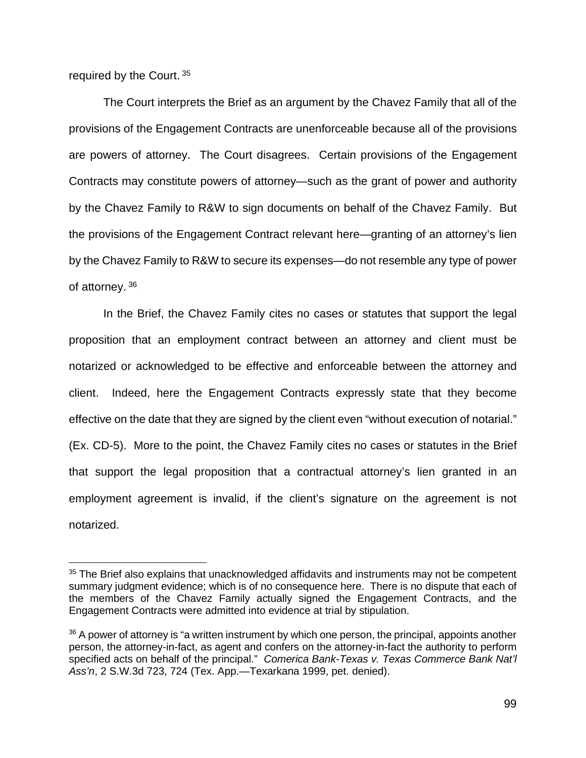required by the Court.<sup>35</sup>

The Court interprets the Brief as an argument by the Chavez Family that all of the provisions of the Engagement Contracts are unenforceable because all of the provisions are powers of attorney. The Court disagrees. Certain provisions of the Engagement Contracts may constitute powers of attorney—such as the grant of power and authority by the Chavez Family to R&W to sign documents on behalf of the Chavez Family. But the provisions of the Engagement Contract relevant here—granting of an attorney's lien by the Chavez Family to R&W to secure its expenses—do not resemble any type of power of attorney. 36

In the Brief, the Chavez Family cites no cases or statutes that support the legal proposition that an employment contract between an attorney and client must be notarized or acknowledged to be effective and enforceable between the attorney and client. Indeed, here the Engagement Contracts expressly state that they become effective on the date that they are signed by the client even "without execution of notarial." (Ex. CD-5). More to the point, the Chavez Family cites no cases or statutes in the Brief that support the legal proposition that a contractual attorney's lien granted in an employment agreement is invalid, if the client's signature on the agreement is not notarized.

<sup>&</sup>lt;sup>35</sup> The Brief also explains that unacknowledged affidavits and instruments may not be competent summary judgment evidence; which is of no consequence here. There is no dispute that each of the members of the Chavez Family actually signed the Engagement Contracts, and the Engagement Contracts were admitted into evidence at trial by stipulation.

 $36$  A power of attorney is "a written instrument by which one person, the principal, appoints another person, the attorney-in-fact, as agent and confers on the attorney-in-fact the authority to perform specified acts on behalf of the principal." *Comerica Bank-Texas v. Texas Commerce Bank Nat'l Ass'n*, 2 S.W.3d 723, 724 (Tex. App.—Texarkana 1999, pet. denied).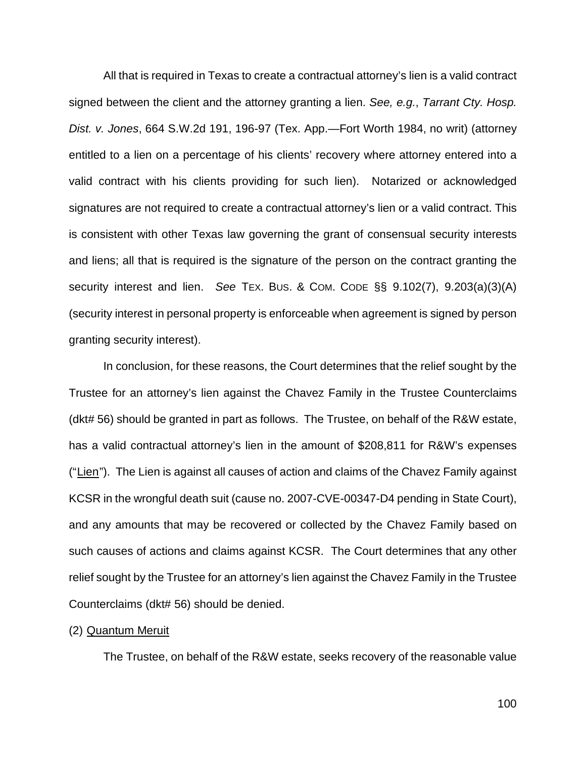All that is required in Texas to create a contractual attorney's lien is a valid contract signed between the client and the attorney granting a lien. *See, e.g.*, *Tarrant Cty. Hosp. Dist. v. Jones*, 664 S.W.2d 191, 196-97 (Tex. App.—Fort Worth 1984, no writ) (attorney entitled to a lien on a percentage of his clients' recovery where attorney entered into a valid contract with his clients providing for such lien).Notarized or acknowledged signatures are not required to create a contractual attorney's lien or a valid contract. This is consistent with other Texas law governing the grant of consensual security interests and liens; all that is required is the signature of the person on the contract granting the security interest and lien. *See* TEX. BUS. & COM. CODE §§ 9.102(7), 9.203(a)(3)(A) (security interest in personal property is enforceable when agreement is signed by person granting security interest).

In conclusion, for these reasons, the Court determines that the relief sought by the Trustee for an attorney's lien against the Chavez Family in the Trustee Counterclaims (dkt# 56) should be granted in part as follows. The Trustee, on behalf of the R&W estate, has a valid contractual attorney's lien in the amount of \$208,811 for R&W's expenses ("Lien"). The Lien is against all causes of action and claims of the Chavez Family against KCSR in the wrongful death suit (cause no. 2007-CVE-00347-D4 pending in State Court), and any amounts that may be recovered or collected by the Chavez Family based on such causes of actions and claims against KCSR. The Court determines that any other relief sought by the Trustee for an attorney's lien against the Chavez Family in the Trustee Counterclaims (dkt# 56) should be denied.

### (2) Quantum Meruit

The Trustee, on behalf of the R&W estate, seeks recovery of the reasonable value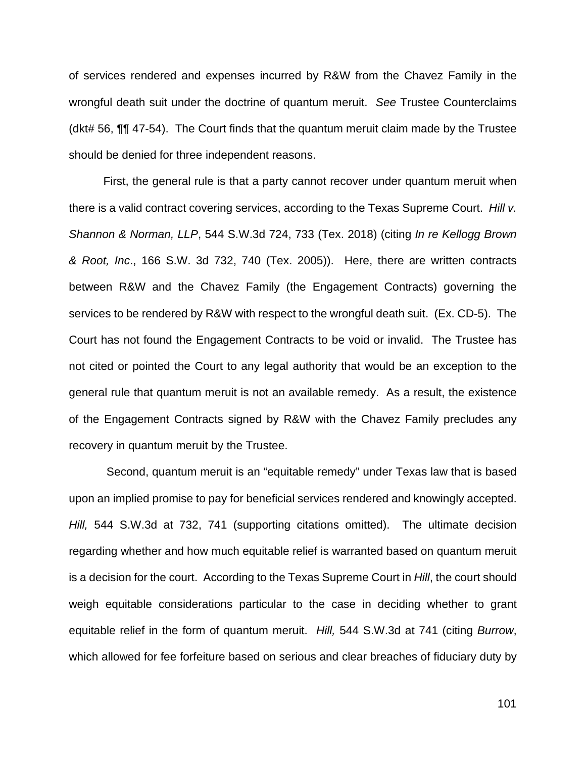of services rendered and expenses incurred by R&W from the Chavez Family in the wrongful death suit under the doctrine of quantum meruit. *See* Trustee Counterclaims (dkt# 56, ¶¶ 47-54). The Court finds that the quantum meruit claim made by the Trustee should be denied for three independent reasons.

First, the general rule is that a party cannot recover under quantum meruit when there is a valid contract covering services, according to the Texas Supreme Court. *Hill v. Shannon & Norman, LLP*, 544 S.W.3d 724, 733 (Tex. 2018) (citing *In re Kellogg Brown & Root, Inc*., 166 S.W. 3d 732, 740 (Tex. 2005)). Here, there are written contracts between R&W and the Chavez Family (the Engagement Contracts) governing the services to be rendered by R&W with respect to the wrongful death suit. (Ex. CD-5). The Court has not found the Engagement Contracts to be void or invalid. The Trustee has not cited or pointed the Court to any legal authority that would be an exception to the general rule that quantum meruit is not an available remedy. As a result, the existence of the Engagement Contracts signed by R&W with the Chavez Family precludes any recovery in quantum meruit by the Trustee.

Second, quantum meruit is an "equitable remedy" under Texas law that is based upon an implied promise to pay for beneficial services rendered and knowingly accepted. *Hill,* 544 S.W.3d at 732, 741 (supporting citations omitted). The ultimate decision regarding whether and how much equitable relief is warranted based on quantum meruit is a decision for the court. According to the Texas Supreme Court in *Hill*, the court should weigh equitable considerations particular to the case in deciding whether to grant equitable relief in the form of quantum meruit. *Hill,* 544 S.W.3d at 741 (citing *Burrow*, which allowed for fee forfeiture based on serious and clear breaches of fiduciary duty by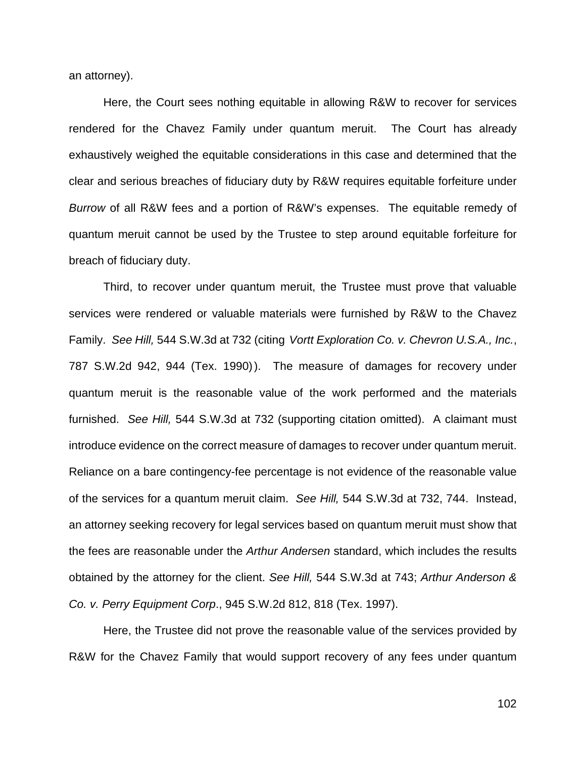an attorney).

Here, the Court sees nothing equitable in allowing R&W to recover for services rendered for the Chavez Family under quantum meruit. The Court has already exhaustively weighed the equitable considerations in this case and determined that the clear and serious breaches of fiduciary duty by R&W requires equitable forfeiture under *Burrow* of all R&W fees and a portion of R&W's expenses. The equitable remedy of quantum meruit cannot be used by the Trustee to step around equitable forfeiture for breach of fiduciary duty.

Third, to recover under quantum meruit, the Trustee must prove that valuable services were rendered or valuable materials were furnished by R&W to the Chavez Family. *See Hill,* 544 S.W.3d at 732 (citing *Vortt Exploration Co. v. Chevron U.S.A., Inc.*, 787 S.W.2d 942, 944 (Tex. 1990)). The measure of damages for recovery under quantum meruit is the reasonable value of the work performed and the materials furnished. *See Hill,* 544 S.W.3d at 732 (supporting citation omitted). A claimant must introduce evidence on the correct measure of damages to recover under quantum meruit. Reliance on a bare contingency-fee percentage is not evidence of the reasonable value of the services for a quantum meruit claim. *See Hill,* 544 S.W.3d at 732, 744. Instead, an attorney seeking recovery for legal services based on quantum meruit must show that the fees are reasonable under the *Arthur Andersen* standard, which includes the results obtained by the attorney for the client. *See Hill,* 544 S.W.3d at 743; *Arthur Anderson & Co. v. Perry Equipment Corp*., 945 S.W.2d 812, 818 (Tex. 1997).

Here, the Trustee did not prove the reasonable value of the services provided by R&W for the Chavez Family that would support recovery of any fees under quantum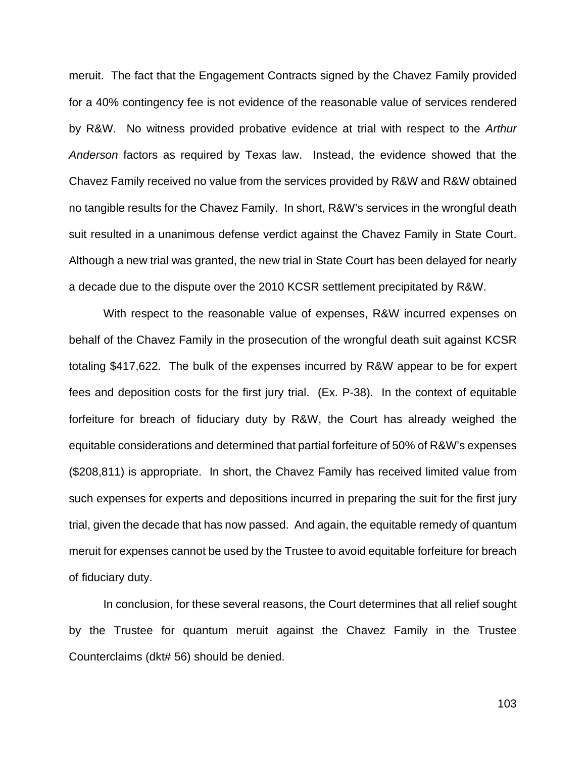meruit. The fact that the Engagement Contracts signed by the Chavez Family provided for a 40% contingency fee is not evidence of the reasonable value of services rendered by R&W. No witness provided probative evidence at trial with respect to the *Arthur Anderson* factors as required by Texas law. Instead, the evidence showed that the Chavez Family received no value from the services provided by R&W and R&W obtained no tangible results for the Chavez Family. In short, R&W's services in the wrongful death suit resulted in a unanimous defense verdict against the Chavez Family in State Court. Although a new trial was granted, the new trial in State Court has been delayed for nearly a decade due to the dispute over the 2010 KCSR settlement precipitated by R&W.

With respect to the reasonable value of expenses, R&W incurred expenses on behalf of the Chavez Family in the prosecution of the wrongful death suit against KCSR totaling \$417,622. The bulk of the expenses incurred by R&W appear to be for expert fees and deposition costs for the first jury trial. (Ex. P-38). In the context of equitable forfeiture for breach of fiduciary duty by R&W, the Court has already weighed the equitable considerations and determined that partial forfeiture of 50% of R&W's expenses (\$208,811) is appropriate. In short, the Chavez Family has received limited value from such expenses for experts and depositions incurred in preparing the suit for the first jury trial, given the decade that has now passed. And again, the equitable remedy of quantum meruit for expenses cannot be used by the Trustee to avoid equitable forfeiture for breach of fiduciary duty.

In conclusion, for these several reasons, the Court determines that all relief sought by the Trustee for quantum meruit against the Chavez Family in the Trustee Counterclaims (dkt# 56) should be denied.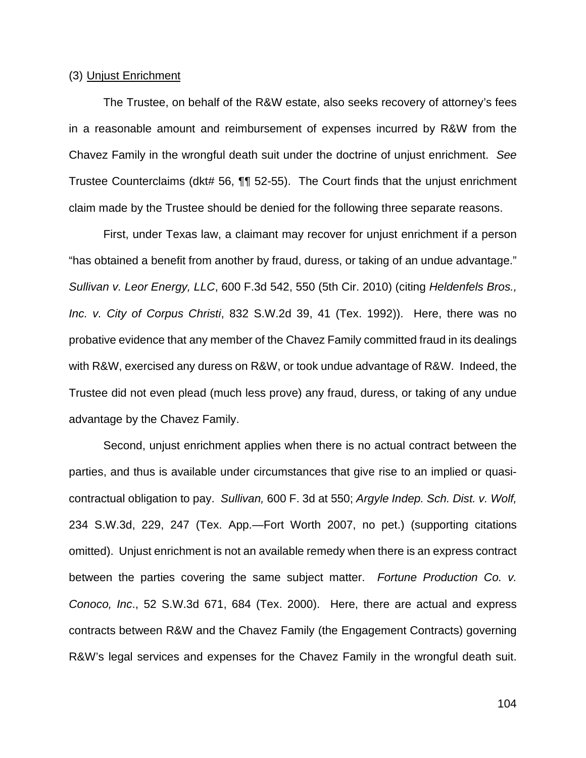### (3) Unjust Enrichment

The Trustee, on behalf of the R&W estate, also seeks recovery of attorney's fees in a reasonable amount and reimbursement of expenses incurred by R&W from the Chavez Family in the wrongful death suit under the doctrine of unjust enrichment. *See* Trustee Counterclaims (dkt# 56, ¶¶ 52-55). The Court finds that the unjust enrichment claim made by the Trustee should be denied for the following three separate reasons.

First, under Texas law, a claimant may recover for unjust enrichment if a person "has obtained a benefit from another by fraud, duress, or taking of an undue advantage." *Sullivan v. Leor Energy, LLC*, 600 F.3d 542, 550 (5th Cir. 2010) (citing *Heldenfels Bros., Inc. v. City of Corpus Christi*, 832 S.W.2d 39, 41 (Tex. 1992)). Here, there was no probative evidence that any member of the Chavez Family committed fraud in its dealings with R&W, exercised any duress on R&W, or took undue advantage of R&W. Indeed, the Trustee did not even plead (much less prove) any fraud, duress, or taking of any undue advantage by the Chavez Family.

Second, unjust enrichment applies when there is no actual contract between the parties, and thus is available under circumstances that give rise to an implied or quasicontractual obligation to pay. *Sullivan,* 600 F. 3d at 550; *Argyle Indep. Sch. Dist. v. Wolf,* 234 S.W.3d, 229, 247 (Tex. App.—Fort Worth 2007, no pet.) (supporting citations omitted). Unjust enrichment is not an available remedy when there is an express contract between the parties covering the same subject matter. *Fortune Production Co. v. Conoco, Inc*., 52 S.W.3d 671, 684 (Tex. 2000). Here, there are actual and express contracts between R&W and the Chavez Family (the Engagement Contracts) governing R&W's legal services and expenses for the Chavez Family in the wrongful death suit.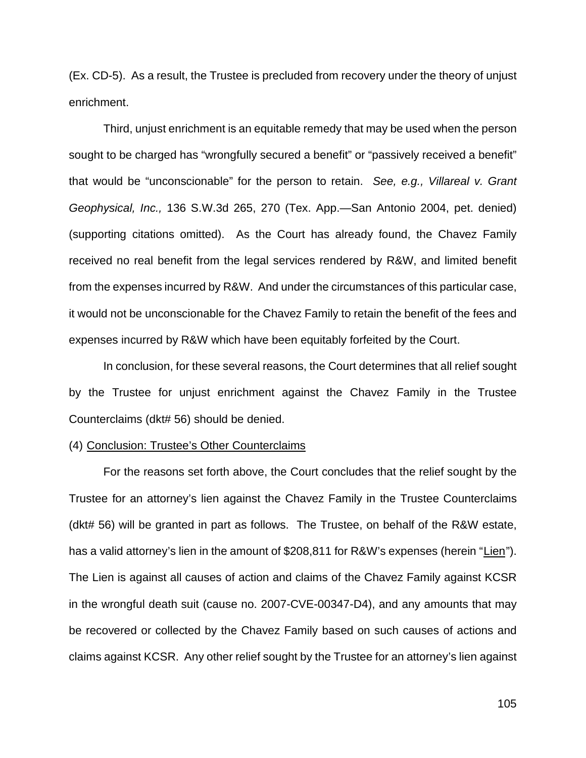(Ex. CD-5). As a result, the Trustee is precluded from recovery under the theory of unjust enrichment.

Third, unjust enrichment is an equitable remedy that may be used when the person sought to be charged has "wrongfully secured a benefit" or "passively received a benefit" that would be "unconscionable" for the person to retain. *See, e.g., Villareal v. Grant Geophysical, Inc.,* 136 S.W.3d 265, 270 (Tex. App.—San Antonio 2004, pet. denied) (supporting citations omitted). As the Court has already found, the Chavez Family received no real benefit from the legal services rendered by R&W, and limited benefit from the expenses incurred by R&W. And under the circumstances of this particular case, it would not be unconscionable for the Chavez Family to retain the benefit of the fees and expenses incurred by R&W which have been equitably forfeited by the Court.

In conclusion, for these several reasons, the Court determines that all relief sought by the Trustee for unjust enrichment against the Chavez Family in the Trustee Counterclaims (dkt# 56) should be denied.

#### (4) Conclusion: Trustee's Other Counterclaims

For the reasons set forth above, the Court concludes that the relief sought by the Trustee for an attorney's lien against the Chavez Family in the Trustee Counterclaims (dkt# 56) will be granted in part as follows. The Trustee, on behalf of the R&W estate, has a valid attorney's lien in the amount of \$208,811 for R&W's expenses (herein "Lien"). The Lien is against all causes of action and claims of the Chavez Family against KCSR in the wrongful death suit (cause no. 2007-CVE-00347-D4), and any amounts that may be recovered or collected by the Chavez Family based on such causes of actions and claims against KCSR. Any other relief sought by the Trustee for an attorney's lien against